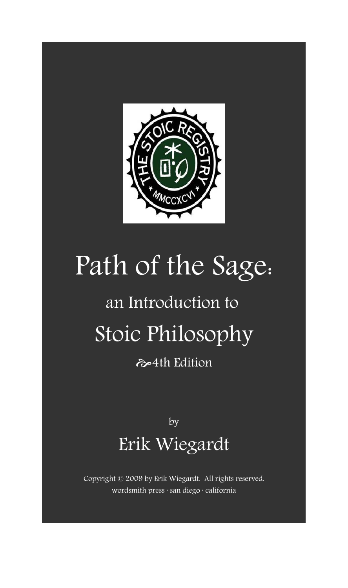

# Path of the Sage:

# an Introduction to Stoic Philosophy

 $\leftrightarrow$  4th Edition

by Erik Wiegardt

Copyright © 2009 by Erik Wiegardt. All rights reserved. wordsmith press · san diego · california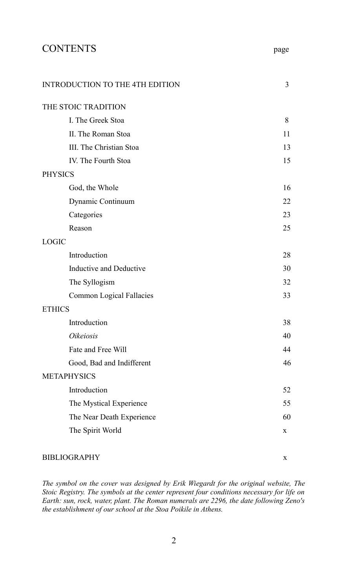# CONTENTS page

| INTRODUCTION TO THE 4TH EDITION | 3  |
|---------------------------------|----|
| THE STOIC TRADITION             |    |
| I. The Greek Stoa               | 8  |
| II. The Roman Stoa              | 11 |
| III. The Christian Stoa         | 13 |
| IV. The Fourth Stoa             | 15 |
| <b>PHYSICS</b>                  |    |
| God, the Whole                  | 16 |
| Dynamic Continuum               | 22 |
| Categories                      | 23 |
| Reason                          | 25 |
| LOGIC                           |    |
| Introduction                    | 28 |
| Inductive and Deductive         | 30 |
| The Syllogism                   | 32 |
| Common Logical Fallacies        | 33 |
| <b>ETHICS</b>                   |    |
| Introduction                    | 38 |
| <i><b>Oikeiosis</b></i>         | 40 |
| Fate and Free Will              | 44 |
| Good, Bad and Indifferent       | 46 |
| <b>METAPHYSICS</b>              |    |
| Introduction                    | 52 |
| The Mystical Experience         | 55 |
| The Near Death Experience       | 60 |
| The Spirit World                | X  |
|                                 |    |

#### BIBLIOGRAPHY x

*The symbol on the cover was designed by Erik Wiegardt for the original website, The Stoic Registry. The symbols at the center represent four conditions necessary for life on Earth: sun, rock, water, plant. The Roman numerals are 2296, the date following Zeno's the establishment of our school at the Stoa Poikile in Athens.*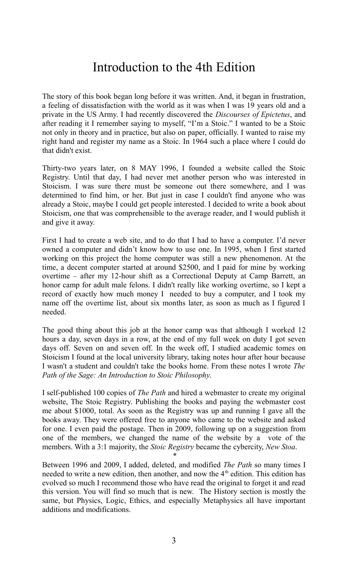# Introduction to the 4th Edition

The story of this book began long before it was written. And, it began in frustration, a feeling of dissatisfaction with the world as it was when I was 19 years old and a private in the US Army. I had recently discovered the *Discourses of Epictetus*, and after reading it I remember saying to myself, "I'm a Stoic." I wanted to be a Stoic not only in theory and in practice, but also on paper, officially. I wanted to raise my right hand and register my name as a Stoic. In 1964 such a place where I could do that didn't exist.

Thirty-two years later, on 8 MAY 1996, I founded a website called the Stoic Registry. Until that day, I had never met another person who was interested in Stoicism. I was sure there must be someone out there somewhere, and I was determined to find him, or her. But just in case I couldn't find anyone who was already a Stoic, maybe I could get people interested. I decided to write a book about Stoicism, one that was comprehensible to the average reader, and I would publish it and give it away.

First I had to create a web site, and to do that I had to have a computer. I'd never owned a computer and didn't know how to use one. In 1995, when I first started working on this project the home computer was still a new phenomenon. At the time, a decent computer started at around \$2500, and I paid for mine by working overtime – after my 12-hour shift as a Correctional Deputy at Camp Barrett, an honor camp for adult male felons. I didn't really like working overtime, so I kept a record of exactly how much money I needed to buy a computer, and I took my name off the overtime list, about six months later, as soon as much as I figured I needed.

The good thing about this job at the honor camp was that although I worked 12 hours a day, seven days in a row, at the end of my full week on duty I got seven days off. Seven on and seven off. In the week off, I studied academic tomes on Stoicism I found at the local university library, taking notes hour after hour because I wasn't a student and couldn't take the books home. From these notes I wrote *The Path of the Sage: An Introduction to Stoic Philosophy*.

I self-published 100 copies of *The Path* and hired a webmaster to create my original website, The Stoic Registry. Publishing the books and paying the webmaster cost me about \$1000, total. As soon as the Registry was up and running I gave all the books away. They were offered free to anyone who came to the website and asked for one. I even paid the postage. Then in 2009, following up on a suggestion from one of the members, we changed the name of the website by a vote of the members. With a 3:1 majority, the *Stoic Registry* became the cybercity, *New Stoa*.

\*

Between 1996 and 2009, I added, deleted, and modified *The Path* so many times I needed to write a new edition, then another, and now the 4<sup>th</sup> edition. This edition has evolved so much I recommend those who have read the original to forget it and read this version. You will find so much that is new. The History section is mostly the same, but Physics, Logic, Ethics, and especially Metaphysics all have important additions and modifications.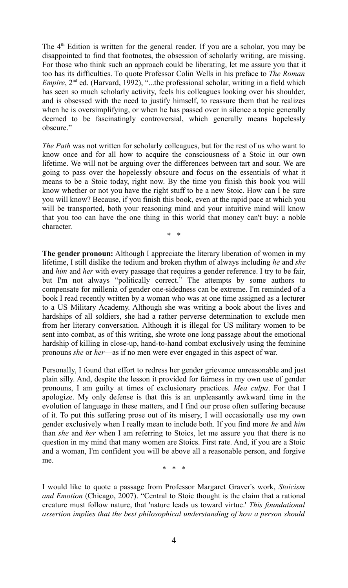The  $4<sup>th</sup>$  Edition is written for the general reader. If you are a scholar, you may be disappointed to find that footnotes, the obsession of scholarly writing, are missing. For those who think such an approach could be liberating, let me assure you that it too has its difficulties. To quote Professor Colin Wells in his preface to *The Roman Empire*, 2<sup>nd</sup> ed. (Harvard, 1992), "...the professional scholar, writing in a field which has seen so much scholarly activity, feels his colleagues looking over his shoulder, and is obsessed with the need to justify himself, to reassure them that he realizes when he is oversimplifying, or when he has passed over in silence a topic generally deemed to be fascinatingly controversial, which generally means hopelessly obscure."

*The Path* was not written for scholarly colleagues, but for the rest of us who want to know once and for all how to acquire the consciousness of a Stoic in our own lifetime. We will not be arguing over the differences between tart and sour. We are going to pass over the hopelessly obscure and focus on the essentials of what it means to be a Stoic today, right now. By the time you finish this book you will know whether or not you have the right stuff to be a new Stoic. How can I be sure you will know? Because, if you finish this book, even at the rapid pace at which you will be transported, both your reasoning mind and your intuitive mind will know that you too can have the one thing in this world that money can't buy: a noble character.

\* \*

**The gender pronoun:** Although I appreciate the literary liberation of women in my lifetime, I still dislike the tedium and broken rhythm of always including *he* and *she* and *him* and *her* with every passage that requires a gender reference. I try to be fair, but I'm not always "politically correct." The attempts by some authors to compensate for millenia of gender one-sidedness can be extreme. I'm reminded of a book I read recently written by a woman who was at one time assigned as a lecturer to a US Military Academy. Although she was writing a book about the lives and hardships of all soldiers, she had a rather perverse determination to exclude men from her literary conversation. Although it is illegal for US military women to be sent into combat, as of this writing, she wrote one long passage about the emotional hardship of killing in close-up, hand-to-hand combat exclusively using the feminine pronouns *she* or *her*—as if no men were ever engaged in this aspect of war.

Personally, I found that effort to redress her gender grievance unreasonable and just plain silly. And, despite the lesson it provided for fairness in my own use of gender pronouns, I am guilty at times of exclusionary practices. *Mea culpa*. For that I apologize. My only defense is that this is an unpleasantly awkward time in the evolution of language in these matters, and I find our prose often suffering because of it. To put this suffering prose out of its misery, I will occasionally use my own gender exclusively when I really mean to include both. If you find more *he* and *him* than *she* and *her* when I am referring to Stoics, let me assure you that there is no question in my mind that many women are Stoics. First rate. And, if you are a Stoic and a woman, I'm confident you will be above all a reasonable person, and forgive me.

\* \* \*

I would like to quote a passage from Professor Margaret Graver's work, *Stoicism and Emotion* (Chicago, 2007). "Central to Stoic thought is the claim that a rational creature must follow nature, that 'nature leads us toward virtue.' *This foundational assertion implies that the best philosophical understanding of how a person should*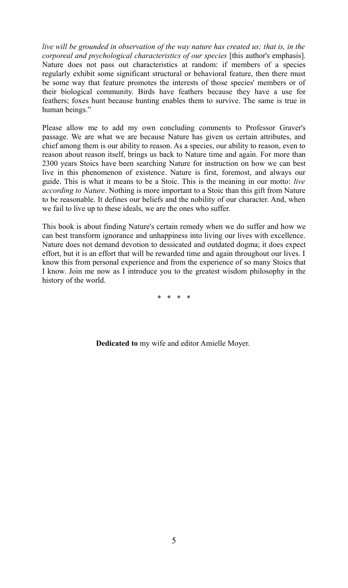*live will be grounded in observation of the way nature has created us; that is, in the corporeal and psychological characteristics of our species* [this author's emphasis]. Nature does not pass out characteristics at random: if members of a species regularly exhibit some significant structural or behavioral feature, then there must be some way that feature promotes the interests of those species' members or of their biological community. Birds have feathers because they have a use for feathers; foxes hunt because hunting enables them to survive. The same is true in human beings."

Please allow me to add my own concluding comments to Professor Graver's passage. We are what we are because Nature has given us certain attributes, and chief among them is our ability to reason. As a species, our ability to reason, even to reason about reason itself, brings us back to Nature time and again. For more than 2300 years Stoics have been searching Nature for instruction on how we can best live in this phenomenon of existence. Nature is first, foremost, and always our guide. This is what it means to be a Stoic. This is the meaning in our motto: *live according to Nature*. Nothing is more important to a Stoic than this gift from Nature to be reasonable. It defines our beliefs and the nobility of our character. And, when we fail to live up to these ideals, we are the ones who suffer.

This book is about finding Nature's certain remedy when we do suffer and how we can best transform ignorance and unhappiness into living our lives with excellence. Nature does not demand devotion to dessicated and outdated dogma; it does expect effort, but it is an effort that will be rewarded time and again throughout our lives. I know this from personal experience and from the experience of so many Stoics that I know. Join me now as I introduce you to the greatest wisdom philosophy in the history of the world.

\* \* \* \*

**Dedicated to** my wife and editor Amielle Moyer.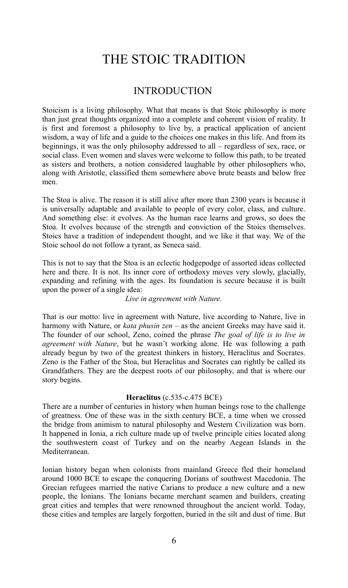# THE STOIC TRADITION

## INTRODUCTION

Stoicism is a living philosophy. What that means is that Stoic philosophy is more than just great thoughts organized into a complete and coherent vision of reality. It is first and foremost a philosophy to live by, a practical application of ancient wisdom, a way of life and a guide to the choices one makes in this life. And from its beginnings, it was the only philosophy addressed to all – regardless of sex, race, or social class. Even women and slaves were welcome to follow this path, to be treated as sisters and brothers, a notion considered laughable by other philosophers who, along with Aristotle, classified them somewhere above brute beasts and below free men.

The Stoa is alive. The reason it is still alive after more than 2300 years is because it is universally adaptable and available to people of every color, class, and culture. And something else: it evolves. As the human race learns and grows, so does the Stoa. It evolves because of the strength and conviction of the Stoics themselves. Stoics have a tradition of independent thought, and we like it that way. We of the Stoic school do not follow a tyrant, as Seneca said.

This is not to say that the Stoa is an eclectic hodgepodge of assorted ideas collected here and there. It is not. Its inner core of orthodoxy moves very slowly, glacially, expanding and refining with the ages. Its foundation is secure because it is built upon the power of a single idea:

#### *Live in agreement with Nature.*

That is our motto: live in agreement with Nature, live according to Nature, live in harmony with Nature, or *kata phusin zen* – as the ancient Greeks may have said it. The founder of our school, Zeno, coined the phrase *The goal of life is to live in agreement with Nature*, but he wasn't working alone. He was following a path already begun by two of the greatest thinkers in history, Heraclitus and Socrates. Zeno is the Father of the Stoa, but Heraclitus and Socrates can rightly be called its Grandfathers. They are the deepest roots of our philosophy, and that is where our story begins.

#### **Heraclitus** (c.535-c.475 BCE)

There are a number of centuries in history when human beings rose to the challenge of greatness. One of these was in the sixth century BCE, a time when we crossed the bridge from animism to natural philosophy and Western Civilization was born. It happened in Ionia, a rich culture made up of twelve principle cities located along the southwestern coast of Turkey and on the nearby Aegean Islands in the Mediterranean.

Ionian history began when colonists from mainland Greece fled their homeland around 1000 BCE to escape the conquering Dorians of southwest Macedonia. The Grecian refugees married the native Carians to produce a new culture and a new people, the Ionians. The Ionians became merchant seamen and builders, creating great cities and temples that were renowned throughout the ancient world. Today, these cities and temples are largely forgotten, buried in the silt and dust of time. But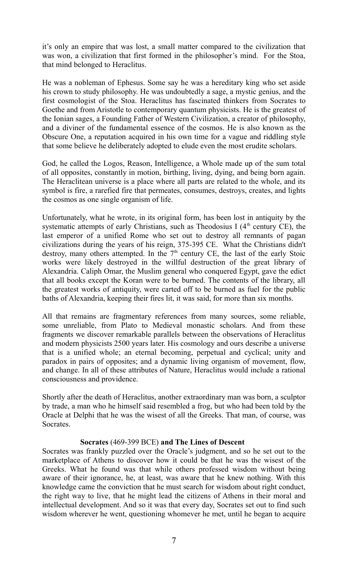it's only an empire that was lost, a small matter compared to the civilization that was won, a civilization that first formed in the philosopher's mind. For the Stoa, that mind belonged to Heraclitus.

He was a nobleman of Ephesus. Some say he was a hereditary king who set aside his crown to study philosophy. He was undoubtedly a sage, a mystic genius, and the first cosmologist of the Stoa. Heraclitus has fascinated thinkers from Socrates to Goethe and from Aristotle to contemporary quantum physicists. He is the greatest of the Ionian sages, a Founding Father of Western Civilization, a creator of philosophy, and a diviner of the fundamental essence of the cosmos. He is also known as the Obscure One, a reputation acquired in his own time for a vague and riddling style that some believe he deliberately adopted to elude even the most erudite scholars.

God, he called the Logos, Reason, Intelligence, a Whole made up of the sum total of all opposites, constantly in motion, birthing, living, dying, and being born again. The Heraclitean universe is a place where all parts are related to the whole, and its symbol is fire, a rarefied fire that permeates, consumes, destroys, creates, and lights the cosmos as one single organism of life.

Unfortunately, what he wrote, in its original form, has been lost in antiquity by the systematic attempts of early Christians, such as Theodosius I  $(4<sup>th</sup>$  century CE), the last emperor of a unified Rome who set out to destroy all remnants of pagan civilizations during the years of his reign, 375-395 CE. What the Christians didn't destroy, many others attempted. In the  $7<sup>th</sup>$  century CE, the last of the early Stoic works were likely destroyed in the willful destruction of the great library of Alexandria. Caliph Omar, the Muslim general who conquered Egypt, gave the edict that all books except the Koran were to be burned. The contents of the library, all the greatest works of antiquity, were carted off to be burned as fuel for the public baths of Alexandria, keeping their fires lit, it was said, for more than six months.

All that remains are fragmentary references from many sources, some reliable, some unreliable, from Plato to Medieval monastic scholars. And from these fragments we discover remarkable parallels between the observations of Heraclitus and modern physicists 2500 years later. His cosmology and ours describe a universe that is a unified whole; an eternal becoming, perpetual and cyclical; unity and paradox in pairs of opposites; and a dynamic living organism of movement, flow, and change. In all of these attributes of Nature, Heraclitus would include a rational consciousness and providence.

Shortly after the death of Heraclitus, another extraordinary man was born, a sculptor by trade, a man who he himself said resembled a frog, but who had been told by the Oracle at Delphi that he was the wisest of all the Greeks. That man, of course, was **Socrates** 

#### **Socrates** (469-399 BCE) **and The Lines of Descent**

Socrates was frankly puzzled over the Oracle's judgment, and so he set out to the marketplace of Athens to discover how it could be that he was the wisest of the Greeks. What he found was that while others professed wisdom without being aware of their ignorance, he, at least, was aware that he knew nothing. With this knowledge came the conviction that he must search for wisdom about right conduct, the right way to live, that he might lead the citizens of Athens in their moral and intellectual development. And so it was that every day, Socrates set out to find such wisdom wherever he went, questioning whomever he met, until he began to acquire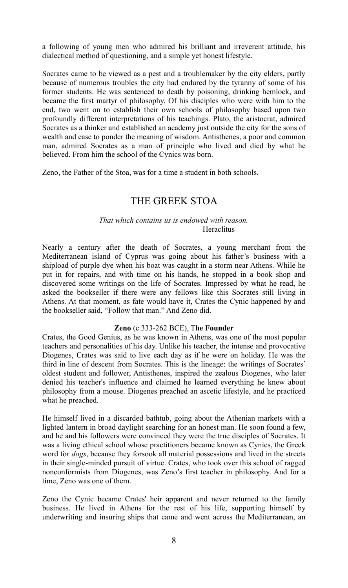a following of young men who admired his brilliant and irreverent attitude, his dialectical method of questioning, and a simple yet honest lifestyle.

Socrates came to be viewed as a pest and a troublemaker by the city elders, partly because of numerous troubles the city had endured by the tyranny of some of his former students. He was sentenced to death by poisoning, drinking hemlock, and became the first martyr of philosophy. Of his disciples who were with him to the end, two went on to establish their own schools of philosophy based upon two profoundly different interpretations of his teachings. Plato, the aristocrat, admired Socrates as a thinker and established an academy just outside the city for the sons of wealth and ease to ponder the meaning of wisdom. Antisthenes, a poor and common man, admired Socrates as a man of principle who lived and died by what he believed. From him the school of the Cynics was born.

Zeno, the Father of the Stoa, was for a time a student in both schools.

# THE GREEK STOA

#### *That which contains us is endowed with reason.* Heraclitus

Nearly a century after the death of Socrates, a young merchant from the Mediterranean island of Cyprus was going about his father's business with a shipload of purple dye when his boat was caught in a storm near Athens. While he put in for repairs, and with time on his hands, he stopped in a book shop and discovered some writings on the life of Socrates. Impressed by what he read, he asked the bookseller if there were any fellows like this Socrates still living in Athens. At that moment, as fate would have it, Crates the Cynic happened by and the bookseller said, "Follow that man." And Zeno did.

#### **Zeno** (c.333-262 BCE), T**he Founder**

Crates, the Good Genius, as he was known in Athens, was one of the most popular teachers and personalities of his day. Unlike his teacher, the intense and provocative Diogenes, Crates was said to live each day as if he were on holiday. He was the third in line of descent from Socrates. This is the lineage: the writings of Socrates' oldest student and follower, Antisthenes, inspired the zealous Diogenes, who later denied his teacher's influence and claimed he learned everything he knew about philosophy from a mouse. Diogenes preached an ascetic lifestyle, and he practiced what he preached.

He himself lived in a discarded bathtub, going about the Athenian markets with a lighted lantern in broad daylight searching for an honest man. He soon found a few, and he and his followers were convinced they were the true disciples of Socrates. It was a living ethical school whose practitioners became known as Cynics, the Greek word for *dogs*, because they forsook all material possessions and lived in the streets in their single-minded pursuit of virtue. Crates, who took over this school of ragged nonconformists from Diogenes, was Zeno's first teacher in philosophy. And for a time, Zeno was one of them.

Zeno the Cynic became Crates' heir apparent and never returned to the family business. He lived in Athens for the rest of his life, supporting himself by underwriting and insuring ships that came and went across the Mediterranean, an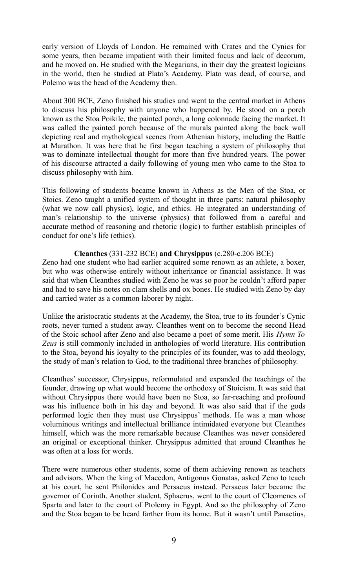early version of Lloyds of London. He remained with Crates and the Cynics for some years, then became impatient with their limited focus and lack of decorum, and he moved on. He studied with the Megarians, in their day the greatest logicians in the world, then he studied at Plato's Academy. Plato was dead, of course, and Polemo was the head of the Academy then.

About 300 BCE, Zeno finished his studies and went to the central market in Athens to discuss his philosophy with anyone who happened by. He stood on a porch known as the Stoa Poikile, the painted porch, a long colonnade facing the market. It was called the painted porch because of the murals painted along the back wall depicting real and mythological scenes from Athenian history, including the Battle at Marathon. It was here that he first began teaching a system of philosophy that was to dominate intellectual thought for more than five hundred years. The power of his discourse attracted a daily following of young men who came to the Stoa to discuss philosophy with him.

This following of students became known in Athens as the Men of the Stoa, or Stoics. Zeno taught a unified system of thought in three parts: natural philosophy (what we now call physics), logic, and ethics. He integrated an understanding of man's relationship to the universe (physics) that followed from a careful and accurate method of reasoning and rhetoric (logic) to further establish principles of conduct for one's life (ethics).

#### **Cleanthes** (331-232 BCE) **and Chrysippus** (c.280-c.206 BCE)

Zeno had one student who had earlier acquired some renown as an athlete, a boxer, but who was otherwise entirely without inheritance or financial assistance. It was said that when Cleanthes studied with Zeno he was so poor he couldn't afford paper and had to save his notes on clam shells and ox bones. He studied with Zeno by day and carried water as a common laborer by night.

Unlike the aristocratic students at the Academy, the Stoa, true to its founder's Cynic roots, never turned a student away. Cleanthes went on to become the second Head of the Stoic school after Zeno and also became a poet of some merit. His *Hymn To Zeus* is still commonly included in anthologies of world literature. His contribution to the Stoa, beyond his loyalty to the principles of its founder, was to add theology, the study of man's relation to God, to the traditional three branches of philosophy.

Cleanthes' successor, Chrysippus, reformulated and expanded the teachings of the founder, drawing up what would become the orthodoxy of Stoicism. It was said that without Chrysippus there would have been no Stoa, so far-reaching and profound was his influence both in his day and beyond. It was also said that if the gods performed logic then they must use Chrysippus' methods. He was a man whose voluminous writings and intellectual brilliance intimidated everyone but Cleanthes himself, which was the more remarkable because Cleanthes was never considered an original or exceptional thinker. Chrysippus admitted that around Cleanthes he was often at a loss for words.

There were numerous other students, some of them achieving renown as teachers and advisors. When the king of Macedon, Antigonus Gonatas, asked Zeno to teach at his court, he sent Philonides and Persaeus instead. Persaeus later became the governor of Corinth. Another student, Sphaerus, went to the court of Cleomenes of Sparta and later to the court of Ptolemy in Egypt. And so the philosophy of Zeno and the Stoa began to be heard farther from its home. But it wasn't until Panaetius,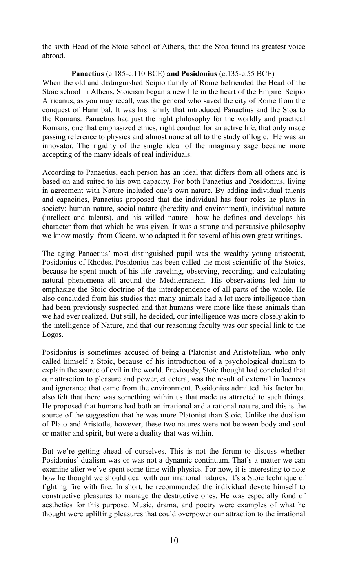the sixth Head of the Stoic school of Athens, that the Stoa found its greatest voice abroad.

#### **Panaetius** (c.185-c.110 BCE) **and Posidonius** (c.135-c.55 BCE)

When the old and distinguished Scipio family of Rome befriended the Head of the Stoic school in Athens, Stoicism began a new life in the heart of the Empire. Scipio Africanus, as you may recall, was the general who saved the city of Rome from the conquest of Hannibal. It was his family that introduced Panaetius and the Stoa to the Romans. Panaetius had just the right philosophy for the worldly and practical Romans, one that emphasized ethics, right conduct for an active life, that only made passing reference to physics and almost none at all to the study of logic. He was an innovator. The rigidity of the single ideal of the imaginary sage became more accepting of the many ideals of real individuals.

According to Panaetius, each person has an ideal that differs from all others and is based on and suited to his own capacity. For both Panaetius and Posidonius, living in agreement with Nature included one's own nature. By adding individual talents and capacities, Panaetius proposed that the individual has four roles he plays in society: human nature, social nature (heredity and environment), individual nature (intellect and talents), and his willed nature—how he defines and develops his character from that which he was given. It was a strong and persuasive philosophy we know mostly from Cicero, who adapted it for several of his own great writings.

The aging Panaetius' most distinguished pupil was the wealthy young aristocrat, Posidonius of Rhodes. Posidonius has been called the most scientific of the Stoics, because he spent much of his life traveling, observing, recording, and calculating natural phenomena all around the Mediterranean. His observations led him to emphasize the Stoic doctrine of the interdependence of all parts of the whole. He also concluded from his studies that many animals had a lot more intelligence than had been previously suspected and that humans were more like these animals than we had ever realized. But still, he decided, our intelligence was more closely akin to the intelligence of Nature, and that our reasoning faculty was our special link to the Logos.

Posidonius is sometimes accused of being a Platonist and Aristotelian, who only called himself a Stoic, because of his introduction of a psychological dualism to explain the source of evil in the world. Previously, Stoic thought had concluded that our attraction to pleasure and power, et cetera, was the result of external influences and ignorance that came from the environment. Posidonius admitted this factor but also felt that there was something within us that made us attracted to such things. He proposed that humans had both an irrational and a rational nature, and this is the source of the suggestion that he was more Platonist than Stoic. Unlike the dualism of Plato and Aristotle, however, these two natures were not between body and soul or matter and spirit, but were a duality that was within.

But we're getting ahead of ourselves. This is not the forum to discuss whether Posidonius' dualism was or was not a dynamic continuum. That's a matter we can examine after we've spent some time with physics. For now, it is interesting to note how he thought we should deal with our irrational natures. It's a Stoic technique of fighting fire with fire. In short, he recommended the individual devote himself to constructive pleasures to manage the destructive ones. He was especially fond of aesthetics for this purpose. Music, drama, and poetry were examples of what he thought were uplifting pleasures that could overpower our attraction to the irrational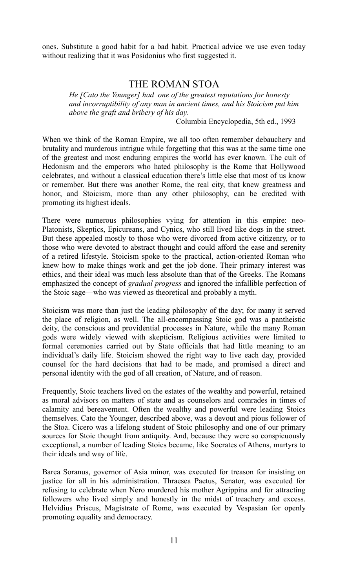ones. Substitute a good habit for a bad habit. Practical advice we use even today without realizing that it was Posidonius who first suggested it.

### THE ROMAN STOA

*He [Cato the Younger] had one of the greatest reputations for honesty and incorruptibility of any man in ancient times, and his Stoicism put him above the graft and bribery of his day.*

Columbia Encyclopedia, 5th ed., 1993

When we think of the Roman Empire, we all too often remember debauchery and brutality and murderous intrigue while forgetting that this was at the same time one of the greatest and most enduring empires the world has ever known. The cult of Hedonism and the emperors who hated philosophy is the Rome that Hollywood celebrates, and without a classical education there's little else that most of us know or remember. But there was another Rome, the real city, that knew greatness and honor, and Stoicism, more than any other philosophy, can be credited with promoting its highest ideals.

There were numerous philosophies vying for attention in this empire: neo-Platonists, Skeptics, Epicureans, and Cynics, who still lived like dogs in the street. But these appealed mostly to those who were divorced from active citizenry, or to those who were devoted to abstract thought and could afford the ease and serenity of a retired lifestyle. Stoicism spoke to the practical, action-oriented Roman who knew how to make things work and get the job done. Their primary interest was ethics, and their ideal was much less absolute than that of the Greeks. The Romans emphasized the concept of *gradual progress* and ignored the infallible perfection of the Stoic sage—who was viewed as theoretical and probably a myth.

Stoicism was more than just the leading philosophy of the day; for many it served the place of religion, as well. The all-encompassing Stoic god was a pantheistic deity, the conscious and providential processes in Nature, while the many Roman gods were widely viewed with skepticism. Religious activities were limited to formal ceremonies carried out by State officials that had little meaning to an individual's daily life. Stoicism showed the right way to live each day, provided counsel for the hard decisions that had to be made, and promised a direct and personal identity with the god of all creation, of Nature, and of reason.

Frequently, Stoic teachers lived on the estates of the wealthy and powerful, retained as moral advisors on matters of state and as counselors and comrades in times of calamity and bereavement. Often the wealthy and powerful were leading Stoics themselves. Cato the Younger, described above, was a devout and pious follower of the Stoa. Cicero was a lifelong student of Stoic philosophy and one of our primary sources for Stoic thought from antiquity. And, because they were so conspicuously exceptional, a number of leading Stoics became, like Socrates of Athens, martyrs to their ideals and way of life.

Barea Soranus, governor of Asia minor, was executed for treason for insisting on justice for all in his administration. Thraesea Paetus, Senator, was executed for refusing to celebrate when Nero murdered his mother Agrippina and for attracting followers who lived simply and honestly in the midst of treachery and excess. Helvidius Priscus, Magistrate of Rome, was executed by Vespasian for openly promoting equality and democracy.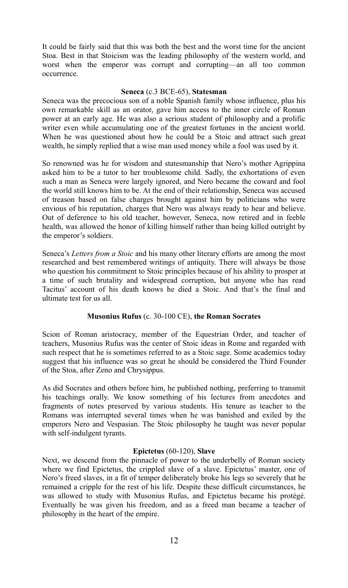It could be fairly said that this was both the best and the worst time for the ancient Stoa. Best in that Stoicism was the leading philosophy of the western world, and worst when the emperor was corrupt and corrupting—an all too common occurrence.

#### **Seneca** (c.3 BCE-65), **Statesman**

Seneca was the precocious son of a noble Spanish family whose influence, plus his own remarkable skill as an orator, gave him access to the inner circle of Roman power at an early age. He was also a serious student of philosophy and a prolific writer even while accumulating one of the greatest fortunes in the ancient world. When he was questioned about how he could be a Stoic and attract such great wealth, he simply replied that a wise man used money while a fool was used by it.

So renowned was he for wisdom and statesmanship that Nero's mother Agrippina asked him to be a tutor to her troublesome child. Sadly, the exhortations of even such a man as Seneca were largely ignored, and Nero became the coward and fool the world still knows him to be. At the end of their relationship, Seneca was accused of treason based on false charges brought against him by politicians who were envious of his reputation, charges that Nero was always ready to hear and believe. Out of deference to his old teacher, however, Seneca, now retired and in feeble health, was allowed the honor of killing himself rather than being killed outright by the emperor's soldiers.

Seneca's *Letters from a Stoic* and his many other literary efforts are among the most researched and best remembered writings of antiquity. There will always be those who question his commitment to Stoic principles because of his ability to prosper at a time of such brutality and widespread corruption, but anyone who has read Tacitus' account of his death knows he died a Stoic. And that's the final and ultimate test for us all.

#### **Musonius Rufus** (c. 30-100 CE), **the Roman Socrates**

Scion of Roman aristocracy, member of the Equestrian Order, and teacher of teachers, Musonius Rufus was the center of Stoic ideas in Rome and regarded with such respect that he is sometimes referred to as a Stoic sage. Some academics today suggest that his influence was so great he should be considered the Third Founder of the Stoa, after Zeno and Chrysippus.

As did Socrates and others before him, he published nothing, preferring to transmit his teachings orally. We know something of his lectures from anecdotes and fragments of notes preserved by various students. His tenure as teacher to the Romans was interrupted several times when he was banished and exiled by the emperors Nero and Vespasian. The Stoic philosophy he taught was never popular with self-indulgent tyrants.

#### **Epictetus** (60-120), **Slave**

Next, we descend from the pinnacle of power to the underbelly of Roman society where we find Epictetus, the crippled slave of a slave. Epictetus' master, one of Nero's freed slaves, in a fit of temper deliberately broke his legs so severely that he remained a cripple for the rest of his life. Despite these difficult circumstances, he was allowed to study with Musonius Rufus, and Epictetus became his protégé. Eventually he was given his freedom, and as a freed man became a teacher of philosophy in the heart of the empire.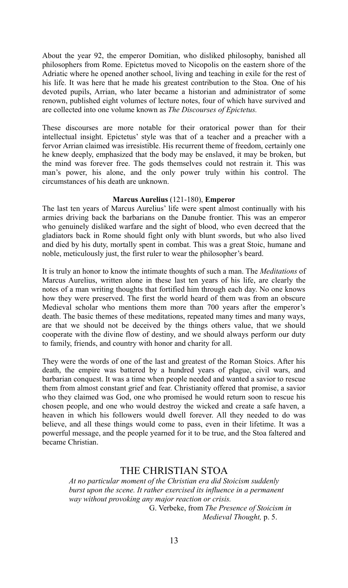About the year 92, the emperor Domitian, who disliked philosophy, banished all philosophers from Rome. Epictetus moved to Nicopolis on the eastern shore of the Adriatic where he opened another school, living and teaching in exile for the rest of his life. It was here that he made his greatest contribution to the Stoa. One of his devoted pupils, Arrian, who later became a historian and administrator of some renown, published eight volumes of lecture notes, four of which have survived and are collected into one volume known as *The Discourses of Epictetus.*

These discourses are more notable for their oratorical power than for their intellectual insight. Epictetus' style was that of a teacher and a preacher with a fervor Arrian claimed was irresistible. His recurrent theme of freedom, certainly one he knew deeply, emphasized that the body may be enslaved, it may be broken, but the mind was forever free. The gods themselves could not restrain it. This was man's power, his alone, and the only power truly within his control. The circumstances of his death are unknown.

#### **Marcus Aurelius** (121-180), **Emperor**

The last ten years of Marcus Aurelius' life were spent almost continually with his armies driving back the barbarians on the Danube frontier. This was an emperor who genuinely disliked warfare and the sight of blood, who even decreed that the gladiators back in Rome should fight only with blunt swords, but who also lived and died by his duty, mortally spent in combat. This was a great Stoic, humane and noble, meticulously just, the first ruler to wear the philosopher's beard.

It is truly an honor to know the intimate thoughts of such a man. The *Meditations* of Marcus Aurelius, written alone in these last ten years of his life, are clearly the notes of a man writing thoughts that fortified him through each day. No one knows how they were preserved. The first the world heard of them was from an obscure Medieval scholar who mentions them more than 700 years after the emperor's death. The basic themes of these meditations, repeated many times and many ways, are that we should not be deceived by the things others value, that we should cooperate with the divine flow of destiny, and we should always perform our duty to family, friends, and country with honor and charity for all.

They were the words of one of the last and greatest of the Roman Stoics. After his death, the empire was battered by a hundred years of plague, civil wars, and barbarian conquest. It was a time when people needed and wanted a savior to rescue them from almost constant grief and fear. Christianity offered that promise, a savior who they claimed was God, one who promised he would return soon to rescue his chosen people, and one who would destroy the wicked and create a safe haven, a heaven in which his followers would dwell forever. All they needed to do was believe, and all these things would come to pass, even in their lifetime. It was a powerful message, and the people yearned for it to be true, and the Stoa faltered and became Christian.

### THE CHRISTIAN STOA

*At no particular moment of the Christian era did Stoicism suddenly burst upon the scene. It rather exercised its influence in a permanent way without provoking any major reaction or crisis.*  G. Verbeke, from *The Presence of Stoicism in* 

*Medieval Thought,* p. 5.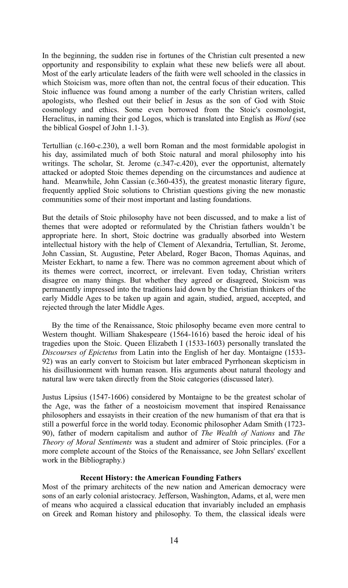In the beginning, the sudden rise in fortunes of the Christian cult presented a new opportunity and responsibility to explain what these new beliefs were all about. Most of the early articulate leaders of the faith were well schooled in the classics in which Stoicism was, more often than not, the central focus of their education. This Stoic influence was found among a number of the early Christian writers, called apologists, who fleshed out their belief in Jesus as the son of God with Stoic cosmology and ethics. Some even borrowed from the Stoic's cosmologist, Heraclitus, in naming their god Logos, which is translated into English as *Word* (see the biblical Gospel of John 1.1-3).

Tertullian (c.160-c.230), a well born Roman and the most formidable apologist in his day, assimilated much of both Stoic natural and moral philosophy into his writings. The scholar, St. Jerome (c.347-c.420), ever the opportunist, alternately attacked or adopted Stoic themes depending on the circumstances and audience at hand. Meanwhile, John Cassian (c.360-435), the greatest monastic literary figure, frequently applied Stoic solutions to Christian questions giving the new monastic communities some of their most important and lasting foundations.

But the details of Stoic philosophy have not been discussed, and to make a list of themes that were adopted or reformulated by the Christian fathers wouldn't be appropriate here. In short, Stoic doctrine was gradually absorbed into Western intellectual history with the help of Clement of Alexandria, Tertullian, St. Jerome, John Cassian, St. Augustine, Peter Abelard, Roger Bacon, Thomas Aquinas, and Meister Eckhart, to name a few. There was no common agreement about which of its themes were correct, incorrect, or irrelevant. Even today, Christian writers disagree on many things. But whether they agreed or disagreed, Stoicism was permanently impressed into the traditions laid down by the Christian thinkers of the early Middle Ages to be taken up again and again, studied, argued, accepted, and rejected through the later Middle Ages.

By the time of the Renaissance, Stoic philosophy became even more central to Western thought. William Shakespeare (1564-1616) based the heroic ideal of his tragedies upon the Stoic. Queen Elizabeth I (1533-1603) personally translated the *Discourses of Epictetus* from Latin into the English of her day. Montaigne (1533- 92) was an early convert to Stoicism but later embraced Pyrrhonean skepticism in his disillusionment with human reason. His arguments about natural theology and natural law were taken directly from the Stoic categories (discussed later).

Justus Lipsius (1547-1606) considered by Montaigne to be the greatest scholar of the Age, was the father of a neostoicism movement that inspired Renaissance philosophers and essayists in their creation of the new humanism of that era that is still a powerful force in the world today. Economic philosopher Adam Smith (1723- 90), father of modern capitalism and author of *The Wealth of Nations* and *The Theory of Moral Sentiments* was a student and admirer of Stoic principles. (For a more complete account of the Stoics of the Renaissance, see John Sellars' excellent work in the Bibliography.)

#### **Recent History: the American Founding Fathers**

Most of the primary architects of the new nation and American democracy were sons of an early colonial aristocracy. Jefferson, Washington, Adams, et al, were men of means who acquired a classical education that invariably included an emphasis on Greek and Roman history and philosophy. To them, the classical ideals were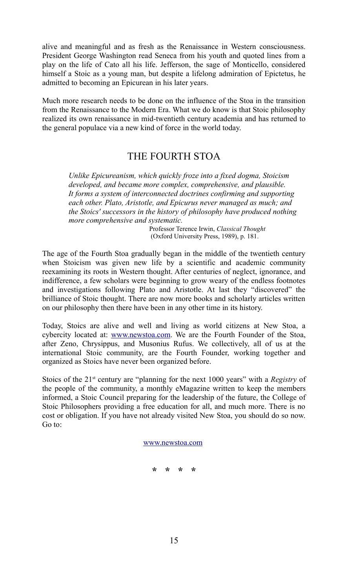alive and meaningful and as fresh as the Renaissance in Western consciousness. President George Washington read Seneca from his youth and quoted lines from a play on the life of Cato all his life. Jefferson, the sage of Monticello, considered himself a Stoic as a young man, but despite a lifelong admiration of Epictetus, he admitted to becoming an Epicurean in his later years.

Much more research needs to be done on the influence of the Stoa in the transition from the Renaissance to the Modern Era. What we do know is that Stoic philosophy realized its own renaissance in mid-twentieth century academia and has returned to the general populace via a new kind of force in the world today.

# THE FOURTH STOA

*Unlike Epicureanism, which quickly froze into a fixed dogma, Stoicism developed, and became more complex, comprehensive, and plausible. It forms a system of interconnected doctrines confirming and supporting each other. Plato, Aristotle, and Epicurus never managed as much; and the Stoics' successors in the history of philosophy have produced nothing more comprehensive and systematic.*

> Professor Terence Irwin, *Classical Thought* (Oxford University Press, 1989), p. 181.

The age of the Fourth Stoa gradually began in the middle of the twentieth century when Stoicism was given new life by a scientific and academic community reexamining its roots in Western thought. After centuries of neglect, ignorance, and indifference, a few scholars were beginning to grow weary of the endless footnotes and investigations following Plato and Aristotle. At last they "discovered" the brilliance of Stoic thought. There are now more books and scholarly articles written on our philosophy then there have been in any other time in its history.

Today, Stoics are alive and well and living as world citizens at New Stoa, a cybercity located at: [www.newstoa.com.](http://www.newstoa.com/) We are the Fourth Founder of the Stoa, after Zeno, Chrysippus, and Musonius Rufus. We collectively, all of us at the international Stoic community, are the Fourth Founder, working together and organized as Stoics have never been organized before.

Stoics of the 21<sup>st</sup> century are "planning for the next 1000 years" with a *Registry* of the people of the community, a monthly eMagazine written to keep the members informed, a Stoic Council preparing for the leadership of the future, the College of Stoic Philosophers providing a free education for all, and much more. There is no cost or obligation. If you have not already visited New Stoa, you should do so now. Go to:

#### [www.newstoa.com](http://www.newstoa.com/)

**\* \* \* \***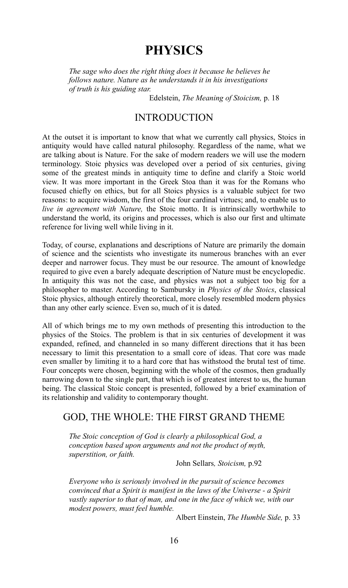# **PHYSICS**

*The sage who does the right thing does it because he believes he follows nature. Nature as he understands it in his investigations of truth is his guiding star.*

Edelstein, *The Meaning of Stoicism,* p. 18

## **INTRODUCTION**

At the outset it is important to know that what we currently call physics, Stoics in antiquity would have called natural philosophy. Regardless of the name, what we are talking about is Nature. For the sake of modern readers we will use the modern terminology. Stoic physics was developed over a period of six centuries, giving some of the greatest minds in antiquity time to define and clarify a Stoic world view. It was more important in the Greek Stoa than it was for the Romans who focused chiefly on ethics, but for all Stoics physics is a valuable subject for two reasons: to acquire wisdom, the first of the four cardinal virtues; and, to enable us to *live in agreement with Nature,* the Stoic motto. It is intrinsically worthwhile to understand the world, its origins and processes, which is also our first and ultimate reference for living well while living in it.

Today, of course, explanations and descriptions of Nature are primarily the domain of science and the scientists who investigate its numerous branches with an ever deeper and narrower focus. They must be our resource. The amount of knowledge required to give even a barely adequate description of Nature must be encyclopedic. In antiquity this was not the case, and physics was not a subject too big for a philosopher to master. According to Sambursky in *Physics of the Stoics*, classical Stoic physics, although entirely theoretical, more closely resembled modern physics than any other early science. Even so, much of it is dated.

All of which brings me to my own methods of presenting this introduction to the physics of the Stoics. The problem is that in six centuries of development it was expanded, refined, and channeled in so many different directions that it has been necessary to limit this presentation to a small core of ideas. That core was made even smaller by limiting it to a hard core that has withstood the brutal test of time. Four concepts were chosen, beginning with the whole of the cosmos, then gradually narrowing down to the single part, that which is of greatest interest to us, the human being. The classical Stoic concept is presented, followed by a brief examination of its relationship and validity to contemporary thought.

## GOD, THE WHOLE: THE FIRST GRAND THEME

*The Stoic conception of God is clearly a philosophical God, a conception based upon arguments and not the product of myth, superstition, or faith.*

John Sellars*, Stoicism,* p.92

*Everyone who is seriously involved in the pursuit of science becomes convinced that a Spirit is manifest in the laws of the Universe - a Spirit vastly superior to that of man, and one in the face of which we, with our modest powers, must feel humble.* 

Albert Einstein, *The Humble Side,* p. 33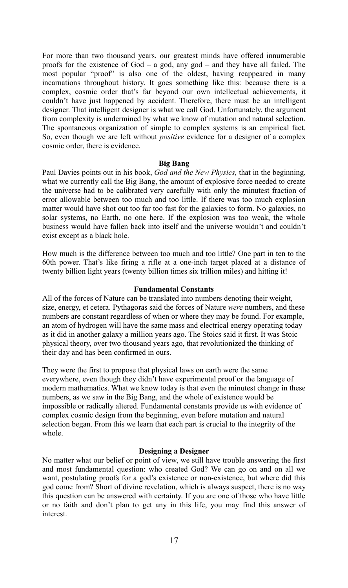For more than two thousand years, our greatest minds have offered innumerable proofs for the existence of  $God - a$  god, any god – and they have all failed. The most popular "proof" is also one of the oldest, having reappeared in many incarnations throughout history. It goes something like this: because there is a complex, cosmic order that's far beyond our own intellectual achievements, it couldn't have just happened by accident. Therefore, there must be an intelligent designer. That intelligent designer is what we call God. Unfortunately, the argument from complexity is undermined by what we know of mutation and natural selection. The spontaneous organization of simple to complex systems is an empirical fact. So, even though we are left without *positive* evidence for a designer of a complex cosmic order, there is evidence.

#### **Big Bang**

Paul Davies points out in his book, *God and the New Physics,* that in the beginning, what we currently call the Big Bang, the amount of explosive force needed to create the universe had to be calibrated very carefully with only the minutest fraction of error allowable between too much and too little. If there was too much explosion matter would have shot out too far too fast for the galaxies to form. No galaxies, no solar systems, no Earth, no one here. If the explosion was too weak, the whole business would have fallen back into itself and the universe wouldn't and couldn't exist except as a black hole.

How much is the difference between too much and too little? One part in ten to the 60th power. That's like firing a rifle at a one-inch target placed at a distance of twenty billion light years (twenty billion times six trillion miles) and hitting it!

#### **Fundamental Constants**

All of the forces of Nature can be translated into numbers denoting their weight, size, energy, et cetera. Pythagoras said the forces of Nature *were* numbers, and these numbers are constant regardless of when or where they may be found. For example, an atom of hydrogen will have the same mass and electrical energy operating today as it did in another galaxy a million years ago. The Stoics said it first. It was Stoic physical theory, over two thousand years ago, that revolutionized the thinking of their day and has been confirmed in ours.

They were the first to propose that physical laws on earth were the same everywhere, even though they didn't have experimental proof or the language of modern mathematics. What we know today is that even the minutest change in these numbers, as we saw in the Big Bang, and the whole of existence would be impossible or radically altered. Fundamental constants provide us with evidence of complex cosmic design from the beginning, even before mutation and natural selection began. From this we learn that each part is crucial to the integrity of the whole.

#### **Designing a Designer**

No matter what our belief or point of view, we still have trouble answering the first and most fundamental question: who created God? We can go on and on all we want, postulating proofs for a god's existence or non-existence, but where did this god come from? Short of divine revelation, which is always suspect, there is no way this question can be answered with certainty. If you are one of those who have little or no faith and don't plan to get any in this life, you may find this answer of interest.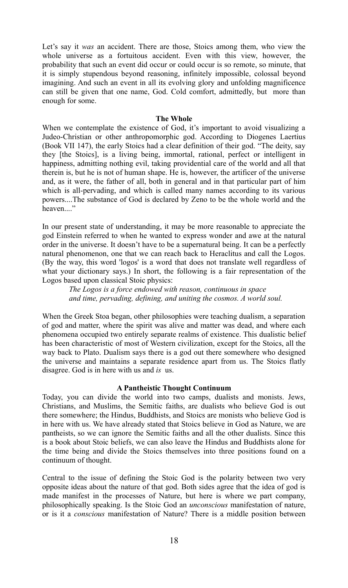Let's say it *was* an accident. There are those, Stoics among them, who view the whole universe as a fortuitous accident. Even with this view, however, the probability that such an event did occur or could occur is so remote, so minute, that it is simply stupendous beyond reasoning, infinitely impossible, colossal beyond imagining. And such an event in all its evolving glory and unfolding magnificence can still be given that one name, God. Cold comfort, admittedly, but more than enough for some.

#### **The Whole**

When we contemplate the existence of God, it's important to avoid visualizing a Judeo-Christian or other anthropomorphic god. According to Diogenes Laertius (Book VII 147), the early Stoics had a clear definition of their god. "The deity, say they [the Stoics], is a living being, immortal, rational, perfect or intelligent in happiness, admitting nothing evil, taking providential care of the world and all that therein is, but he is not of human shape. He is, however, the artificer of the universe and, as it were, the father of all, both in general and in that particular part of him which is all-pervading, and which is called many names according to its various powers....The substance of God is declared by Zeno to be the whole world and the heaven...."

In our present state of understanding, it may be more reasonable to appreciate the god Einstein referred to when he wanted to express wonder and awe at the natural order in the universe. It doesn't have to be a supernatural being. It can be a perfectly natural phenomenon, one that we can reach back to Heraclitus and call the Logos. (By the way, this word 'logos' is a word that does not translate well regardless of what your dictionary says.) In short, the following is a fair representation of the Logos based upon classical Stoic physics:

*The Logos is a force endowed with reason, continuous in space and time, pervading, defining, and uniting the cosmos. A world soul.*

When the Greek Stoa began, other philosophies were teaching dualism, a separation of god and matter, where the spirit was alive and matter was dead, and where each phenomena occupied two entirely separate realms of existence. This dualistic belief has been characteristic of most of Western civilization, except for the Stoics, all the way back to Plato. Dualism says there is a god out there somewhere who designed the universe and maintains a separate residence apart from us. The Stoics flatly disagree. God is in here with us and *is* us.

#### **A Pantheistic Thought Continuum**

Today, you can divide the world into two camps, dualists and monists. Jews, Christians, and Muslims, the Semitic faiths, are dualists who believe God is out there somewhere; the Hindus, Buddhists, and Stoics are monists who believe God is in here with us. We have already stated that Stoics believe in God as Nature, we are pantheists, so we can ignore the Semitic faiths and all the other dualists. Since this is a book about Stoic beliefs, we can also leave the Hindus and Buddhists alone for the time being and divide the Stoics themselves into three positions found on a continuum of thought.

Central to the issue of defining the Stoic God is the polarity between two very opposite ideas about the nature of that god. Both sides agree that the idea of god is made manifest in the processes of Nature, but here is where we part company, philosophically speaking. Is the Stoic God an *unconscious* manifestation of nature, or is it a *conscious* manifestation of Nature? There is a middle position between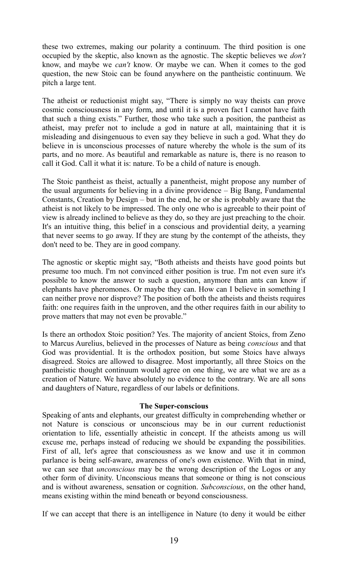these two extremes, making our polarity a continuum. The third position is one occupied by the skeptic, also known as the agnostic. The skeptic believes we *don't* know, and maybe we *can't* know. Or maybe we can. When it comes to the god question, the new Stoic can be found anywhere on the pantheistic continuum. We pitch a large tent.

The atheist or reductionist might say, "There is simply no way theists can prove cosmic consciousness in any form, and until it is a proven fact I cannot have faith that such a thing exists." Further, those who take such a position, the pantheist as atheist, may prefer not to include a god in nature at all, maintaining that it is misleading and disingenuous to even say they believe in such a god. What they do believe in is unconscious processes of nature whereby the whole is the sum of its parts, and no more. As beautiful and remarkable as nature is, there is no reason to call it God. Call it what it is: nature. To be a child of nature is enough.

The Stoic pantheist as theist, actually a panentheist, might propose any number of the usual arguments for believing in a divine providence – Big Bang, Fundamental Constants, Creation by Design – but in the end, he or she is probably aware that the atheist is not likely to be impressed. The only one who is agreeable to their point of view is already inclined to believe as they do, so they are just preaching to the choir. It's an intuitive thing, this belief in a conscious and providential deity, a yearning that never seems to go away. If they are stung by the contempt of the atheists, they don't need to be. They are in good company.

The agnostic or skeptic might say, "Both atheists and theists have good points but presume too much. I'm not convinced either position is true. I'm not even sure it's possible to know the answer to such a question, anymore than ants can know if elephants have pheromones. Or maybe they can. How can I believe in something I can neither prove nor disprove? The position of both the atheists and theists requires faith: one requires faith in the unproven, and the other requires faith in our ability to prove matters that may not even be provable."

Is there an orthodox Stoic position? Yes. The majority of ancient Stoics, from Zeno to Marcus Aurelius, believed in the processes of Nature as being *conscious* and that God was providential. It is the orthodox position, but some Stoics have always disagreed. Stoics are allowed to disagree. Most importantly, all three Stoics on the pantheistic thought continuum would agree on one thing, we are what we are as a creation of Nature. We have absolutely no evidence to the contrary. We are all sons and daughters of Nature, regardless of our labels or definitions.

#### **The Super-conscious**

Speaking of ants and elephants, our greatest difficulty in comprehending whether or not Nature is conscious or unconscious may be in our current reductionist orientation to life, essentially atheistic in concept. If the atheists among us will excuse me, perhaps instead of reducing we should be expanding the possibilities. First of all, let's agree that consciousness as we know and use it in common parlance is being self-aware, awareness of one's own existence. With that in mind, we can see that *unconscious* may be the wrong description of the Logos or any other form of divinity. Unconscious means that someone or thing is not conscious and is without awareness, sensation or cognition. *Subconscious*, on the other hand, means existing within the mind beneath or beyond consciousness.

If we can accept that there is an intelligence in Nature (to deny it would be either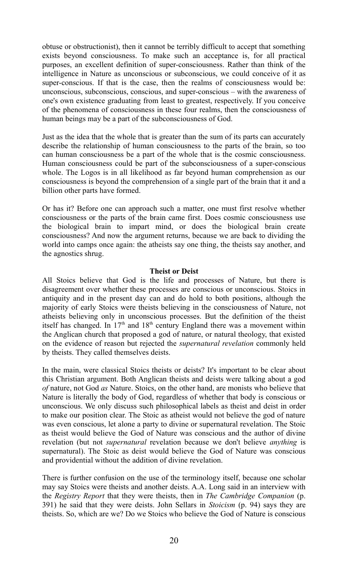obtuse or obstructionist), then it cannot be terribly difficult to accept that something exists beyond consciousness. To make such an acceptance is, for all practical purposes, an excellent definition of super-consciousness. Rather than think of the intelligence in Nature as unconscious or subconscious, we could conceive of it as super-conscious. If that is the case, then the realms of consciousness would be: unconscious, subconscious, conscious, and super-conscious – with the awareness of one's own existence graduating from least to greatest, respectively. If you conceive of the phenomena of consciousness in these four realms, then the consciousness of human beings may be a part of the subconsciousness of God.

Just as the idea that the whole that is greater than the sum of its parts can accurately describe the relationship of human consciousness to the parts of the brain, so too can human consciousness be a part of the whole that is the cosmic consciousness. Human consciousness could be part of the subconsciousness of a super-conscious whole. The Logos is in all likelihood as far beyond human comprehension as our consciousness is beyond the comprehension of a single part of the brain that it and a billion other parts have formed.

Or has it? Before one can approach such a matter, one must first resolve whether consciousness or the parts of the brain came first. Does cosmic consciousness use the biological brain to impart mind, or does the biological brain create consciousness? And now the argument returns, because we are back to dividing the world into camps once again: the atheists say one thing, the theists say another, and the agnostics shrug.

#### **Theist or Deist**

All Stoics believe that God is the life and processes of Nature, but there is disagreement over whether these processes are conscious or unconscious. Stoics in antiquity and in the present day can and do hold to both positions, although the majority of early Stoics were theists believing in the consciousness of Nature, not atheists believing only in unconscious processes. But the definition of the theist itself has changed. In  $17<sup>th</sup>$  and  $18<sup>th</sup>$  century England there was a movement within the Anglican church that proposed a god of nature, or natural theology, that existed on the evidence of reason but rejected the *supernatural revelation* commonly held by theists. They called themselves deists.

In the main, were classical Stoics theists or deists? It's important to be clear about this Christian argument. Both Anglican theists and deists were talking about a god *of* nature, not God *as* Nature. Stoics, on the other hand, are monists who believe that Nature is literally the body of God, regardless of whether that body is conscious or unconscious. We only discuss such philosophical labels as theist and deist in order to make our position clear. The Stoic as atheist would not believe the god of nature was even conscious, let alone a party to divine or supernatural revelation. The Stoic as theist would believe the God of Nature was conscious and the author of divine revelation (but not *supernatural* revelation because we don't believe *anything* is supernatural). The Stoic as deist would believe the God of Nature was conscious and providential without the addition of divine revelation.

There is further confusion on the use of the terminology itself, because one scholar may say Stoics were theists and another deists. A.A. Long said in an interview with the *Registry Report* that they were theists, then in *The Cambridge Companion* (p. 391) he said that they were deists. John Sellars in *Stoicism* (p. 94) says they are theists. So, which are we? Do we Stoics who believe the God of Nature is conscious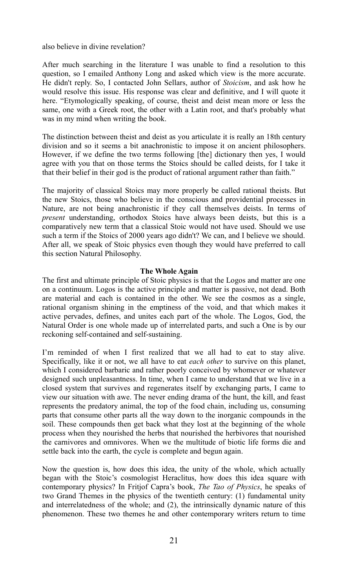also believe in divine revelation?

After much searching in the literature I was unable to find a resolution to this question, so I emailed Anthony Long and asked which view is the more accurate. He didn't reply. So, I contacted John Sellars, author of *Stoicism*, and ask how he would resolve this issue. His response was clear and definitive, and I will quote it here. "Etymologically speaking, of course, theist and deist mean more or less the same, one with a Greek root, the other with a Latin root, and that's probably what was in my mind when writing the book.

The distinction between theist and deist as you articulate it is really an 18th century division and so it seems a bit anachronistic to impose it on ancient philosophers. However, if we define the two terms following [the] dictionary then yes, I would agree with you that on those terms the Stoics should be called deists, for I take it that their belief in their god is the product of rational argument rather than faith."

The majority of classical Stoics may more properly be called rational theists. But the new Stoics, those who believe in the conscious and providential processes in Nature, are not being anachronistic if they call themselves deists. In terms of *present* understanding, orthodox Stoics have always been deists, but this is a comparatively new term that a classical Stoic would not have used. Should we use such a term if the Stoics of 2000 years ago didn't? We can, and I believe we should. After all, we speak of Stoic physics even though they would have preferred to call this section Natural Philosophy.

#### **The Whole Again**

The first and ultimate principle of Stoic physics is that the Logos and matter are one on a continuum. Logos is the active principle and matter is passive, not dead. Both are material and each is contained in the other. We see the cosmos as a single, rational organism shining in the emptiness of the void, and that which makes it active pervades, defines, and unites each part of the whole. The Logos, God, the Natural Order is one whole made up of interrelated parts, and such a One is by our reckoning self-contained and self-sustaining.

I'm reminded of when I first realized that we all had to eat to stay alive. Specifically, like it or not, we all have to eat *each other* to survive on this planet, which I considered barbaric and rather poorly conceived by whomever or whatever designed such unpleasantness. In time, when I came to understand that we live in a closed system that survives and regenerates itself by exchanging parts, I came to view our situation with awe. The never ending drama of the hunt, the kill, and feast represents the predatory animal, the top of the food chain, including us, consuming parts that consume other parts all the way down to the inorganic compounds in the soil. These compounds then get back what they lost at the beginning of the whole process when they nourished the herbs that nourished the herbivores that nourished the carnivores and omnivores. When we the multitude of biotic life forms die and settle back into the earth, the cycle is complete and begun again.

Now the question is, how does this idea, the unity of the whole, which actually began with the Stoic's cosmologist Heraclitus, how does this idea square with contemporary physics? In Fritjof Capra's book, *The Tao of Physics*, he speaks of two Grand Themes in the physics of the twentieth century: (1) fundamental unity and interrelatedness of the whole; and (2), the intrinsically dynamic nature of this phenomenon. These two themes he and other contemporary writers return to time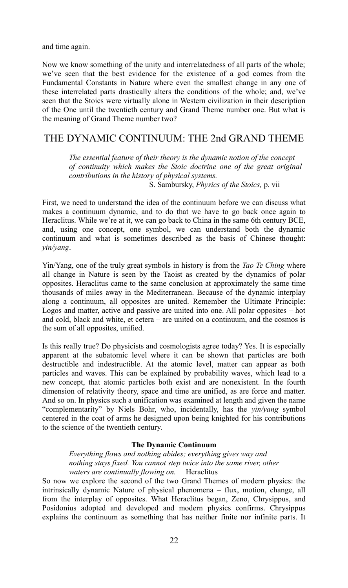and time again.

Now we know something of the unity and interrelatedness of all parts of the whole; we've seen that the best evidence for the existence of a god comes from the Fundamental Constants in Nature where even the smallest change in any one of these interrelated parts drastically alters the conditions of the whole; and, we've seen that the Stoics were virtually alone in Western civilization in their description of the One until the twentieth century and Grand Theme number one. But what is the meaning of Grand Theme number two?

# THE DYNAMIC CONTINUUM: THE 2nd GRAND THEME

*The essential feature of their theory is the dynamic notion of the concept of continuity which makes the Stoic doctrine one of the great original contributions in the history of physical systems.*  S. Sambursky, *Physics of the Stoics,* p. vii

First, we need to understand the idea of the continuum before we can discuss what makes a continuum dynamic, and to do that we have to go back once again to Heraclitus. While we're at it, we can go back to China in the same 6th century BCE, and, using one concept, one symbol, we can understand both the dynamic continuum and what is sometimes described as the basis of Chinese thought: *yin/yang*.

Yin/Yang, one of the truly great symbols in history is from the *Tao Te Ching* where all change in Nature is seen by the Taoist as created by the dynamics of polar opposites. Heraclitus came to the same conclusion at approximately the same time thousands of miles away in the Mediterranean. Because of the dynamic interplay along a continuum, all opposites are united. Remember the Ultimate Principle: Logos and matter, active and passive are united into one. All polar opposites – hot and cold, black and white, et cetera – are united on a continuum, and the cosmos is the sum of all opposites, unified.

Is this really true? Do physicists and cosmologists agree today? Yes. It is especially apparent at the subatomic level where it can be shown that particles are both destructible and indestructible. At the atomic level, matter can appear as both particles and waves. This can be explained by probability waves, which lead to a new concept, that atomic particles both exist and are nonexistent. In the fourth dimension of relativity theory, space and time are unified, as are force and matter. And so on. In physics such a unification was examined at length and given the name "complementarity" by Niels Bohr, who, incidentally, has the *yin/yang* symbol centered in the coat of arms he designed upon being knighted for his contributions to the science of the twentieth century.

#### **The Dynamic Continuum**

*Everything flows and nothing abides; everything gives way and nothing stays fixed. You cannot step twice into the same river, other waters are continually flowing on.* Heraclitus

So now we explore the second of the two Grand Themes of modern physics: the intrinsically dynamic Nature of physical phenomena – flux, motion, change, all from the interplay of opposites. What Heraclitus began, Zeno, Chrysippus, and Posidonius adopted and developed and modern physics confirms. Chrysippus explains the continuum as something that has neither finite nor infinite parts. It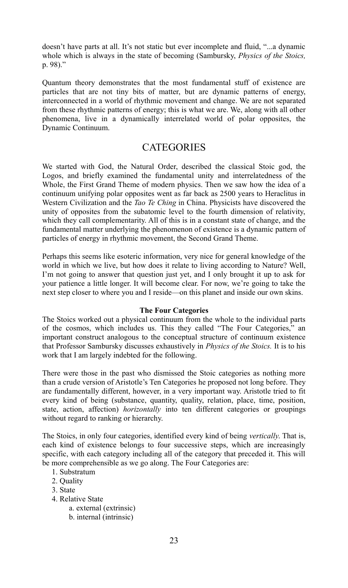doesn't have parts at all. It's not static but ever incomplete and fluid, "...a dynamic whole which is always in the state of becoming (Sambursky, *Physics of the Stoics,* p. 98)."

Quantum theory demonstrates that the most fundamental stuff of existence are particles that are not tiny bits of matter, but are dynamic patterns of energy, interconnected in a world of rhythmic movement and change. We are not separated from these rhythmic patterns of energy; this is what we are. We, along with all other phenomena, live in a dynamically interrelated world of polar opposites, the Dynamic Continuum.

# **CATEGORIES**

We started with God, the Natural Order, described the classical Stoic god, the Logos, and briefly examined the fundamental unity and interrelatedness of the Whole, the First Grand Theme of modern physics. Then we saw how the idea of a continuum unifying polar opposites went as far back as 2500 years to Heraclitus in Western Civilization and the *Tao Te Ching* in China. Physicists have discovered the unity of opposites from the subatomic level to the fourth dimension of relativity, which they call complementarity. All of this is in a constant state of change, and the fundamental matter underlying the phenomenon of existence is a dynamic pattern of particles of energy in rhythmic movement, the Second Grand Theme.

Perhaps this seems like esoteric information, very nice for general knowledge of the world in which we live, but how does it relate to living according to Nature? Well, I'm not going to answer that question just yet, and I only brought it up to ask for your patience a little longer. It will become clear. For now, we're going to take the next step closer to where you and I reside—on this planet and inside our own skins.

#### **The Four Categories**

The Stoics worked out a physical continuum from the whole to the individual parts of the cosmos, which includes us. This they called "The Four Categories," an important construct analogous to the conceptual structure of continuum existence that Professor Sambursky discusses exhaustively in *Physics of the Stoics.* It is to his work that I am largely indebted for the following.

There were those in the past who dismissed the Stoic categories as nothing more than a crude version of Aristotle's Ten Categories he proposed not long before. They are fundamentally different, however, in a very important way. Aristotle tried to fit every kind of being (substance, quantity, quality, relation, place, time, position, state, action, affection) *horizontally* into ten different categories or groupings without regard to ranking or hierarchy.

The Stoics, in only four categories, identified every kind of being *vertically*. That is, each kind of existence belongs to four successive steps, which are increasingly specific, with each category including all of the category that preceded it. This will be more comprehensible as we go along. The Four Categories are:

- 1. Substratum
- 2. Quality
- 3. State
- 4. Relative State
	- a. external (extrinsic)
	- b. internal (intrinsic)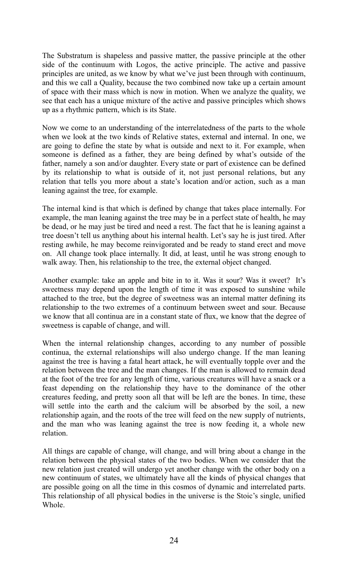The Substratum is shapeless and passive matter, the passive principle at the other side of the continuum with Logos, the active principle. The active and passive principles are united, as we know by what we've just been through with continuum, and this we call a Quality, because the two combined now take up a certain amount of space with their mass which is now in motion. When we analyze the quality, we see that each has a unique mixture of the active and passive principles which shows up as a rhythmic pattern, which is its State.

Now we come to an understanding of the interrelatedness of the parts to the whole when we look at the two kinds of Relative states, external and internal. In one, we are going to define the state by what is outside and next to it. For example, when someone is defined as a father, they are being defined by what's outside of the father, namely a son and/or daughter. Every state or part of existence can be defined by its relationship to what is outside of it, not just personal relations, but any relation that tells you more about a state's location and/or action, such as a man leaning against the tree, for example.

The internal kind is that which is defined by change that takes place internally. For example, the man leaning against the tree may be in a perfect state of health, he may be dead, or he may just be tired and need a rest. The fact that he is leaning against a tree doesn't tell us anything about his internal health. Let's say he is just tired. After resting awhile, he may become reinvigorated and be ready to stand erect and move on. All change took place internally. It did, at least, until he was strong enough to walk away. Then, his relationship to the tree, the external object changed.

Another example: take an apple and bite in to it. Was it sour? Was it sweet? It's sweetness may depend upon the length of time it was exposed to sunshine while attached to the tree, but the degree of sweetness was an internal matter defining its relationship to the two extremes of a continuum between sweet and sour. Because we know that all continua are in a constant state of flux, we know that the degree of sweetness is capable of change, and will.

When the internal relationship changes, according to any number of possible continua, the external relationships will also undergo change. If the man leaning against the tree is having a fatal heart attack, he will eventually topple over and the relation between the tree and the man changes. If the man is allowed to remain dead at the foot of the tree for any length of time, various creatures will have a snack or a feast depending on the relationship they have to the dominance of the other creatures feeding, and pretty soon all that will be left are the bones. In time, these will settle into the earth and the calcium will be absorbed by the soil, a new relationship again, and the roots of the tree will feed on the new supply of nutrients, and the man who was leaning against the tree is now feeding it, a whole new relation.

All things are capable of change, will change, and will bring about a change in the relation between the physical states of the two bodies. When we consider that the new relation just created will undergo yet another change with the other body on a new continuum of states, we ultimately have all the kinds of physical changes that are possible going on all the time in this cosmos of dynamic and interrelated parts. This relationship of all physical bodies in the universe is the Stoic's single, unified **Whole**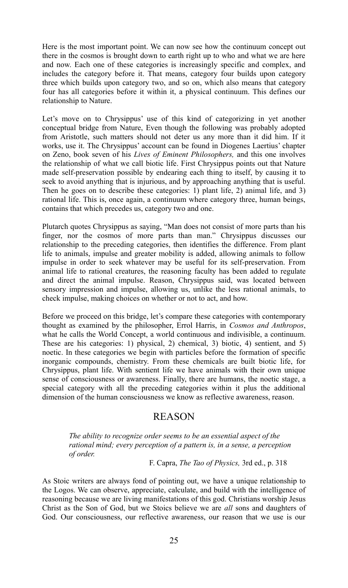Here is the most important point. We can now see how the continuum concept out there in the cosmos is brought down to earth right up to who and what we are here and now. Each one of these categories is increasingly specific and complex, and includes the category before it. That means, category four builds upon category three which builds upon category two, and so on, which also means that category four has all categories before it within it, a physical continuum. This defines our relationship to Nature.

Let's move on to Chrysippus' use of this kind of categorizing in yet another conceptual bridge from Nature, Even though the following was probably adopted from Aristotle, such matters should not deter us any more than it did him. If it works, use it. The Chrysippus' account can be found in Diogenes Laertius' chapter on Zeno, book seven of his *Lives of Eminent Philosophers,* and this one involves the relationship of what we call biotic life. First Chrysippus points out that Nature made self-preservation possible by endearing each thing to itself, by causing it to seek to avoid anything that is injurious, and by approaching anything that is useful. Then he goes on to describe these categories: 1) plant life, 2) animal life, and 3) rational life. This is, once again, a continuum where category three, human beings, contains that which precedes us, category two and one.

Plutarch quotes Chrysippus as saying, "Man does not consist of more parts than his finger, nor the cosmos of more parts than man." Chrysippus discusses our relationship to the preceding categories, then identifies the difference. From plant life to animals, impulse and greater mobility is added, allowing animals to follow impulse in order to seek whatever may be useful for its self-preservation. From animal life to rational creatures, the reasoning faculty has been added to regulate and direct the animal impulse. Reason, Chrysippus said, was located between sensory impression and impulse, allowing us, unlike the less rational animals, to check impulse, making choices on whether or not to act, and how.

Before we proceed on this bridge, let's compare these categories with contemporary thought as examined by the philosopher, Errol Harris, in *Cosmos and Anthropos*, what he calls the World Concept, a world continuous and indivisible, a continuum. These are his categories: 1) physical, 2) chemical, 3) biotic, 4) sentient, and 5) noetic. In these categories we begin with particles before the formation of specific inorganic compounds, chemistry. From these chemicals are built biotic life, for Chrysippus, plant life. With sentient life we have animals with their own unique sense of consciousness or awareness. Finally, there are humans, the noetic stage, a special category with all the preceding categories within it plus the additional dimension of the human consciousness we know as reflective awareness, reason.

## REASON

*The ability to recognize order seems to be an essential aspect of the rational mind; every perception of a pattern is, in a sense, a perception of order.*

F. Capra, *The Tao of Physics,* 3rd ed., p. 318

As Stoic writers are always fond of pointing out, we have a unique relationship to the Logos. We can observe, appreciate, calculate, and build with the intelligence of reasoning because we are living manifestations of this god. Christians worship Jesus Christ as the Son of God, but we Stoics believe we are *all* sons and daughters of God. Our consciousness, our reflective awareness, our reason that we use is our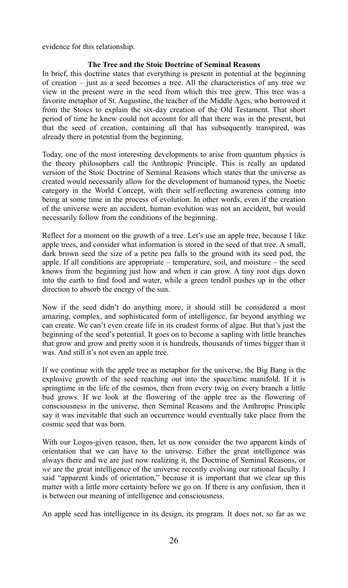evidence for this relationship.

#### **The Tree and the Stoic Doctrine of Seminal Reasons**

In brief, this doctrine states that everything is present in potential at the beginning of creation – just as a seed becomes a tree. All the characteristics of any tree we view in the present were in the seed from which this tree grew. This tree was a favorite metaphor of St. Augustine, the teacher of the Middle Ages, who borrowed it from the Stoics to explain the six-day creation of the Old Testament. That short period of time he knew could not account for all that there was in the present, but that the seed of creation, containing all that has subsequently transpired, was already there in potential from the beginning.

Today, one of the most interesting developments to arise from quantum physics is the theory philosophers call the Anthropic Principle. This is really an updated version of the Stoic Doctrine of Seminal Reasons which states that the universe as created would necessarily allow for the development of humanoid types, the Noetic category in the World Concept, with their self-reflecting awareness coming into being at some time in the process of evolution. In other words, even if the creation of the universe were an accident, human evolution was not an accident, but would necessarily follow from the conditions of the beginning.

Reflect for a moment on the growth of a tree. Let's use an apple tree, because I like apple trees, and consider what information is stored in the seed of that tree. A small, dark brown seed the size of a petite pea falls to the ground with its seed pod, the apple. If all conditions are appropriate – temperature, soil, and moisture – the seed knows from the beginning just how and when it can grow. A tiny root digs down into the earth to find food and water, while a green tendril pushes up in the other direction to absorb the energy of the sun.

Now if the seed didn't do anything more, it should still be considered a most amazing, complex, and sophisticated form of intelligence, far beyond anything we can create. We can't even create life in its crudest forms of algae. But that's just the beginning of the seed's potential. It goes on to become a sapling with little branches that grow and grow and pretty soon it is hundreds, thousands of times bigger than it was. And still it's not even an apple tree.

If we continue with the apple tree as metaphor for the universe, the Big Bang is the explosive growth of the seed reaching out into the space/time manifold. If it is springtime in the life of the cosmos, then from every twig on every branch a little bud grows. If we look at the flowering of the apple tree as the flowering of consciousness in the universe, then Seminal Reasons and the Anthropic Principle say it was inevitable that such an occurrence would eventually take place from the cosmic seed that was born.

With our Logos-given reason, then, let us now consider the two apparent kinds of orientation that we can have to the universe. Either the great intelligence was always there and we are just now realizing it, the Doctrine of Seminal Reasons, or *we* are the great intelligence of the universe recently evolving our rational faculty. I said "apparent kinds of orientation," because it is important that we clear up this matter with a little more certainty before we go on. If there is any confusion, then it is between our meaning of intelligence and consciousness.

An apple seed has intelligence in its design, its program. It does not, so far as we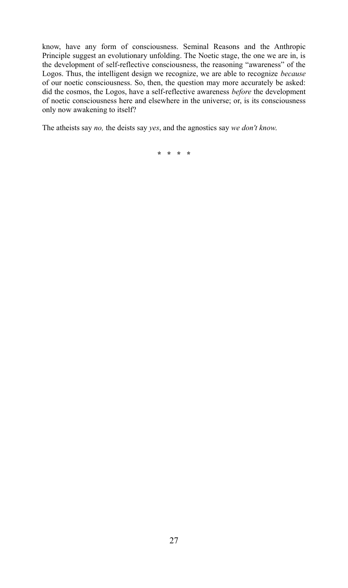know, have any form of consciousness. Seminal Reasons and the Anthropic Principle suggest an evolutionary unfolding. The Noetic stage, the one we are in, is the development of self-reflective consciousness, the reasoning "awareness" of the Logos. Thus, the intelligent design we recognize, we are able to recognize *because* of our noetic consciousness. So, then, the question may more accurately be asked: did the cosmos, the Logos, have a self-reflective awareness *before* the development of noetic consciousness here and elsewhere in the universe; or, is its consciousness only now awakening to itself?

The atheists say *no,* the deists say *yes*, and the agnostics say *we don't know*.

**\* \* \* \***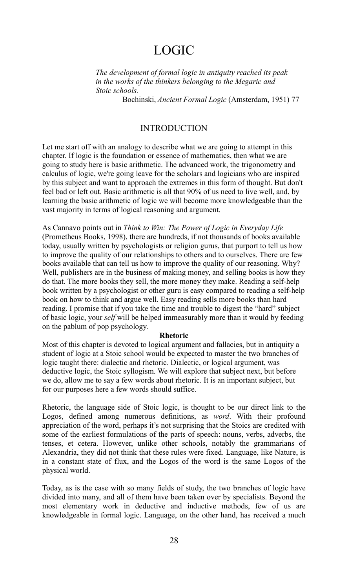# LOGIC

*The development of formal logic in antiquity reached its peak in the works of the thinkers belonging to the Megaric and Stoic schools.*

Bochinski, *Ancient Formal Logic* (Amsterdam, 1951) 77

#### INTRODUCTION

Let me start off with an analogy to describe what we are going to attempt in this chapter. If logic is the foundation or essence of mathematics, then what we are going to study here is basic arithmetic. The advanced work, the trigonometry and calculus of logic, we're going leave for the scholars and logicians who are inspired by this subject and want to approach the extremes in this form of thought. But don't feel bad or left out. Basic arithmetic is all that 90% of us need to live well, and, by learning the basic arithmetic of logic we will become more knowledgeable than the vast majority in terms of logical reasoning and argument.

As Cannavo points out in *Think to Win: The Power of Logic in Everyday Life* (Prometheus Books, 1998), there are hundreds, if not thousands of books available today, usually written by psychologists or religion gurus, that purport to tell us how to improve the quality of our relationships to others and to ourselves. There are few books available that can tell us how to improve the quality of our reasoning. Why? Well, publishers are in the business of making money, and selling books is how they do that. The more books they sell, the more money they make. Reading a self-help book written by a psychologist or other guru is easy compared to reading a self-help book on how to think and argue well. Easy reading sells more books than hard reading. I promise that if you take the time and trouble to digest the "hard" subject of basic logic, your *self* will be helped immeasurably more than it would by feeding on the pablum of pop psychology.

#### **Rhetoric**

Most of this chapter is devoted to logical argument and fallacies, but in antiquity a student of logic at a Stoic school would be expected to master the two branches of logic taught there: dialectic and rhetoric. Dialectic, or logical argument, was deductive logic, the Stoic syllogism. We will explore that subject next, but before we do, allow me to say a few words about rhetoric. It is an important subject, but for our purposes here a few words should suffice.

Rhetoric, the language side of Stoic logic, is thought to be our direct link to the Logos, defined among numerous definitions, as *word*. With their profound appreciation of the word, perhaps it's not surprising that the Stoics are credited with some of the earliest formulations of the parts of speech: nouns, verbs, adverbs, the tenses, et cetera. However, unlike other schools, notably the grammarians of Alexandria, they did not think that these rules were fixed. Language, like Nature, is in a constant state of flux, and the Logos of the word is the same Logos of the physical world.

Today, as is the case with so many fields of study, the two branches of logic have divided into many, and all of them have been taken over by specialists. Beyond the most elementary work in deductive and inductive methods, few of us are knowledgeable in formal logic. Language, on the other hand, has received a much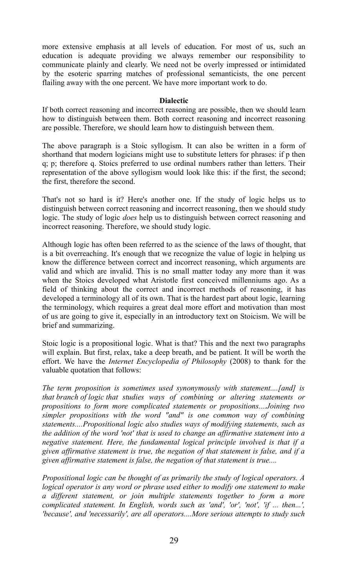more extensive emphasis at all levels of education. For most of us, such an education is adequate providing we always remember our responsibility to communicate plainly and clearly. We need not be overly impressed or intimidated by the esoteric sparring matches of professional semanticists, the one percent flailing away with the one percent. We have more important work to do.

#### **Dialectic**

If both correct reasoning and incorrect reasoning are possible, then we should learn how to distinguish between them. Both correct reasoning and incorrect reasoning are possible. Therefore, we should learn how to distinguish between them.

The above paragraph is a Stoic syllogism. It can also be written in a form of shorthand that modern logicians might use to substitute letters for phrases: if p then q; p; therefore q. Stoics preferred to use ordinal numbers rather than letters. Their representation of the above syllogism would look like this: if the first, the second; the first, therefore the second.

That's not so hard is it? Here's another one. If the study of logic helps us to distinguish between correct reasoning and incorrect reasoning, then we should study logic. The study of logic *does* help us to distinguish between correct reasoning and incorrect reasoning. Therefore, we should study logic.

Although logic has often been referred to as the science of the laws of thought, that is a bit overreaching. It's enough that we recognize the value of logic in helping us know the difference between correct and incorrect reasoning, which arguments are valid and which are invalid. This is no small matter today any more than it was when the Stoics developed what Aristotle first conceived millenniums ago. As a field of thinking about the correct and incorrect methods of reasoning, it has developed a terminology all of its own. That is the hardest part about logic, learning the terminology, which requires a great deal more effort and motivation than most of us are going to give it, especially in an introductory text on Stoicism. We will be brief and summarizing.

Stoic logic is a propositional logic. What is that? This and the next two paragraphs will explain. But first, relax, take a deep breath, and be patient. It will be worth the effort. We have the *Internet Encyclopedia of Philosophy* (2008) to thank for the valuable quotation that follows:

*The term proposition is sometimes used synonymously with statement....[and] is that branch of logic that studies ways of combining or altering statements or propositions to form more complicated statements or propositions....Joining two simpler propositions with the word "and" is one common way of combining statements....Propositional logic also studies ways of modifying statements, such as the addition of the word 'not' that is used to change an affirmative statement into a negative statement. Here, the fundamental logical principle involved is that if a given affirmative statement is true, the negation of that statement is false, and if a given affirmative statement is false, the negation of that statement is true....*

*Propositional logic can be thought of as primarily the study of logical operators. A logical operator is any word or phrase used either to modify one statement to make a different statement, or join multiple statements together to form a more complicated statement. In English, words such as 'and', 'or', 'not', 'if ... then...', 'because', and 'necessarily', are all operators....More serious attempts to study such*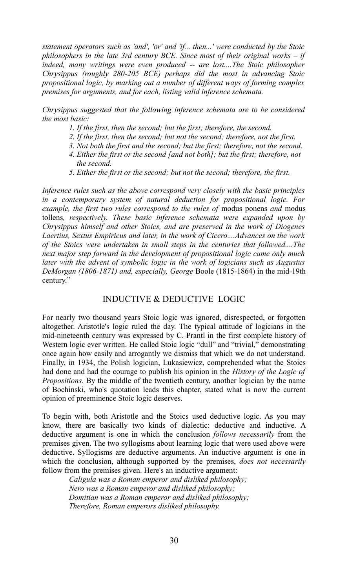*statement operators such as 'and', 'or' and 'if... then...' were conducted by the Stoic philosophers in the late 3rd century BCE. Since most of their original works – if indeed, many writings were even produced -- are lost....The Stoic philosopher Chrysippus (roughly 280-205 BCE) perhaps did the most in advancing Stoic propositional logic, by marking out a number of different ways of forming complex premises for arguments, and for each, listing valid inference schemata.* 

*Chrysippus suggested that the following inference schemata are to be considered the most basic:*

- *1. If the first, then the second; but the first; therefore, the second.*
- *2. If the first, then the second; but not the second; therefore, not the first.*
- *3. Not both the first and the second; but the first; therefore, not the second.*
- *4. Either the first or the second [and not both]; but the first; therefore, not the second.*
- *5. Either the first or the second; but not the second; therefore, the first.*

*Inference rules such as the above correspond very closely with the basic principles in a contemporary system of natural deduction for propositional logic. For example, the first two rules correspond to the rules of modus ponens and modus* tollens*, respectively. These basic inference schemata were expanded upon by Chrysippus himself and other Stoics, and are preserved in the work of Diogenes Laertius, Sextus Empiricus and later, in the work of Cicero....Advances on the work of the Stoics were undertaken in small steps in the centuries that followed....The next major step forward in the development of propositional logic came only much later with the advent of symbolic logic in the work of logicians such as Augustus DeMorgan (1806-1871) and, especially, George* Boole (1815-1864) in the mid-19th century."

#### INDUCTIVE & DEDUCTIVE LOGIC

For nearly two thousand years Stoic logic was ignored, disrespected, or forgotten altogether. Aristotle's logic ruled the day. The typical attitude of logicians in the mid-nineteenth century was expressed by C. Prantl in the first complete history of Western logic ever written. He called Stoic logic "dull" and "trivial," demonstrating once again how easily and arrogantly we dismiss that which we do not understand. Finally, in 1934, the Polish logician, Lukasiewicz, comprehended what the Stoics had done and had the courage to publish his opinion in the *History of the Logic of Propositions.* By the middle of the twentieth century, another logician by the name of Bochinski, who's quotation leads this chapter, stated what is now the current opinion of preeminence Stoic logic deserves.

To begin with, both Aristotle and the Stoics used deductive logic. As you may know, there are basically two kinds of dialectic: deductive and inductive. A deductive argument is one in which the conclusion *follows necessarily* from the premises given. The two syllogisms about learning logic that were used above were deductive. Syllogisms are deductive arguments. An inductive argument is one in which the conclusion, although supported by the premises, *does not necessarily* follow from the premises given. Here's an inductive argument:

> *Caligula was a Roman emperor and disliked philosophy; Nero was a Roman emperor and disliked philosophy; Domitian was a Roman emperor and disliked philosophy; Therefore, Roman emperors disliked philosophy.*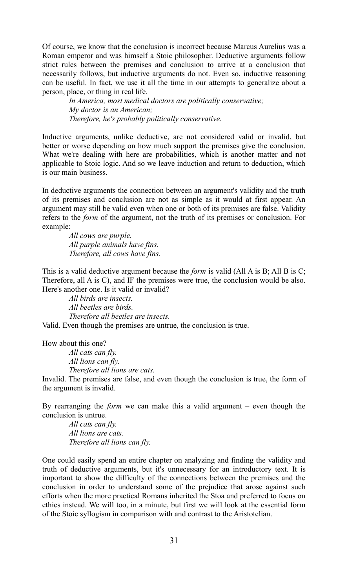Of course, we know that the conclusion is incorrect because Marcus Aurelius was a Roman emperor and was himself a Stoic philosopher. Deductive arguments follow strict rules between the premises and conclusion to arrive at a conclusion that necessarily follows, but inductive arguments do not. Even so, inductive reasoning can be useful. In fact, we use it all the time in our attempts to generalize about a person, place, or thing in real life.

> *In America, most medical doctors are politically conservative; My doctor is an American; Therefore, he's probably politically conservative.*

Inductive arguments, unlike deductive, are not considered valid or invalid, but better or worse depending on how much support the premises give the conclusion. What we're dealing with here are probabilities, which is another matter and not applicable to Stoic logic. And so we leave induction and return to deduction, which is our main business.

In deductive arguments the connection between an argument's validity and the truth of its premises and conclusion are not as simple as it would at first appear. An argument may still be valid even when one or both of its premises are false. Validity refers to the *form* of the argument, not the truth of its premises or conclusion. For example:

> *All cows are purple. All purple animals have fins. Therefore, all cows have fins.*

This is a valid deductive argument because the *form* is valid (All A is B; All B is C; Therefore, all A is C), and IF the premises were true, the conclusion would be also. Here's another one. Is it valid or invalid?

*All birds are insects. All beetles are birds. Therefore all beetles are insects.*

Valid. Even though the premises are untrue, the conclusion is true.

How about this one?

*All cats can fly. All lions can fly.*

*Therefore all lions are cats.*

Invalid. The premises are false, and even though the conclusion is true, the form of the argument is invalid.

By rearranging the *form* we can make this a valid argument – even though the conclusion is untrue.

*All cats can fly. All lions are cats. Therefore all lions can fly.* 

One could easily spend an entire chapter on analyzing and finding the validity and truth of deductive arguments, but it's unnecessary for an introductory text. It is important to show the difficulty of the connections between the premises and the conclusion in order to understand some of the prejudice that arose against such efforts when the more practical Romans inherited the Stoa and preferred to focus on ethics instead. We will too, in a minute, but first we will look at the essential form of the Stoic syllogism in comparison with and contrast to the Aristotelian.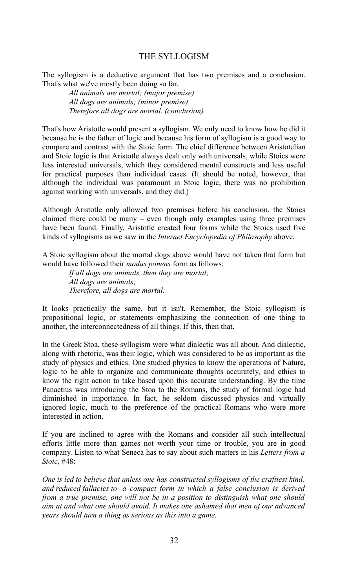#### THE SYLLOGISM

The syllogism is a deductive argument that has two premises and a conclusion. That's what we've mostly been doing so far.

> *All animals are mortal; (major premise) All dogs are animals; (minor premise) Therefore all dogs are mortal. (conclusion)*

That's how Aristotle would present a syllogism. We only need to know how he did it because he is the father of logic and because his form of syllogism is a good way to compare and contrast with the Stoic form. The chief difference between Aristotelian and Stoic logic is that Aristotle always dealt only with universals, while Stoics were less interested universals, which they considered mental constructs and less useful for practical purposes than individual cases. (It should be noted, however, that although the individual was paramount in Stoic logic, there was no prohibition against working with universals, and they did.)

Although Aristotle only allowed two premises before his conclusion, the Stoics claimed there could be many – even though only examples using three premises have been found. Finally, Aristotle created four forms while the Stoics used five kinds of syllogisms as we saw in the *Internet Encyclopedia of Philosophy* above.

A Stoic syllogism about the mortal dogs above would have not taken that form but would have followed their *modus ponens* form as follows:

> *If all dogs are animals, then they are mortal; All dogs are animals; Therefore, all dogs are mortal.*

It looks practically the same, but it isn't. Remember, the Stoic syllogism is propositional logic, or statements emphasizing the connection of one thing to another, the interconnectedness of all things. If this, then that.

In the Greek Stoa, these syllogism were what dialectic was all about. And dialectic, along with rhetoric, was their logic, which was considered to be as important as the study of physics and ethics. One studied physics to know the operations of Nature, logic to be able to organize and communicate thoughts accurately, and ethics to know the right action to take based upon this accurate understanding. By the time Panaetius was introducing the Stoa to the Romans, the study of formal logic had diminished in importance. In fact, he seldom discussed physics and virtually ignored logic, much to the preference of the practical Romans who were more interested in action.

If you are inclined to agree with the Romans and consider all such intellectual efforts little more than games not worth your time or trouble, you are in good company. Listen to what Seneca has to say about such matters in his *Letters from a Stoic*, #48:

*One is led to believe that unless one has constructed syllogisms of the craftiest kind, and reduced fallacies to a compact form in which a false conclusion is derived from a true premise, one will not be in a position to distinguish what one should aim at and what one should avoid. It makes one ashamed that men of our advanced years should turn a thing as serious as this into a game.*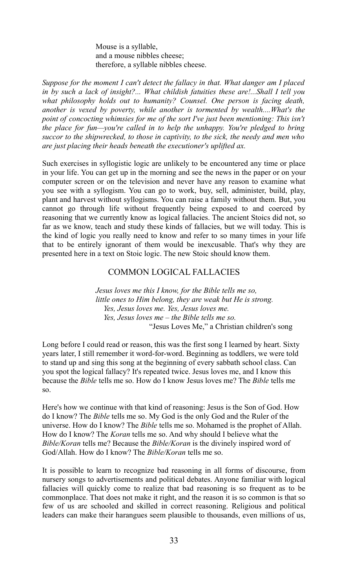Mouse is a syllable, and a mouse nibbles cheese; therefore, a syllable nibbles cheese.

*Suppose for the moment I can't detect the fallacy in that. What danger am I placed in by such a lack of insight?... What childish fatuities these are!...Shall I tell you what philosophy holds out to humanity? Counsel. One person is facing death, another is vexed by poverty, while another is tormented by wealth....What's the point of concocting whimsies for me of the sort I've just been mentioning: This isn't the place for fun—you're called in to help the unhappy. You're pledged to bring succor to the shipwrecked, to those in captivity, to the sick, the needy and men who are just placing their heads beneath the executioner's uplifted ax.*

Such exercises in syllogistic logic are unlikely to be encountered any time or place in your life. You can get up in the morning and see the news in the paper or on your computer screen or on the television and never have any reason to examine what you see with a syllogism. You can go to work, buy, sell, administer, build, play, plant and harvest without syllogisms. You can raise a family without them. But, you cannot go through life without frequently being exposed to and coerced by reasoning that we currently know as logical fallacies. The ancient Stoics did not, so far as we know, teach and study these kinds of fallacies, but we will today. This is the kind of logic you really need to know and refer to so many times in your life that to be entirely ignorant of them would be inexcusable. That's why they are presented here in a text on Stoic logic. The new Stoic should know them.

#### COMMON LOGICAL FALLACIES

*Jesus loves me this I know, for the Bible tells me so, little ones to Him belong, they are weak but He is strong. Yes, Jesus loves me. Yes, Jesus loves me. Yes, Jesus loves me – the Bible tells me so.* "Jesus Loves Me," a Christian children's song

Long before I could read or reason, this was the first song I learned by heart. Sixty years later, I still remember it word-for-word. Beginning as toddlers, we were told to stand up and sing this song at the beginning of every sabbath school class. Can you spot the logical fallacy? It's repeated twice. Jesus loves me, and I know this because the *Bible* tells me so. How do I know Jesus loves me? The *Bible* tells me so.

Here's how we continue with that kind of reasoning: Jesus is the Son of God. How do I know? The *Bible* tells me so. My God is the only God and the Ruler of the universe. How do I know? The *Bible* tells me so. Mohamed is the prophet of Allah. How do I know? The *Koran* tells me so. And why should I believe what the *Bible/Koran* tells me? Because the *Bible/Koran* is the divinely inspired word of God/Allah. How do I know? The *Bible/Koran* tells me so.

It is possible to learn to recognize bad reasoning in all forms of discourse, from nursery songs to advertisements and political debates. Anyone familiar with logical fallacies will quickly come to realize that bad reasoning is so frequent as to be commonplace. That does not make it right, and the reason it is so common is that so few of us are schooled and skilled in correct reasoning. Religious and political leaders can make their harangues seem plausible to thousands, even millions of us,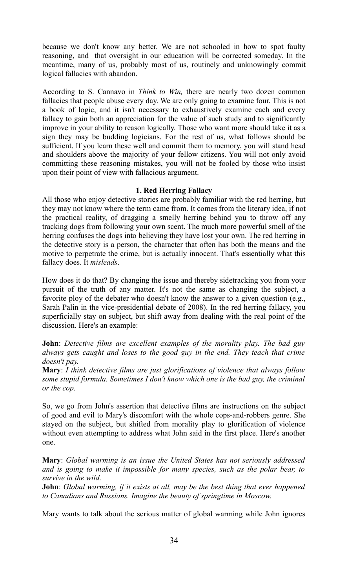because we don't know any better. We are not schooled in how to spot faulty reasoning, and that oversight in our education will be corrected someday. In the meantime, many of us, probably most of us, routinely and unknowingly commit logical fallacies with abandon.

According to S. Cannavo in *Think to Win,* there are nearly two dozen common fallacies that people abuse every day. We are only going to examine four. This is not a book of logic, and it isn't necessary to exhaustively examine each and every fallacy to gain both an appreciation for the value of such study and to significantly improve in your ability to reason logically. Those who want more should take it as a sign they may be budding logicians. For the rest of us, what follows should be sufficient. If you learn these well and commit them to memory, you will stand head and shoulders above the majority of your fellow citizens. You will not only avoid committing these reasoning mistakes, you will not be fooled by those who insist upon their point of view with fallacious argument.

#### **1. Red Herring Fallacy**

All those who enjoy detective stories are probably familiar with the red herring, but they may not know where the term came from. It comes from the literary idea, if not the practical reality, of dragging a smelly herring behind you to throw off any tracking dogs from following your own scent. The much more powerful smell of the herring confuses the dogs into believing they have lost your own. The red herring in the detective story is a person, the character that often has both the means and the motive to perpetrate the crime, but is actually innocent. That's essentially what this fallacy does. It *misleads*.

How does it do that? By changing the issue and thereby sidetracking you from your pursuit of the truth of any matter. It's not the same as changing the subject, a favorite ploy of the debater who doesn't know the answer to a given question (e.g., Sarah Palin in the vice-presidential debate of 2008). In the red herring fallacy, you superficially stay on subject, but shift away from dealing with the real point of the discussion. Here's an example:

**John**: *Detective films are excellent examples of the morality play. The bad guy always gets caught and loses to the good guy in the end. They teach that crime doesn't pay.*

**Mary**: *I think detective films are just glorifications of violence that always follow some stupid formula. Sometimes I don't know which one is the bad guy, the criminal or the cop.*

So, we go from John's assertion that detective films are instructions on the subject of good and evil to Mary's discomfort with the whole cops-and-robbers genre. She stayed on the subject, but shifted from morality play to glorification of violence without even attempting to address what John said in the first place. Here's another one.

**Mary**: *Global warming is an issue the United States has not seriously addressed and is going to make it impossible for many species, such as the polar bear, to survive in the wild.* 

**John**: *Global warming, if it exists at all, may be the best thing that ever happened to Canadians and Russians. Imagine the beauty of springtime in Moscow.*

Mary wants to talk about the serious matter of global warming while John ignores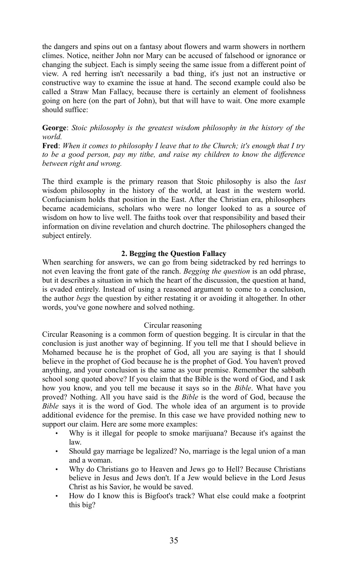the dangers and spins out on a fantasy about flowers and warm showers in northern climes. Notice, neither John nor Mary can be accused of falsehood or ignorance or changing the subject. Each is simply seeing the same issue from a different point of view. A red herring isn't necessarily a bad thing, it's just not an instructive or constructive way to examine the issue at hand. The second example could also be called a Straw Man Fallacy, because there is certainly an element of foolishness going on here (on the part of John), but that will have to wait. One more example should suffice:

**George**: *Stoic philosophy is the greatest wisdom philosophy in the history of the world.*

**Fred**: *When it comes to philosophy I leave that to the Church; it's enough that I try to be a good person, pay my tithe, and raise my children to know the difference between right and wrong.*

The third example is the primary reason that Stoic philosophy is also the *last* wisdom philosophy in the history of the world, at least in the western world. Confucianism holds that position in the East. After the Christian era, philosophers became academicians, scholars who were no longer looked to as a source of wisdom on how to live well. The faiths took over that responsibility and based their information on divine revelation and church doctrine. The philosophers changed the subject entirely.

#### **2. Begging the Question Fallacy**

When searching for answers, we can go from being sidetracked by red herrings to not even leaving the front gate of the ranch. *Begging the question* is an odd phrase, but it describes a situation in which the heart of the discussion, the question at hand, is evaded entirely. Instead of using a reasoned argument to come to a conclusion, the author *begs* the question by either restating it or avoiding it altogether. In other words, you've gone nowhere and solved nothing.

#### Circular reasoning

Circular Reasoning is a common form of question begging. It is circular in that the conclusion is just another way of beginning. If you tell me that I should believe in Mohamed because he is the prophet of God, all you are saying is that I should believe in the prophet of God because he is the prophet of God. You haven't proved anything, and your conclusion is the same as your premise. Remember the sabbath school song quoted above? If you claim that the Bible is the word of God, and I ask how you know, and you tell me because it says so in the *Bible*. What have you proved? Nothing. All you have said is the *Bible* is the word of God, because the *Bible* says it is the word of God. The whole idea of an argument is to provide additional evidence for the premise. In this case we have provided nothing new to support our claim. Here are some more examples:

- Why is it illegal for people to smoke marijuana? Because it's against the law.
- Should gay marriage be legalized? No, marriage is the legal union of a man and a woman.
- Why do Christians go to Heaven and Jews go to Hell? Because Christians believe in Jesus and Jews don't. If a Jew would believe in the Lord Jesus Christ as his Savior, he would be saved.
- How do I know this is Bigfoot's track? What else could make a footprint this big?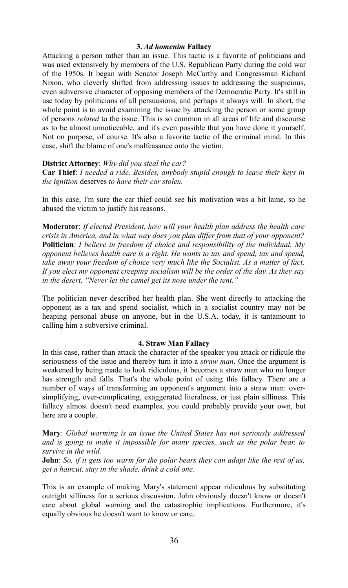#### **3.** *Ad homenim* **Fallacy**

Attacking a person rather than an issue. This tactic is a favorite of politicians and was used extensively by members of the U.S. Republican Party during the cold war of the 1950s. It began with Senator Joseph McCarthy and Congressman Richard Nixon, who cleverly shifted from addressing issues to addressing the suspicious, even subversive character of opposing members of the Democratic Party. It's still in use today by politicians of all persuasions, and perhaps it always will. In short, the whole point is to avoid examining the issue by attacking the person or some group of persons *related* to the issue. This is so common in all areas of life and discourse as to be almost unnoticeable, and it's even possible that you have done it yourself. Not on purpose, of course. It's also a favorite tactic of the criminal mind. In this case, shift the blame of one's malfeasance onto the victim.

#### **District Attorney**: *Why did you steal the car?*

**Car Thief**: *I needed a ride. Besides, anybody stupid enough to leave their keys in the ignition* deserves *to have their car stolen.*

In this case, I'm sure the car thief could see his motivation was a bit lame, so he abused the victim to justify his reasons.

**Moderator**: *If elected President, how will your health plan address the health care crisis in America, and in what way does you plan differ from that of your opponent?* **Politician**: *I believe in freedom of choice and responsibility of the individual. My opponent believes health care is a right. He wants to tax and spend, tax and spend, take away your freedom of choice very much like the Socialist. As a matter of fact, If you elect my opponent creeping socialism will be the order of the day. As they say in the desert, "Never let the camel get its nose under the tent."* 

The politician never described her health plan. She went directly to attacking the opponent as a tax and spend socialist, which in a socialist country may not be heaping personal abuse on anyone, but in the U.S.A. today, it is tantamount to calling him a subversive criminal.

#### **4. Straw Man Fallacy**

In this case, rather than attack the character of the speaker you attack or ridicule the seriousness of the issue and thereby turn it into a *straw man*. Once the argument is weakened by being made to look ridiculous, it becomes a straw man who no longer has strength and falls. That's the whole point of using this fallacy. There are a number of ways of transforming an opponent's argument into a straw man: oversimplifying, over-complicating, exaggerated literalness, or just plain silliness. This fallacy almost doesn't need examples, you could probably provide your own, but here are a couple.

**Mary**: *Global warming is an issue the United States has not seriously addressed and is going to make it impossible for many species, such as the polar bear, to survive in the wild.* 

**John**: *So, if it gets too warm for the polar bears they can adapt like the rest of us, get a haircut, stay in the shade, drink a cold one.*

This is an example of making Mary's statement appear ridiculous by substituting outright silliness for a serious discussion. John obviously doesn't know or doesn't care about global warning and the catastrophic implications. Furthermore, it's equally obvious he doesn't want to know or care.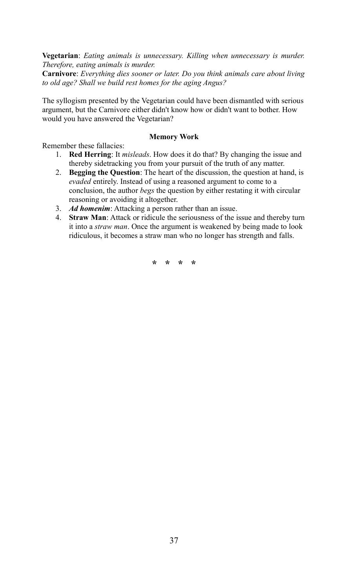**Vegetarian**: *Eating animals is unnecessary. Killing when unnecessary is murder. Therefore, eating animals is murder.*

**Carnivore**: *Everything dies sooner or later. Do you think animals care about living to old age? Shall we build rest homes for the aging Angus?*

The syllogism presented by the Vegetarian could have been dismantled with serious argument, but the Carnivore either didn't know how or didn't want to bother. How would you have answered the Vegetarian?

#### **Memory Work**

Remember these fallacies:

- 1. **Red Herring**: It *misleads*. How does it do that? By changing the issue and thereby sidetracking you from your pursuit of the truth of any matter.
- 2. **Begging the Question**: The heart of the discussion, the question at hand, is *evaded* entirely. Instead of using a reasoned argument to come to a conclusion, the author *begs* the question by either restating it with circular reasoning or avoiding it altogether.
- 3. *Ad homenim*: Attacking a person rather than an issue.
- 4. **Straw Man**: Attack or ridicule the seriousness of the issue and thereby turn it into a *straw man*. Once the argument is weakened by being made to look ridiculous, it becomes a straw man who no longer has strength and falls.

**\* \* \* \***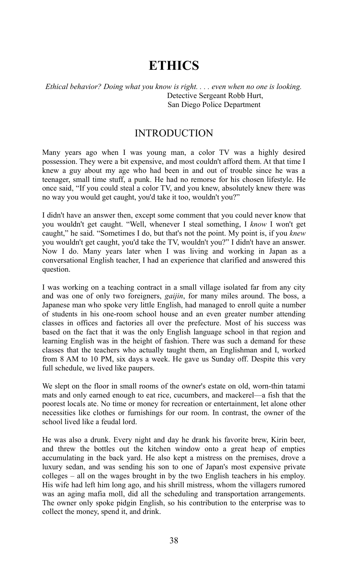# **ETHICS**

#### *Ethical behavior? Doing what you know is right. . . . even when no one is looking.* Detective Sergeant Robb Hurt, San Diego Police Department

## INTRODUCTION

Many years ago when I was young man, a color TV was a highly desired possession. They were a bit expensive, and most couldn't afford them. At that time I knew a guy about my age who had been in and out of trouble since he was a teenager, small time stuff, a punk. He had no remorse for his chosen lifestyle. He once said, "If you could steal a color TV, and you knew, absolutely knew there was no way you would get caught, you'd take it too, wouldn't you?"

I didn't have an answer then, except some comment that you could never know that you wouldn't get caught. "Well, whenever I steal something, I *know* I won't get caught," he said. "Sometimes I do, but that's not the point. My point is, if you *knew* you wouldn't get caught, you'd take the TV, wouldn't you?" I didn't have an answer. Now I do. Many years later when I was living and working in Japan as a conversational English teacher, I had an experience that clarified and answered this question.

I was working on a teaching contract in a small village isolated far from any city and was one of only two foreigners, *gaijin*, for many miles around. The boss, a Japanese man who spoke very little English, had managed to enroll quite a number of students in his one-room school house and an even greater number attending classes in offices and factories all over the prefecture. Most of his success was based on the fact that it was the only English language school in that region and learning English was in the height of fashion. There was such a demand for these classes that the teachers who actually taught them, an Englishman and I, worked from 8 AM to 10 PM, six days a week. He gave us Sunday off. Despite this very full schedule, we lived like paupers.

We slept on the floor in small rooms of the owner's estate on old, worn-thin tatami mats and only earned enough to eat rice, cucumbers, and mackerel—a fish that the poorest locals ate. No time or money for recreation or entertainment, let alone other necessities like clothes or furnishings for our room. In contrast, the owner of the school lived like a feudal lord.

He was also a drunk. Every night and day he drank his favorite brew, Kirin beer, and threw the bottles out the kitchen window onto a great heap of empties accumulating in the back yard. He also kept a mistress on the premises, drove a luxury sedan, and was sending his son to one of Japan's most expensive private colleges – all on the wages brought in by the two English teachers in his employ. His wife had left him long ago, and his shrill mistress, whom the villagers rumored was an aging mafia moll, did all the scheduling and transportation arrangements. The owner only spoke pidgin English, so his contribution to the enterprise was to collect the money, spend it, and drink.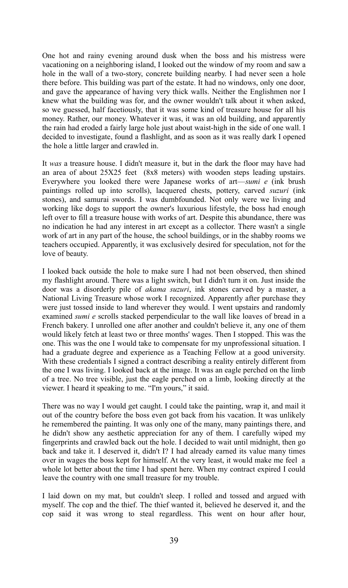One hot and rainy evening around dusk when the boss and his mistress were vacationing on a neighboring island, I looked out the window of my room and saw a hole in the wall of a two-story, concrete building nearby. I had never seen a hole there before. This building was part of the estate. It had no windows, only one door, and gave the appearance of having very thick walls. Neither the Englishmen nor I knew what the building was for, and the owner wouldn't talk about it when asked, so we guessed, half facetiously, that it was some kind of treasure house for all his money. Rather, our money. Whatever it was, it was an old building, and apparently the rain had eroded a fairly large hole just about waist-high in the side of one wall. I decided to investigate, found a flashlight, and as soon as it was really dark I opened the hole a little larger and crawled in.

It *was* a treasure house. I didn't measure it, but in the dark the floor may have had an area of about 25X25 feet (8x8 meters) with wooden steps leading upstairs. Everywhere you looked there were Japanese works of art—*sumi e* (ink brush paintings rolled up into scrolls), lacquered chests, pottery, carved *suzuri* (ink stones), and samurai swords. I was dumbfounded. Not only were we living and working like dogs to support the owner's luxurious lifestyle, the boss had enough left over to fill a treasure house with works of art. Despite this abundance, there was no indication he had any interest in art except as a collector. There wasn't a single work of art in any part of the house, the school buildings, or in the shabby rooms we teachers occupied. Apparently, it was exclusively desired for speculation, not for the love of beauty.

I looked back outside the hole to make sure I had not been observed, then shined my flashlight around. There was a light switch, but I didn't turn it on. Just inside the door was a disorderly pile of *akama suzuri*, ink stones carved by a master, a National Living Treasure whose work I recognized. Apparently after purchase they were just tossed inside to land wherever they would. I went upstairs and randomly examined *sumi e* scrolls stacked perpendicular to the wall like loaves of bread in a French bakery. I unrolled one after another and couldn't believe it, any one of them would likely fetch at least two or three months' wages. Then I stopped. This was the one. This was the one I would take to compensate for my unprofessional situation. I had a graduate degree and experience as a Teaching Fellow at a good university. With these credentials I signed a contract describing a reality entirely different from the one I was living. I looked back at the image. It was an eagle perched on the limb of a tree. No tree visible, just the eagle perched on a limb, looking directly at the viewer. I heard it speaking to me. "I'm yours," it said.

There was no way I would get caught. I could take the painting, wrap it, and mail it out of the country before the boss even got back from his vacation. It was unlikely he remembered the painting. It was only one of the many, many paintings there, and he didn't show any aesthetic appreciation for any of them. I carefully wiped my fingerprints and crawled back out the hole. I decided to wait until midnight, then go back and take it. I deserved it, didn't I? I had already earned its value many times over in wages the boss kept for himself. At the very least, it would make me feel a whole lot better about the time I had spent here. When my contract expired I could leave the country with one small treasure for my trouble.

I laid down on my mat, but couldn't sleep. I rolled and tossed and argued with myself. The cop and the thief. The thief wanted it, believed he deserved it, and the cop said it was wrong to steal regardless. This went on hour after hour,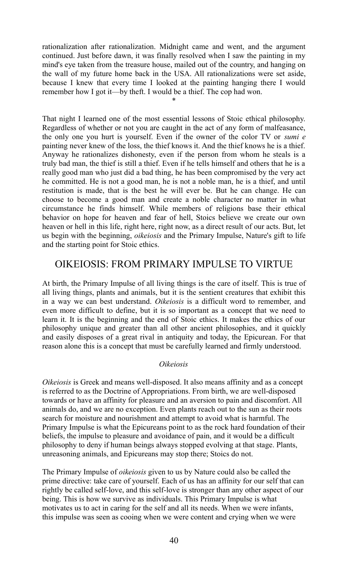rationalization after rationalization. Midnight came and went, and the argument continued. Just before dawn, it was finally resolved when I saw the painting in my mind's eye taken from the treasure house, mailed out of the country, and hanging on the wall of my future home back in the USA. All rationalizations were set aside, because I knew that every time I looked at the painting hanging there I would remember how I got it—by theft. I would be a thief. The cop had won.

\*

That night I learned one of the most essential lessons of Stoic ethical philosophy. Regardless of whether or not you are caught in the act of any form of malfeasance, the only one you hurt is yourself. Even if the owner of the color TV or *sumi e* painting never knew of the loss, the thief knows it. And the thief knows he is a thief. Anyway he rationalizes dishonesty, even if the person from whom he steals is a truly bad man, the thief is still a thief. Even if he tells himself and others that he is a really good man who just did a bad thing, he has been compromised by the very act he committed. He is not a good man, he is not a noble man, he is a thief, and until restitution is made, that is the best he will ever be. But he can change. He can choose to become a good man and create a noble character no matter in what circumstance he finds himself. While members of religions base their ethical behavior on hope for heaven and fear of hell, Stoics believe we create our own heaven or hell in this life, right here, right now, as a direct result of our acts. But, let us begin with the beginning, *oikeiosis* and the Primary Impulse, Nature's gift to life and the starting point for Stoic ethics.

## OIKEIOSIS: FROM PRIMARY IMPULSE TO VIRTUE

At birth, the Primary Impulse of all living things is the care of itself. This is true of all living things, plants and animals, but it is the sentient creatures that exhibit this in a way we can best understand. *Oikeiosis* is a difficult word to remember, and even more difficult to define, but it is so important as a concept that we need to learn it. It is the beginning and the end of Stoic ethics. It makes the ethics of our philosophy unique and greater than all other ancient philosophies, and it quickly and easily disposes of a great rival in antiquity and today, the Epicurean. For that reason alone this is a concept that must be carefully learned and firmly understood.

#### *Oikeiosis*

*Oikeiosis* is Greek and means well-disposed. It also means affinity and as a concept is referred to as the Doctrine of Appropriations. From birth, we are well-disposed towards or have an affinity for pleasure and an aversion to pain and discomfort. All animals do, and we are no exception. Even plants reach out to the sun as their roots search for moisture and nourishment and attempt to avoid what is harmful. The Primary Impulse is what the Epicureans point to as the rock hard foundation of their beliefs, the impulse to pleasure and avoidance of pain, and it would be a difficult philosophy to deny if human beings always stopped evolving at that stage. Plants, unreasoning animals, and Epicureans may stop there; Stoics do not.

The Primary Impulse of *oikeiosis* given to us by Nature could also be called the prime directive: take care of yourself. Each of us has an affinity for our self that can rightly be called self-love, and this self-love is stronger than any other aspect of our being. This is how we survive as individuals. This Primary Impulse is what motivates us to act in caring for the self and all its needs. When we were infants, this impulse was seen as cooing when we were content and crying when we were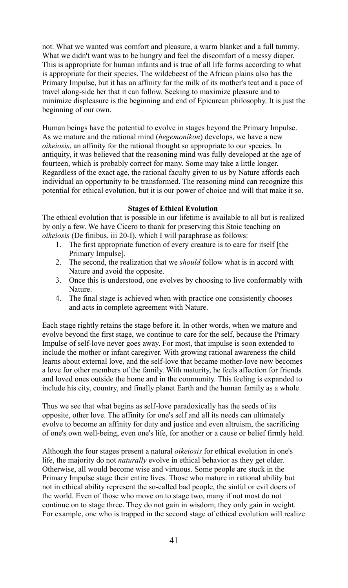not. What we wanted was comfort and pleasure, a warm blanket and a full tummy. What we didn't want was to be hungry and feel the discomfort of a messy diaper. This is appropriate for human infants and is true of all life forms according to what is appropriate for their species. The wildebeest of the African plains also has the Primary Impulse, but it has an affinity for the milk of its mother's teat and a pace of travel along-side her that it can follow. Seeking to maximize pleasure and to minimize displeasure is the beginning and end of Epicurean philosophy. It is just the beginning of our own.

Human beings have the potential to evolve in stages beyond the Primary Impulse. As we mature and the rational mind (*hegemonikon*) develops, we have a new *oikeiosis*, an affinity for the rational thought so appropriate to our species. In antiquity, it was believed that the reasoning mind was fully developed at the age of fourteen, which is probably correct for many. Some may take a little longer. Regardless of the exact age, the rational faculty given to us by Nature affords each individual an opportunity to be transformed. The reasoning mind can recognize this potential for ethical evolution, but it is our power of choice and will that make it so.

#### **Stages of Ethical Evolution**

The ethical evolution that is possible in our lifetime is available to all but is realized by only a few. We have Cicero to thank for preserving this Stoic teaching on *oikeiosis* (De finibus, iii 20-I), which I will paraphrase as follows:

- 1. The first appropriate function of every creature is to care for itself [the Primary Impulse].
- 2. The second, the realization that we *should* follow what is in accord with Nature and avoid the opposite.
- 3. Once this is understood, one evolves by choosing to live conformably with Nature.
- 4. The final stage is achieved when with practice one consistently chooses and acts in complete agreement with Nature.

Each stage rightly retains the stage before it. In other words, when we mature and evolve beyond the first stage, we continue to care for the self, because the Primary Impulse of self-love never goes away. For most, that impulse is soon extended to include the mother or infant caregiver. With growing rational awareness the child learns about external love, and the self-love that became mother-love now becomes a love for other members of the family. With maturity, he feels affection for friends and loved ones outside the home and in the community. This feeling is expanded to include his city, country, and finally planet Earth and the human family as a whole.

Thus we see that what begins as self-love paradoxically has the seeds of its opposite, other love. The affinity for one's self and all its needs can ultimately evolve to become an affinity for duty and justice and even altruism, the sacrificing of one's own well-being, even one's life, for another or a cause or belief firmly held.

Although the four stages present a natural *oikeiosis* for ethical evolution in one's life, the majority do not *naturally* evolve in ethical behavior as they get older. Otherwise, all would become wise and virtuous. Some people are stuck in the Primary Impulse stage their entire lives. Those who mature in rational ability but not in ethical ability represent the so-called bad people, the sinful or evil doers of the world. Even of those who move on to stage two, many if not most do not continue on to stage three. They do not gain in wisdom; they only gain in weight. For example, one who is trapped in the second stage of ethical evolution will realize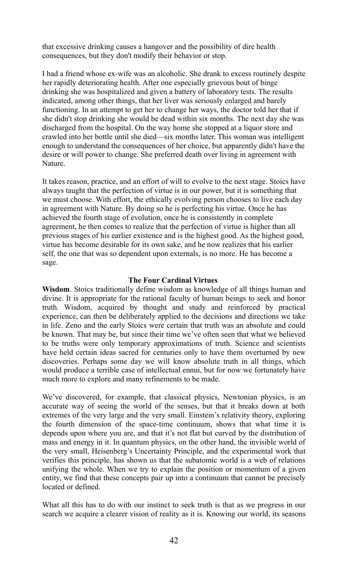that excessive drinking causes a hangover and the possibility of dire health consequences, but they don't modify their behavior or stop.

I had a friend whose ex-wife was an alcoholic. She drank to excess routinely despite her rapidly deteriorating health. After one especially grievous bout of binge drinking she was hospitalized and given a battery of laboratory tests. The results indicated, among other things, that her liver was seriously enlarged and barely functioning. In an attempt to get her to change her ways, the doctor told her that if she didn't stop drinking she would be dead within six months. The next day she was discharged from the hospital. On the way home she stopped at a liquor store and crawled into her bottle until she died—six months later. This woman was intelligent enough to understand the consequences of her choice, but apparently didn't have the desire or will power to change. She preferred death over living in agreement with Nature.

It takes reason, practice, and an effort of will to evolve to the next stage. Stoics have always taught that the perfection of virtue is in our power, but it is something that we must choose. With effort, the ethically evolving person chooses to live each day in agreement with Nature. By doing so he is perfecting his virtue. Once he has achieved the fourth stage of evolution, once he is consistently in complete agreement, he then comes to realize that the perfection of virtue is higher than all previous stages of his earlier existence and is the highest good. As the highest good, virtue has become desirable for its own sake, and he now realizes that his earlier self, the one that was so dependent upon externals, is no more. He has become a sage.

#### **The Four Cardinal Virtues**

**Wisdom**. Stoics traditionally define wisdom as knowledge of all things human and divine. It is appropriate for the rational faculty of human beings to seek and honor truth. Wisdom, acquired by thought and study and reinforced by practical experience, can then be deliberately applied to the decisions and directions we take in life. Zeno and the early Stoics were certain that truth was an absolute and could be known. That may be, but since their time we've often seen that what we believed to be truths were only temporary approximations of truth. Science and scientists have held certain ideas sacred for centuries only to have them overturned by new discoveries. Perhaps some day we will know absolute truth in all things, which would produce a terrible case of intellectual ennui, but for now we fortunately have much more to explore and many refinements to be made.

We've discovered, for example, that classical physics, Newtonian physics, is an accurate way of seeing the world of the senses, but that it breaks down at both extremes of the very large and the very small. Einstein's relativity theory, exploring the fourth dimension of the space-time continuum, shows that what time it is depends upon where you are, and that it's not flat but curved by the distribution of mass and energy in it. In quantum physics, on the other hand, the invisible world of the very small, Heisenberg's Uncertainty Principle, and the experimental work that verifies this principle, has shown us that the subatomic world is a web of relations unifying the whole. When we try to explain the position or momentum of a given entity, we find that these concepts pair up into a continuum that cannot be precisely located or defined.

What all this has to do with our instinct to seek truth is that as we progress in our search we acquire a clearer vision of reality as it is. Knowing our world, its seasons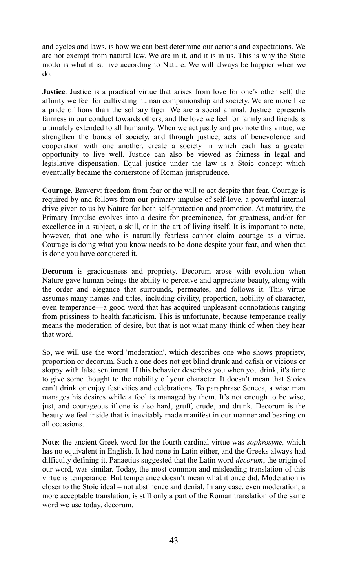and cycles and laws, is how we can best determine our actions and expectations. We are not exempt from natural law. We are in it, and it is in us. This is why the Stoic motto is what it is: live according to Nature. We will always be happier when we do.

**Justice**. Justice is a practical virtue that arises from love for one's other self, the affinity we feel for cultivating human companionship and society. We are more like a pride of lions than the solitary tiger. We are a social animal. Justice represents fairness in our conduct towards others, and the love we feel for family and friends is ultimately extended to all humanity. When we act justly and promote this virtue, we strengthen the bonds of society, and through justice, acts of benevolence and cooperation with one another, create a society in which each has a greater opportunity to live well. Justice can also be viewed as fairness in legal and legislative dispensation. Equal justice under the law is a Stoic concept which eventually became the cornerstone of Roman jurisprudence.

**Courage**. Bravery: freedom from fear or the will to act despite that fear. Courage is required by and follows from our primary impulse of self-love, a powerful internal drive given to us by Nature for both self-protection and promotion. At maturity, the Primary Impulse evolves into a desire for preeminence, for greatness, and/or for excellence in a subject, a skill, or in the art of living itself. It is important to note, however, that one who is naturally fearless cannot claim courage as a virtue. Courage is doing what you know needs to be done despite your fear, and when that is done you have conquered it.

**Decorum** is graciousness and propriety. Decorum arose with evolution when Nature gave human beings the ability to perceive and appreciate beauty, along with the order and elegance that surrounds, permeates, and follows it. This virtue assumes many names and titles, including civility, proportion, nobility of character, even temperance—a good word that has acquired unpleasant connotations ranging from prissiness to health fanaticism. This is unfortunate, because temperance really means the moderation of desire, but that is not what many think of when they hear that word.

So, we will use the word 'moderation', which describes one who shows propriety, proportion or decorum. Such a one does not get blind drunk and oafish or vicious or sloppy with false sentiment. If this behavior describes you when you drink, it's time to give some thought to the nobility of your character. It doesn't mean that Stoics can't drink or enjoy festivities and celebrations. To paraphrase Seneca, a wise man manages his desires while a fool is managed by them. It's not enough to be wise, just, and courageous if one is also hard, gruff, crude, and drunk. Decorum is the beauty we feel inside that is inevitably made manifest in our manner and bearing on all occasions.

**Note**: the ancient Greek word for the fourth cardinal virtue was *sophrosyne,* which has no equivalent in English. It had none in Latin either, and the Greeks always had difficulty defining it. Panaetius suggested that the Latin word *decorum*, the origin of our word, was similar. Today, the most common and misleading translation of this virtue is temperance. But temperance doesn't mean what it once did. Moderation is closer to the Stoic ideal – not abstinence and denial. In any case, even moderation, a more acceptable translation, is still only a part of the Roman translation of the same word we use today, decorum.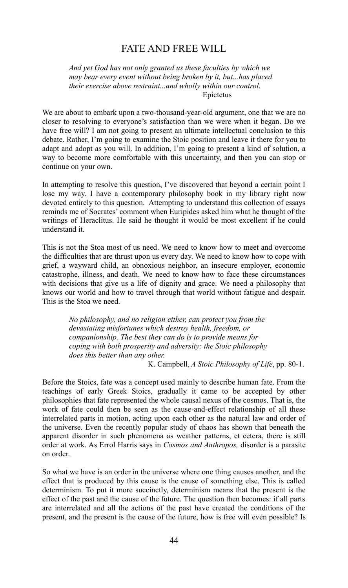## FATE AND FREE WILL

*And yet God has not only granted us these faculties by which we may bear every event without being broken by it, but...has placed their exercise above restraint...and wholly within our control.*  Epictetus

We are about to embark upon a two-thousand-year-old argument, one that we are no closer to resolving to everyone's satisfaction than we were when it began. Do we have free will? I am not going to present an ultimate intellectual conclusion to this debate. Rather, I'm going to examine the Stoic position and leave it there for you to adapt and adopt as you will. In addition, I'm going to present a kind of solution, a way to become more comfortable with this uncertainty, and then you can stop or continue on your own.

In attempting to resolve this question, I've discovered that beyond a certain point I lose my way. I have a contemporary philosophy book in my library right now devoted entirely to this question. Attempting to understand this collection of essays reminds me of Socrates' comment when Euripides asked him what he thought of the writings of Heraclitus. He said he thought it would be most excellent if he could understand it.

This is not the Stoa most of us need. We need to know how to meet and overcome the difficulties that are thrust upon us every day. We need to know how to cope with grief, a wayward child, an obnoxious neighbor, an insecure employer, economic catastrophe, illness, and death. We need to know how to face these circumstances with decisions that give us a life of dignity and grace. We need a philosophy that knows our world and how to travel through that world without fatigue and despair. This is the Stoa we need.

> *No philosophy, and no religion either, can protect you from the devastating misfortunes which destroy health, freedom, or companionship. The best they can do is to provide means for coping with both prosperity and adversity: the Stoic philosophy does this better than any other.*

K. Campbell, *A Stoic Philosophy of Life*, pp. 80-1.

Before the Stoics, fate was a concept used mainly to describe human fate. From the teachings of early Greek Stoics, gradually it came to be accepted by other philosophies that fate represented the whole causal nexus of the cosmos. That is, the work of fate could then be seen as the cause-and-effect relationship of all these interrelated parts in motion, acting upon each other as the natural law and order of the universe. Even the recently popular study of chaos has shown that beneath the apparent disorder in such phenomena as weather patterns, et cetera, there is still order at work. As Errol Harris says in *Cosmos and Anthropos,* disorder is a parasite on order.

So what we have is an order in the universe where one thing causes another, and the effect that is produced by this cause is the cause of something else. This is called determinism. To put it more succinctly, determinism means that the present is the effect of the past and the cause of the future. The question then becomes: if all parts are interrelated and all the actions of the past have created the conditions of the present, and the present is the cause of the future, how is free will even possible? Is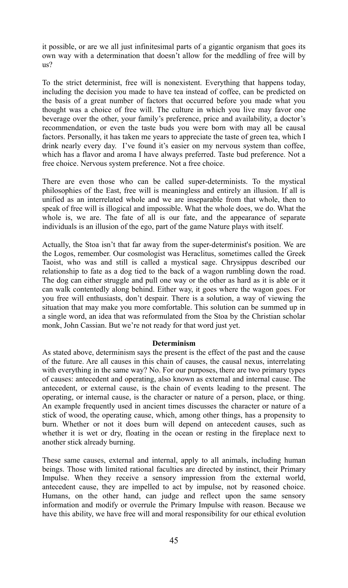it possible, or are we all just infinitesimal parts of a gigantic organism that goes its own way with a determination that doesn't allow for the meddling of free will by us?

To the strict determinist, free will is nonexistent. Everything that happens today, including the decision you made to have tea instead of coffee, can be predicted on the basis of a great number of factors that occurred before you made what you thought was a choice of free will. The culture in which you live may favor one beverage over the other, your family's preference, price and availability, a doctor's recommendation, or even the taste buds you were born with may all be causal factors. Personally, it has taken me years to appreciate the taste of green tea, which I drink nearly every day. I've found it's easier on my nervous system than coffee, which has a flavor and aroma I have always preferred. Taste bud preference. Not a free choice. Nervous system preference. Not a free choice.

There are even those who can be called super-determinists. To the mystical philosophies of the East, free will is meaningless and entirely an illusion. If all is unified as an interrelated whole and we are inseparable from that whole, then to speak of free will is illogical and impossible. What the whole does, we do. What the whole is, we are. The fate of all is our fate, and the appearance of separate individuals is an illusion of the ego, part of the game Nature plays with itself.

Actually, the Stoa isn't that far away from the super-determinist's position. We are the Logos, remember. Our cosmologist was Heraclitus, sometimes called the Greek Taoist, who was and still is called a mystical sage. Chrysippus described our relationship to fate as a dog tied to the back of a wagon rumbling down the road. The dog can either struggle and pull one way or the other as hard as it is able or it can walk contentedly along behind. Either way, it goes where the wagon goes. For you free will enthusiasts, don't despair. There is a solution, a way of viewing the situation that may make you more comfortable. This solution can be summed up in a single word, an idea that was reformulated from the Stoa by the Christian scholar monk, John Cassian. But we're not ready for that word just yet.

#### **Determinism**

As stated above, determinism says the present is the effect of the past and the cause of the future. Are all causes in this chain of causes, the causal nexus, interrelating with everything in the same way? No. For our purposes, there are two primary types of causes: antecedent and operating, also known as external and internal cause. The antecedent, or external cause, is the chain of events leading to the present. The operating, or internal cause, is the character or nature of a person, place, or thing. An example frequently used in ancient times discusses the character or nature of a stick of wood, the operating cause, which, among other things, has a propensity to burn. Whether or not it does burn will depend on antecedent causes, such as whether it is wet or dry, floating in the ocean or resting in the fireplace next to another stick already burning.

These same causes, external and internal, apply to all animals, including human beings. Those with limited rational faculties are directed by instinct, their Primary Impulse. When they receive a sensory impression from the external world, antecedent cause, they are impelled to act by impulse, not by reasoned choice. Humans, on the other hand, can judge and reflect upon the same sensory information and modify or overrule the Primary Impulse with reason. Because we have this ability, we have free will and moral responsibility for our ethical evolution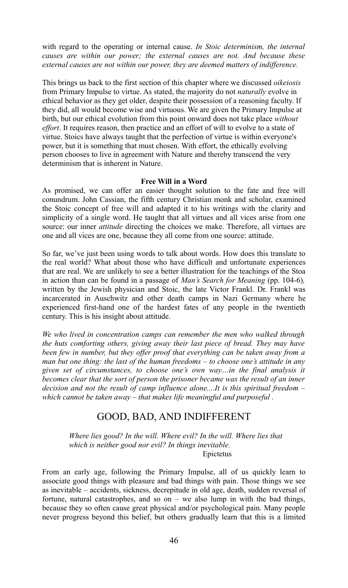with regard to the operating or internal cause. *In Stoic determinism, the internal causes are within our power; the external causes are not. And because these external causes are not within our power, they are deemed matters of indifference.*

This brings us back to the first section of this chapter where we discussed *oikeiosis* from Primary Impulse to virtue. As stated, the majority do not *naturally* evolve in ethical behavior as they get older, despite their possession of a reasoning faculty. If they did, all would become wise and virtuous. We are given the Primary Impulse at birth, but our ethical evolution from this point onward does not take place *without effort*. It requires reason, then practice and an effort of will to evolve to a state of virtue. Stoics have always taught that the perfection of virtue is within everyone's power, but it is something that must chosen. With effort, the ethically evolving person chooses to live in agreement with Nature and thereby transcend the very determinism that is inherent in Nature.

#### **Free Will in a Word**

As promised, we can offer an easier thought solution to the fate and free will conundrum. John Cassian, the fifth century Christian monk and scholar, examined the Stoic concept of free will and adapted it to his writings with the clarity and simplicity of a single word. He taught that all virtues and all vices arise from one source: our inner *attitude* directing the choices we make. Therefore, all virtues are one and all vices are one, because they all come from one source: attitude.

So far, we've just been using words to talk about words. How does this translate to the real world? What about those who have difficult and unfortunate experiences that are real. We are unlikely to see a better illustration for the teachings of the Stoa in action than can be found in a passage of *Man's Search for Meaning* (pp. 104-6)*,* written by the Jewish physician and Stoic, the late Victor Frankl. Dr. Frankl was incarcerated in Auschwitz and other death camps in Nazi Germany where he experienced first-hand one of the hardest fates of any people in the twentieth century. This is his insight about attitude.

*We who lived in concentration camps can remember the men who walked through the huts comforting others, giving away their last piece of bread. They may have been few in number, but they offer proof that everything can be taken away from a man but one thing: the last of the human freedoms – to choose one's attitude in any given set of circumstances, to choose one's own way....in the final analysis it becomes clear that the sort of person the prisoner became was the result of an inner decision and not the result of camp influence alone....It is this spiritual freedom – which cannot be taken away – that makes life meaningful and purposeful .*

## GOOD, BAD, AND INDIFFERENT

*Where lies good? In the will. Where evil? In the will. Where lies that which is neither good nor evil? In things inevitable.*  Epictetus

From an early age, following the Primary Impulse, all of us quickly learn to associate good things with pleasure and bad things with pain. Those things we see as inevitable – accidents, sickness, decrepitude in old age, death, sudden reversal of fortune, natural catastrophes, and so on – we also lump in with the bad things, because they so often cause great physical and/or psychological pain. Many people never progress beyond this belief, but others gradually learn that this is a limited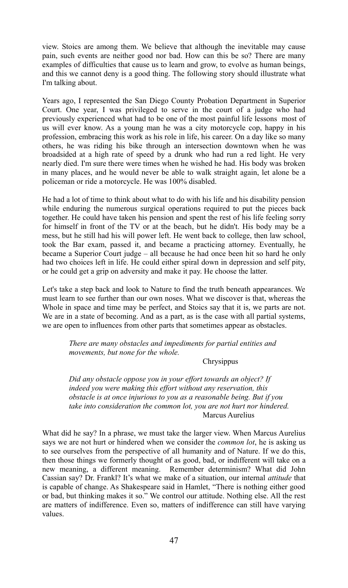view. Stoics are among them. We believe that although the inevitable may cause pain, such events are neither good nor bad. How can this be so? There are many examples of difficulties that cause us to learn and grow, to evolve as human beings, and this we cannot deny is a good thing. The following story should illustrate what I'm talking about.

Years ago, I represented the San Diego County Probation Department in Superior Court. One year, I was privileged to serve in the court of a judge who had previously experienced what had to be one of the most painful life lessons most of us will ever know. As a young man he was a city motorcycle cop, happy in his profession, embracing this work as his role in life, his career. On a day like so many others, he was riding his bike through an intersection downtown when he was broadsided at a high rate of speed by a drunk who had run a red light. He very nearly died. I'm sure there were times when he wished he had. His body was broken in many places, and he would never be able to walk straight again, let alone be a policeman or ride a motorcycle. He was 100% disabled.

He had a lot of time to think about what to do with his life and his disability pension while enduring the numerous surgical operations required to put the pieces back together. He could have taken his pension and spent the rest of his life feeling sorry for himself in front of the TV or at the beach, but he didn't. His body may be a mess, but he still had his will power left. He went back to college, then law school, took the Bar exam, passed it, and became a practicing attorney. Eventually, he became a Superior Court judge – all because he had once been hit so hard he only had two choices left in life. He could either spiral down in depression and self pity, or he could get a grip on adversity and make it pay. He choose the latter.

Let's take a step back and look to Nature to find the truth beneath appearances. We must learn to see further than our own noses. What we discover is that, whereas the Whole in space and time may be perfect, and Stoics say that it is, we parts are not. We are in a state of becoming. And as a part, as is the case with all partial systems, we are open to influences from other parts that sometimes appear as obstacles.

> *There are many obstacles and impediments for partial entities and movements, but none for the whole.*

#### Chrysippus

*Did any obstacle oppose you in your effort towards an object? If indeed you were making this effort without any reservation, this obstacle is at once injurious to you as a reasonable being. But if you take into consideration the common lot, you are not hurt nor hindered.*  Marcus Aurelius

What did he say? In a phrase, we must take the larger view. When Marcus Aurelius says we are not hurt or hindered when we consider the *common lot*, he is asking us to see ourselves from the perspective of all humanity and of Nature. If we do this, then those things we formerly thought of as good, bad, or indifferent will take on a new meaning, a different meaning. Remember determinism? What did John Cassian say? Dr. Frankl? It's what we make of a situation, our internal *attitude* that is capable of change. As Shakespeare said in Hamlet, "There is nothing either good or bad, but thinking makes it so." We control our attitude. Nothing else. All the rest are matters of indifference. Even so, matters of indifference can still have varying values.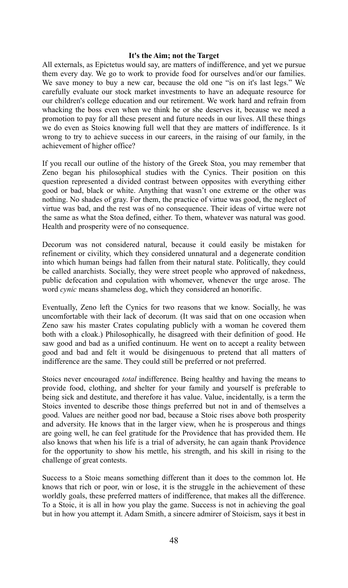#### **It's the Aim; not the Target**

All externals, as Epictetus would say, are matters of indifference, and yet we pursue them every day. We go to work to provide food for ourselves and/or our families. We save money to buy a new car, because the old one "is on it's last legs." We carefully evaluate our stock market investments to have an adequate resource for our children's college education and our retirement. We work hard and refrain from whacking the boss even when we think he or she deserves it, because we need a promotion to pay for all these present and future needs in our lives. All these things we do even as Stoics knowing full well that they are matters of indifference. Is it wrong to try to achieve success in our careers, in the raising of our family, in the achievement of higher office?

If you recall our outline of the history of the Greek Stoa, you may remember that Zeno began his philosophical studies with the Cynics. Their position on this question represented a divided contrast between opposites with everything either good or bad, black or white. Anything that wasn't one extreme or the other was nothing. No shades of gray. For them, the practice of virtue was good, the neglect of virtue was bad, and the rest was of no consequence. Their ideas of virtue were not the same as what the Stoa defined, either. To them, whatever was natural was good. Health and prosperity were of no consequence.

Decorum was not considered natural, because it could easily be mistaken for refinement or civility, which they considered unnatural and a degenerate condition into which human beings had fallen from their natural state. Politically, they could be called anarchists. Socially, they were street people who approved of nakedness, public defecation and copulation with whomever, whenever the urge arose. The word *cynic* means shameless dog, which they considered an honorific.

Eventually, Zeno left the Cynics for two reasons that we know. Socially, he was uncomfortable with their lack of decorum. (It was said that on one occasion when Zeno saw his master Crates copulating publicly with a woman he covered them both with a cloak.) Philosophically, he disagreed with their definition of good. He saw good and bad as a unified continuum. He went on to accept a reality between good and bad and felt it would be disingenuous to pretend that all matters of indifference are the same. They could still be preferred or not preferred.

Stoics never encouraged *total* indifference. Being healthy and having the means to provide food, clothing, and shelter for your family and yourself is preferable to being sick and destitute, and therefore it has value. Value, incidentally, is a term the Stoics invented to describe those things preferred but not in and of themselves a good. Values are neither good nor bad, because a Stoic rises above both prosperity and adversity. He knows that in the larger view, when he is prosperous and things are going well, he can feel gratitude for the Providence that has provided them. He also knows that when his life is a trial of adversity, he can again thank Providence for the opportunity to show his mettle, his strength, and his skill in rising to the challenge of great contests.

Success to a Stoic means something different than it does to the common lot. He knows that rich or poor, win or lose, it is the struggle in the achievement of these worldly goals, these preferred matters of indifference, that makes all the difference. To a Stoic, it is all in how you play the game. Success is not in achieving the goal but in how you attempt it. Adam Smith, a sincere admirer of Stoicism, says it best in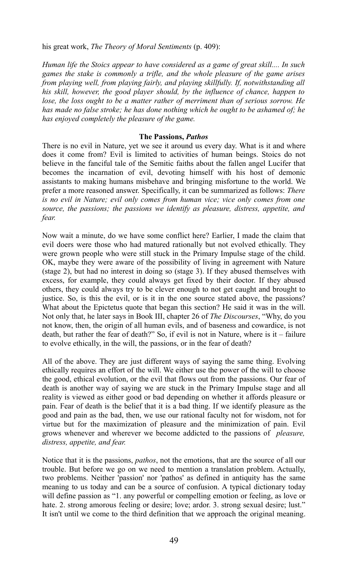his great work, *The Theory of Moral Sentiments* (p. 409):

*Human life the Stoics appear to have considered as a game of great skill.... In such games the stake is commonly a trifle, and the whole pleasure of the game arises from playing well, from playing fairly, and playing skillfully. If, notwithstanding all his skill, however, the good player should, by the influence of chance, happen to lose, the loss ought to be a matter rather of merriment than of serious sorrow. He has made no false stroke; he has done nothing which he ought to be ashamed of; he has enjoyed completely the pleasure of the game.*

#### **The Passions,** *Pathos*

There is no evil in Nature, yet we see it around us every day. What is it and where does it come from? Evil is limited to activities of human beings. Stoics do not believe in the fanciful tale of the Semitic faiths about the fallen angel Lucifer that becomes the incarnation of evil, devoting himself with his host of demonic assistants to making humans misbehave and bringing misfortune to the world. We prefer a more reasoned answer. Specifically, it can be summarized as follows: *There is no evil in Nature; evil only comes from human vice; vice only comes from one source, the passions; the passions we identify as pleasure, distress, appetite, and fear.*

Now wait a minute, do we have some conflict here? Earlier, I made the claim that evil doers were those who had matured rationally but not evolved ethically. They were grown people who were still stuck in the Primary Impulse stage of the child. OK, maybe they were aware of the possibility of living in agreement with Nature (stage 2), but had no interest in doing so (stage 3). If they abused themselves with excess, for example, they could always get fixed by their doctor. If they abused others, they could always try to be clever enough to not get caught and brought to justice. So, is this the evil, or is it in the one source stated above, the passions? What about the Epictetus quote that began this section? He said it was in the will. Not only that, he later says in Book III, chapter 26 of *The Discourses*, "Why, do you not know, then, the origin of all human evils, and of baseness and cowardice, is not death, but rather the fear of death?" So, if evil is not in Nature, where is it – failure to evolve ethically, in the will, the passions, or in the fear of death?

All of the above. They are just different ways of saying the same thing. Evolving ethically requires an effort of the will. We either use the power of the will to choose the good, ethical evolution, or the evil that flows out from the passions. Our fear of death is another way of saying we are stuck in the Primary Impulse stage and all reality is viewed as either good or bad depending on whether it affords pleasure or pain. Fear of death is the belief that it is a bad thing. If we identify pleasure as the good and pain as the bad, then, we use our rational faculty not for wisdom, not for virtue but for the maximization of pleasure and the minimization of pain. Evil grows whenever and wherever we become addicted to the passions of *pleasure, distress, appetite, and fear.*

Notice that it is the passions, *pathos*, not the emotions, that are the source of all our trouble. But before we go on we need to mention a translation problem. Actually, two problems. Neither 'passion' nor 'pathos' as defined in antiquity has the same meaning to us today and can be a source of confusion. A typical dictionary today will define passion as "1. any powerful or compelling emotion or feeling, as love or hate. 2. strong amorous feeling or desire; love; ardor. 3. strong sexual desire; lust." It isn't until we come to the third definition that we approach the original meaning.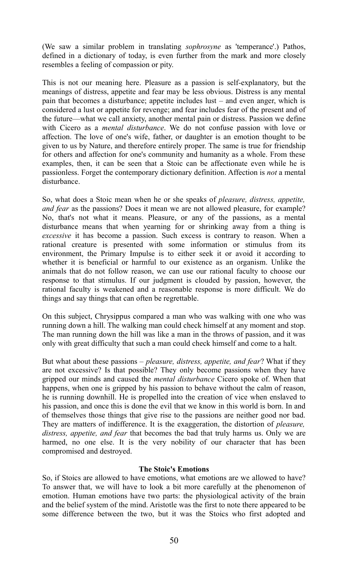(We saw a similar problem in translating *sophrosyne* as 'temperance'.) Pathos, defined in a dictionary of today, is even further from the mark and more closely resembles a feeling of compassion or pity.

This is not our meaning here. Pleasure as a passion is self-explanatory, but the meanings of distress, appetite and fear may be less obvious. Distress is any mental pain that becomes a disturbance; appetite includes lust – and even anger, which is considered a lust or appetite for revenge; and fear includes fear of the present and of the future—what we call anxiety, another mental pain or distress. Passion we define with Cicero as a *mental disturbance*. We do not confuse passion with love or affection. The love of one's wife, father, or daughter is an emotion thought to be given to us by Nature, and therefore entirely proper. The same is true for friendship for others and affection for one's community and humanity as a whole. From these examples, then, it can be seen that a Stoic can be affectionate even while he is passionless. Forget the contemporary dictionary definition. Affection is *not* a mental disturbance.

So, what does a Stoic mean when he or she speaks of *pleasure, distress, appetite, and fear* as the passions? Does it mean we are not allowed pleasure, for example? No, that's not what it means. Pleasure, or any of the passions, as a mental disturbance means that when yearning for or shrinking away from a thing is *excessive* it has become a passion. Such excess is contrary to reason. When a rational creature is presented with some information or stimulus from its environment, the Primary Impulse is to either seek it or avoid it according to whether it is beneficial or harmful to our existence as an organism. Unlike the animals that do not follow reason, we can use our rational faculty to choose our response to that stimulus. If our judgment is clouded by passion, however, the rational faculty is weakened and a reasonable response is more difficult. We do things and say things that can often be regrettable.

On this subject, Chrysippus compared a man who was walking with one who was running down a hill. The walking man could check himself at any moment and stop. The man running down the hill was like a man in the throws of passion, and it was only with great difficulty that such a man could check himself and come to a halt.

But what about these passions – *pleasure, distress, appetite, and fear*? What if they are not excessive? Is that possible? They only become passions when they have gripped our minds and caused the *mental disturbance* Cicero spoke of. When that happens, when one is gripped by his passion to behave without the calm of reason, he is running downhill. He is propelled into the creation of vice when enslaved to his passion, and once this is done the evil that we know in this world is born. In and of themselves those things that give rise to the passions are neither good nor bad. They are matters of indifference. It is the exaggeration, the distortion of *pleasure, distress, appetite, and fear* that becomes the bad that truly harms us. Only we are harmed, no one else. It is the very nobility of our character that has been compromised and destroyed.

#### **The Stoic's Emotions**

So, if Stoics are allowed to have emotions, what emotions are we allowed to have? To answer that, we will have to look a bit more carefully at the phenomenon of emotion. Human emotions have two parts: the physiological activity of the brain and the belief system of the mind. Aristotle was the first to note there appeared to be some difference between the two, but it was the Stoics who first adopted and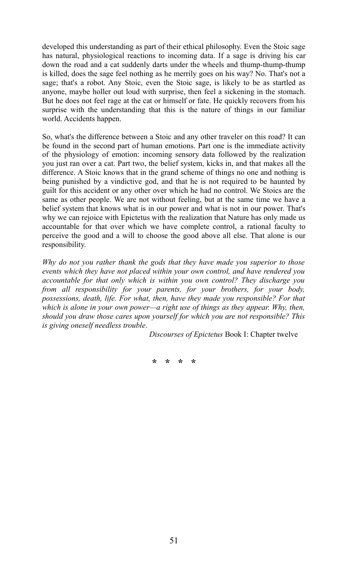developed this understanding as part of their ethical philosophy. Even the Stoic sage has natural, physiological reactions to incoming data. If a sage is driving his car down the road and a cat suddenly darts under the wheels and thump-thump-thump is killed, does the sage feel nothing as he merrily goes on his way? No. That's not a sage; that's a robot. Any Stoic, even the Stoic sage, is likely to be as startled as anyone, maybe holler out loud with surprise, then feel a sickening in the stomach. But he does not feel rage at the cat or himself or fate. He quickly recovers from his surprise with the understanding that this is the nature of things in our familiar world. Accidents happen.

So, what's the difference between a Stoic and any other traveler on this road? It can be found in the second part of human emotions. Part one is the immediate activity of the physiology of emotion: incoming sensory data followed by the realization you just ran over a cat. Part two, the belief system, kicks in, and that makes all the difference. A Stoic knows that in the grand scheme of things no one and nothing is being punished by a vindictive god, and that he is not required to be haunted by guilt for this accident or any other over which he had no control. We Stoics are the same as other people. We are not without feeling, but at the same time we have a belief system that knows what is in our power and what is not in our power. That's why we can rejoice with Epictetus with the realization that Nature has only made us accountable for that over which we have complete control, a rational faculty to perceive the good and a will to choose the good above all else. That alone is our responsibility.

*Why do not you rather thank the gods that they have made you superior to those events which they have not placed within your own control, and have rendered you accountable for that only which is within you own control? They discharge you from all responsibility for your parents, for your brothers, for your body, possessions, death, life. For what, then, have they made you responsible? For that which is alone in your own power—a right use of things as they appear. Why, then, should you draw those cares upon yourself for which you are not responsible? This is giving oneself needless trouble*.

*Discourses of Epictetus* Book I: Chapter twelve

**\* \* \* \***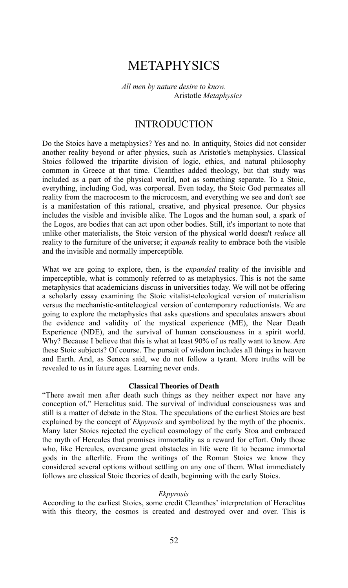# METAPHYSICS

*All men by nature desire to know.* Aristotle *Metaphysics*

## INTRODUCTION

Do the Stoics have a metaphysics? Yes and no. In antiquity, Stoics did not consider another reality beyond or after physics, such as Aristotle's metaphysics. Classical Stoics followed the tripartite division of logic, ethics, and natural philosophy common in Greece at that time. Cleanthes added theology, but that study was included as a part of the physical world, not as something separate. To a Stoic, everything, including God, was corporeal. Even today, the Stoic God permeates all reality from the macrocosm to the microcosm, and everything we see and don't see is a manifestation of this rational, creative, and physical presence. Our physics includes the visible and invisible alike. The Logos and the human soul, a spark of the Logos, are bodies that can act upon other bodies. Still, it's important to note that unlike other materialists, the Stoic version of the physical world doesn't *reduce* all reality to the furniture of the universe; it *expands* reality to embrace both the visible and the invisible and normally imperceptible.

What we are going to explore, then, is the *expanded* reality of the invisible and imperceptible, what is commonly referred to as metaphysics. This is not the same metaphysics that academicians discuss in universities today. We will not be offering a scholarly essay examining the Stoic vitalist-teleological version of materialism versus the mechanistic-antiteleogical version of contemporary reductionists. We are going to explore the metaphysics that asks questions and speculates answers about the evidence and validity of the mystical experience (ME), the Near Death Experience (NDE), and the survival of human consciousness in a spirit world. Why? Because I believe that this is what at least 90% of us really want to know. Are these Stoic subjects? Of course. The pursuit of wisdom includes all things in heaven and Earth. And, as Seneca said, we do not follow a tyrant. More truths will be revealed to us in future ages. Learning never ends.

#### **Classical Theories of Death**

"There await men after death such things as they neither expect nor have any conception of," Heraclitus said. The survival of individual consciousness was and still is a matter of debate in the Stoa. The speculations of the earliest Stoics are best explained by the concept of *Ekpyrosis* and symbolized by the myth of the phoenix. Many later Stoics rejected the cyclical cosmology of the early Stoa and embraced the myth of Hercules that promises immortality as a reward for effort. Only those who, like Hercules, overcame great obstacles in life were fit to became immortal gods in the afterlife. From the writings of the Roman Stoics we know they considered several options without settling on any one of them. What immediately follows are classical Stoic theories of death, beginning with the early Stoics.

#### *Ekpyrosis*

According to the earliest Stoics, some credit Cleanthes' interpretation of Heraclitus with this theory, the cosmos is created and destroyed over and over. This is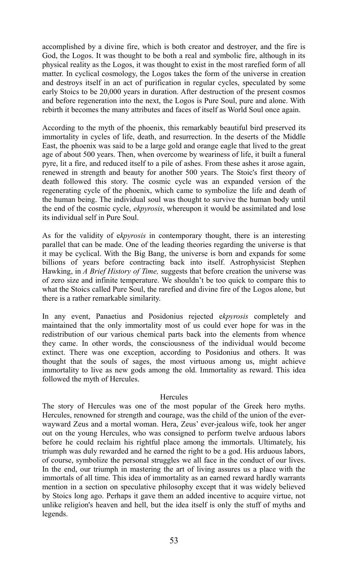accomplished by a divine fire, which is both creator and destroyer, and the fire is God, the Logos. It was thought to be both a real and symbolic fire, although in its physical reality as the Logos, it was thought to exist in the most rarefied form of all matter. In cyclical cosmology, the Logos takes the form of the universe in creation and destroys itself in an act of purification in regular cycles, speculated by some early Stoics to be 20,000 years in duration. After destruction of the present cosmos and before regeneration into the next, the Logos is Pure Soul, pure and alone. With rebirth it becomes the many attributes and faces of itself as World Soul once again.

According to the myth of the phoenix, this remarkably beautiful bird preserved its immortality in cycles of life, death, and resurrection. In the deserts of the Middle East, the phoenix was said to be a large gold and orange eagle that lived to the great age of about 500 years. Then, when overcome by weariness of life, it built a funeral pyre, lit a fire, and reduced itself to a pile of ashes. From these ashes it arose again, renewed in strength and beauty for another 500 years. The Stoic's first theory of death followed this story. The cosmic cycle was an expanded version of the regenerating cycle of the phoenix, which came to symbolize the life and death of the human being. The individual soul was thought to survive the human body until the end of the cosmic cycle, *ekpyrosis*, whereupon it would be assimilated and lose its individual self in Pure Soul.

As for the validity of e*kpyrosis* in contemporary thought, there is an interesting parallel that can be made. One of the leading theories regarding the universe is that it may be cyclical. With the Big Bang, the universe is born and expands for some billions of years before contracting back into itself. Astrophysicist Stephen Hawking, in *A Brief History of Time,* suggests that before creation the universe was of zero size and infinite temperature. We shouldn't be too quick to compare this to what the Stoics called Pure Soul, the rarefied and divine fire of the Logos alone, but there is a rather remarkable similarity.

In any event, Panaetius and Posidonius rejected e*kpyrosis* completely and maintained that the only immortality most of us could ever hope for was in the redistribution of our various chemical parts back into the elements from whence they came. In other words, the consciousness of the individual would become extinct. There was one exception, according to Posidonius and others. It was thought that the souls of sages, the most virtuous among us, might achieve immortality to live as new gods among the old. Immortality as reward. This idea followed the myth of Hercules.

#### Hercules

The story of Hercules was one of the most popular of the Greek hero myths. Hercules, renowned for strength and courage, was the child of the union of the everwayward Zeus and a mortal woman. Hera, Zeus' ever-jealous wife, took her anger out on the young Hercules, who was consigned to perform twelve arduous labors before he could reclaim his rightful place among the immortals. Ultimately, his triumph was duly rewarded and he earned the right to be a god. His arduous labors, of course, symbolize the personal struggles we all face in the conduct of our lives. In the end, our triumph in mastering the art of living assures us a place with the immortals of all time. This idea of immortality as an earned reward hardly warrants mention in a section on speculative philosophy except that it was widely believed by Stoics long ago. Perhaps it gave them an added incentive to acquire virtue, not unlike religion's heaven and hell, but the idea itself is only the stuff of myths and legends.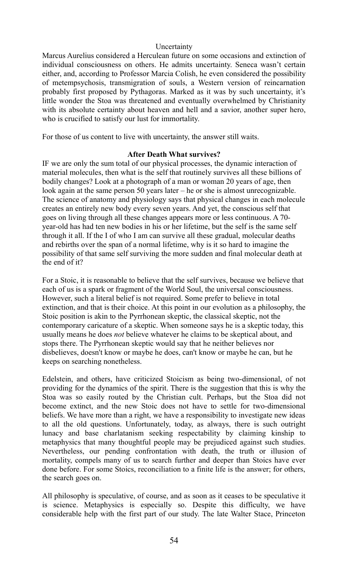#### Uncertainty

Marcus Aurelius considered a Herculean future on some occasions and extinction of individual consciousness on others. He admits uncertainty. Seneca wasn't certain either, and, according to Professor Marcia Colish, he even considered the possibility of metempsychosis, transmigration of souls, a Western version of reincarnation probably first proposed by Pythagoras. Marked as it was by such uncertainty, it's little wonder the Stoa was threatened and eventually overwhelmed by Christianity with its absolute certainty about heaven and hell and a savior, another super hero, who is crucified to satisfy our lust for immortality.

For those of us content to live with uncertainty, the answer still waits.

#### **After Death What survives?**

IF we are only the sum total of our physical processes, the dynamic interaction of material molecules, then what is the self that routinely survives all these billions of bodily changes? Look at a photograph of a man or woman 20 years of age, then look again at the same person 50 years later – he or she is almost unrecognizable. The science of anatomy and physiology says that physical changes in each molecule creates an entirely new body every seven years. And yet, the conscious self that goes on living through all these changes appears more or less continuous. A 70 year-old has had ten new bodies in his or her lifetime, but the self is the same self through it all. If the I of who I am can survive all these gradual, molecular deaths and rebirths over the span of a normal lifetime, why is it so hard to imagine the possibility of that same self surviving the more sudden and final molecular death at the end of it?

For a Stoic, it is reasonable to believe that the self survives, because we believe that each of us is a spark or fragment of the World Soul, the universal consciousness. However, such a literal belief is not required. Some prefer to believe in total extinction, and that is their choice. At this point in our evolution as a philosophy, the Stoic position is akin to the Pyrrhonean skeptic, the classical skeptic, not the contemporary caricature of a skeptic. When someone says he is a skeptic today, this usually means he does *not* believe whatever he claims to be skeptical about, and stops there. The Pyrrhonean skeptic would say that he neither believes nor disbelieves, doesn't know or maybe he does, can't know or maybe he can, but he keeps on searching nonetheless.

Edelstein, and others, have criticized Stoicism as being two-dimensional, of not providing for the dynamics of the spirit. There is the suggestion that this is why the Stoa was so easily routed by the Christian cult. Perhaps, but the Stoa did not become extinct, and the new Stoic does not have to settle for two-dimensional beliefs. We have more than a right, we have a responsibility to investigate new ideas to all the old questions. Unfortunately, today, as always, there is such outright lunacy and base charlatanism seeking respectability by claiming kinship to metaphysics that many thoughtful people may be prejudiced against such studies. Nevertheless, our pending confrontation with death, the truth or illusion of mortality, compels many of us to search further and deeper than Stoics have ever done before. For some Stoics, reconciliation to a finite life is the answer; for others, the search goes on.

All philosophy is speculative, of course, and as soon as it ceases to be speculative it is science. Metaphysics is especially so. Despite this difficulty, we have considerable help with the first part of our study. The late Walter Stace, Princeton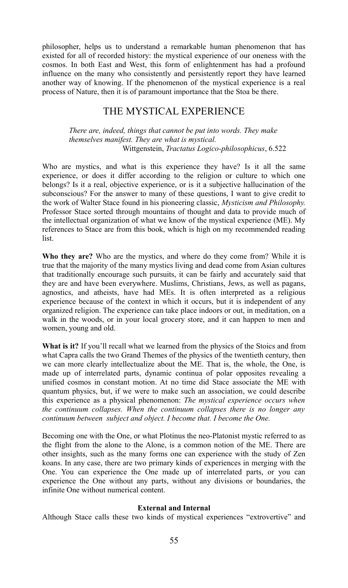philosopher, helps us to understand a remarkable human phenomenon that has existed for all of recorded history: the mystical experience of our oneness with the cosmos. In both East and West, this form of enlightenment has had a profound influence on the many who consistently and persistently report they have learned another way of knowing. If the phenomenon of the mystical experience is a real process of Nature, then it is of paramount importance that the Stoa be there.

## THE MYSTICAL EXPERIENCE

*There are, indeed, things that cannot be put into words. They make themselves manifest. They are what is mystical.* Wittgenstein, *Tractatus Logico-philosophicus*, 6.522

Who are mystics, and what is this experience they have? Is it all the same experience, or does it differ according to the religion or culture to which one belongs? Is it a real, objective experience, or is it a subjective hallucination of the subconscious? For the answer to many of these questions, I want to give credit to the work of Walter Stace found in his pioneering classic, *Mysticism and Philosophy.* Professor Stace sorted through mountains of thought and data to provide much of the intellectual organization of what we know of the mystical experience (ME). My references to Stace are from this book, which is high on my recommended reading list.

**Who they are?** Who are the mystics, and where do they come from? While it is true that the majority of the many mystics living and dead come from Asian cultures that traditionally encourage such pursuits, it can be fairly and accurately said that they are and have been everywhere. Muslims, Christians, Jews, as well as pagans, agnostics, and atheists, have had MEs. It is often interpreted as a religious experience because of the context in which it occurs, but it is independent of any organized religion. The experience can take place indoors or out, in meditation, on a walk in the woods, or in your local grocery store, and it can happen to men and women, young and old.

**What is it?** If you'll recall what we learned from the physics of the Stoics and from what Capra calls the two Grand Themes of the physics of the twentieth century, then we can more clearly intellectualize about the ME. That is, the whole, the One, is made up of interrelated parts, dynamic continua of polar opposites revealing a unified cosmos in constant motion. At no time did Stace associate the ME with quantum physics, but, if we were to make such an association, we could describe this experience as a physical phenomenon: *The mystical experience occurs when the continuum collapses. When the continuum collapses there is no longer any continuum between subject and object. I become that. I become the One.*

Becoming one with the One, or what Plotinus the neo-Platonist mystic referred to as the flight from the alone to the Alone, is a common notion of the ME. There are other insights, such as the many forms one can experience with the study of Zen koans. In any case, there are two primary kinds of experiences in merging with the One. You can experience the One made up of interrelated parts, or you can experience the One without any parts, without any divisions or boundaries, the infinite One without numerical content.

#### **External and Internal**

Although Stace calls these two kinds of mystical experiences "extrovertive" and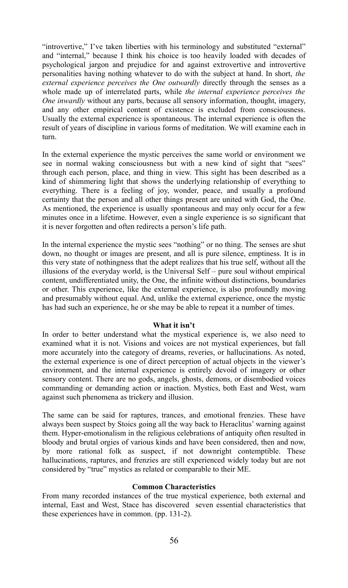"introvertive," I've taken liberties with his terminology and substituted "external" and "internal," because I think his choice is too heavily loaded with decades of psychological jargon and prejudice for and against extrovertive and introvertive personalities having nothing whatever to do with the subject at hand. In short, *the external experience perceives the One outwardly* directly through the senses as a whole made up of interrelated parts, while *the internal experience perceives the One inwardly* without any parts, because all sensory information, thought, imagery, and any other empirical content of existence is excluded from consciousness. Usually the external experience is spontaneous. The internal experience is often the result of years of discipline in various forms of meditation. We will examine each in turn.

In the external experience the mystic perceives the same world or environment we see in normal waking consciousness but with a new kind of sight that "sees" through each person, place, and thing in view. This sight has been described as a kind of shimmering light that shows the underlying relationship of everything to everything. There is a feeling of joy, wonder, peace, and usually a profound certainty that the person and all other things present are united with God, the One. As mentioned, the experience is usually spontaneous and may only occur for a few minutes once in a lifetime. However, even a single experience is so significant that it is never forgotten and often redirects a person's life path.

In the internal experience the mystic sees "nothing" or no thing. The senses are shut down, no thought or images are present, and all is pure silence, emptiness. It is in this very state of nothingness that the adept realizes that his true self, without all the illusions of the everyday world, is the Universal Self – pure soul without empirical content, undifferentiated unity, the One, the infinite without distinctions, boundaries or other. This experience, like the external experience, is also profoundly moving and presumably without equal. And, unlike the external experience, once the mystic has had such an experience, he or she may be able to repeat it a number of times.

#### **What it isn't**

In order to better understand what the mystical experience is, we also need to examined what it is not. Visions and voices are not mystical experiences, but fall more accurately into the category of dreams, reveries, or hallucinations. As noted, the external experience is one of direct perception of actual objects in the viewer's environment, and the internal experience is entirely devoid of imagery or other sensory content. There are no gods, angels, ghosts, demons, or disembodied voices commanding or demanding action or inaction. Mystics, both East and West, warn against such phenomena as trickery and illusion.

The same can be said for raptures, trances, and emotional frenzies. These have always been suspect by Stoics going all the way back to Heraclitus' warning against them. Hyper-emotionalism in the religious celebrations of antiquity often resulted in bloody and brutal orgies of various kinds and have been considered, then and now, by more rational folk as suspect, if not downright contemptible. These hallucinations, raptures, and frenzies are still experienced widely today but are not considered by "true" mystics as related or comparable to their ME.

#### **Common Characteristics**

From many recorded instances of the true mystical experience, both external and internal, East and West, Stace has discovered seven essential characteristics that these experiences have in common. (pp. 131-2).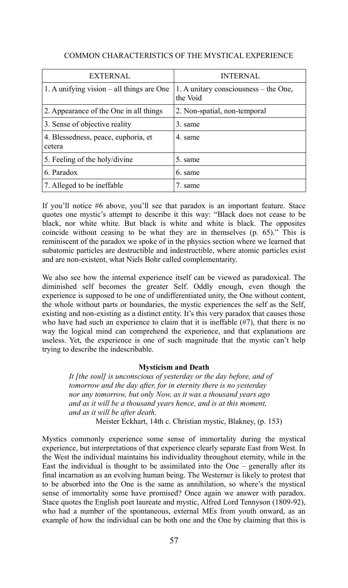| <b>EXTERNAL</b>                               | <b>INTERNAL</b>                                   |
|-----------------------------------------------|---------------------------------------------------|
| 1. A unifying vision $-$ all things are One   | 1. A unitary consciousness – the One,<br>the Void |
| 2. Appearance of the One in all things        | 2. Non-spatial, non-temporal                      |
| 3. Sense of objective reality                 | 3. same                                           |
| 4. Blessedness, peace, euphoria, et<br>cetera | 4 same                                            |
| 5. Feeling of the holy/divine                 | 5. same                                           |
| 6. Paradox                                    | 6. same                                           |
| 7. Alleged to be ineffable                    | 7. same                                           |

#### COMMON CHARACTERISTICS OF THE MYSTICAL EXPERIENCE

If you'll notice #6 above, you'll see that paradox is an important feature. Stace quotes one mystic's attempt to describe it this way: "Black does not cease to be black, nor white white. But black is white and white is black. The opposites coincide without ceasing to be what they are in themselves (p. 65)." This is reminiscent of the paradox we spoke of in the physics section where we learned that subatomic particles are destructible and indestructible, where atomic particles exist and are non-existent, what Niels Bohr called complementarity.

We also see how the internal experience itself can be viewed as paradoxical. The diminished self becomes the greater Self. Oddly enough, even though the experience is supposed to be one of undifferentiated unity, the One without content, the whole without parts or boundaries, the mystic experiences the self as the Self, existing and non-existing as a distinct entity. It's this very paradox that causes those who have had such an experience to claim that it is ineffable  $(\#7)$ , that there is no way the logical mind can comprehend the experience, and that explanations are useless. Yet, the experience is one of such magnitude that the mystic can't help trying to describe the indescribable.

#### **Mysticism and Death**

*It [the soul] is unconscious of yesterday or the day before, and of tomorrow and the day after, for in eternity there is no yesterday nor any tomorrow, but only Now, as it was a thousand years ago and as it will be a thousand years hence, and is at this moment, and as it will be after death.*

Meister Eckhart, 14th c. Christian mystic, Blakney, (p. 153)

Mystics commonly experience some sense of immortality during the mystical experience, but interpretations of that experience clearly separate East from West. In the West the individual maintains his individuality throughout eternity, while in the East the individual is thought to be assimilated into the One  $-$  generally after its final incarnation as an evolving human being. The Westerner is likely to protest that to be absorbed into the One is the same as annihilation, so where's the mystical sense of immortality some have promised? Once again we answer with paradox. Stace quotes the English poet laureate and mystic, Alfred Lord Tennyson (1809-92), who had a number of the spontaneous, external MEs from youth onward, as an example of how the individual can be both one and the One by claiming that this is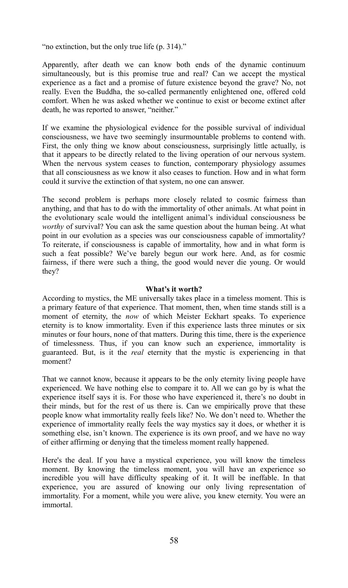"no extinction, but the only true life (p. 314)."

Apparently, after death we can know both ends of the dynamic continuum simultaneously, but is this promise true and real? Can we accept the mystical experience as a fact and a promise of future existence beyond the grave? No, not really. Even the Buddha, the so-called permanently enlightened one, offered cold comfort. When he was asked whether we continue to exist or become extinct after death, he was reported to answer, "neither."

If we examine the physiological evidence for the possible survival of individual consciousness, we have two seemingly insurmountable problems to contend with. First, the only thing we know about consciousness, surprisingly little actually, is that it appears to be directly related to the living operation of our nervous system. When the nervous system ceases to function, contemporary physiology assumes that all consciousness as we know it also ceases to function. How and in what form could it survive the extinction of that system, no one can answer.

The second problem is perhaps more closely related to cosmic fairness than anything, and that has to do with the immortality of other animals. At what point in the evolutionary scale would the intelligent animal's individual consciousness be *worthy* of survival? You can ask the same question about the human being. At what point in our evolution as a species was our consciousness capable of immortality? To reiterate, if consciousness is capable of immortality, how and in what form is such a feat possible? We've barely begun our work here. And, as for cosmic fairness, if there were such a thing, the good would never die young. Or would they?

#### **What's it worth?**

According to mystics, the ME universally takes place in a timeless moment. This is a primary feature of that experience. That moment, then, when time stands still is a moment of eternity, the *now* of which Meister Eckhart speaks. To experience eternity is to know immortality. Even if this experience lasts three minutes or six minutes or four hours, none of that matters. During this time, there is the experience of timelessness. Thus, if you can know such an experience, immortality is guaranteed. But, is it the *real* eternity that the mystic is experiencing in that moment?

That we cannot know, because it appears to be the only eternity living people have experienced. We have nothing else to compare it to. All we can go by is what the experience itself says it is. For those who have experienced it, there's no doubt in their minds, but for the rest of us there is. Can we empirically prove that these people know what immortality really feels like? No. We don't need to. Whether the experience of immortality really feels the way mystics say it does, or whether it is something else, isn't known. The experience is its own proof, and we have no way of either affirming or denying that the timeless moment really happened.

Here's the deal. If you have a mystical experience, you will know the timeless moment. By knowing the timeless moment, you will have an experience so incredible you will have difficulty speaking of it. It will be ineffable. In that experience, you are assured of knowing our only living representation of immortality. For a moment, while you were alive, you knew eternity. You were an immortal.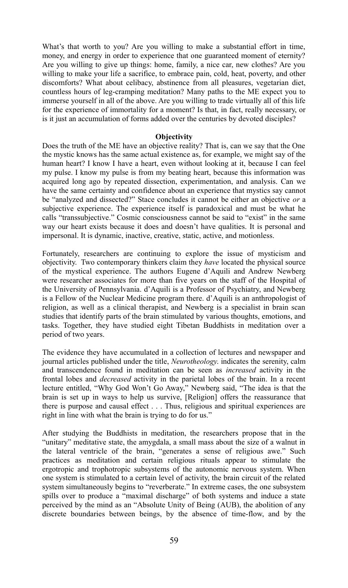What's that worth to you? Are you willing to make a substantial effort in time, money, and energy in order to experience that one guaranteed moment of eternity? Are you willing to give up things: home, family, a nice car, new clothes? Are you willing to make your life a sacrifice, to embrace pain, cold, heat, poverty, and other discomforts? What about celibacy, abstinence from all pleasures, vegetarian diet, countless hours of leg-cramping meditation? Many paths to the ME expect you to immerse yourself in all of the above. Are you willing to trade virtually all of this life for the experience of immortality for a moment? Is that, in fact, really necessary, or is it just an accumulation of forms added over the centuries by devoted disciples?

#### **Objectivity**

Does the truth of the ME have an objective reality? That is, can we say that the One the mystic knows has the same actual existence as, for example, we might say of the human heart? I know I have a heart, even without looking at it, because I can feel my pulse. I know my pulse is from my beating heart, because this information was acquired long ago by repeated dissection, experimentation, and analysis. Can we have the same certainty and confidence about an experience that mystics say cannot be "analyzed and dissected?" Stace concludes it cannot be either an objective *or* a subjective experience. The experience itself is paradoxical and must be what he calls "transsubjective." Cosmic consciousness cannot be said to "exist" in the same way our heart exists because it does and doesn't have qualities. It is personal and impersonal. It is dynamic, inactive, creative, static, active, and motionless.

Fortunately, researchers are continuing to explore the issue of mysticism and objectivity. Two contemporary thinkers claim they *have* located the physical source of the mystical experience. The authors Eugene d'Aquili and Andrew Newberg were researcher associates for more than five years on the staff of the Hospital of the University of Pennsylvania. d'Aquili is a Professor of Psychiatry, and Newberg is a Fellow of the Nuclear Medicine program there. d'Aquili is an anthropologist of religion, as well as a clinical therapist, and Newberg is a specialist in brain scan studies that identify parts of the brain stimulated by various thoughts, emotions, and tasks. Together, they have studied eight Tibetan Buddhists in meditation over a period of two years.

The evidence they have accumulated in a collection of lectures and newspaper and journal articles published under the title, *Neurotheology*. indicates the serenity, calm and transcendence found in meditation can be seen as *increased* activity in the frontal lobes and *decreased* activity in the parietal lobes of the brain. In a recent lecture entitled, "Why God Won't Go Away," Newberg said, "The idea is that the brain is set up in ways to help us survive, [Religion] offers the reassurance that there is purpose and causal effect . . . Thus, religious and spiritual experiences are right in line with what the brain is trying to do for us."

After studying the Buddhists in meditation, the researchers propose that in the "unitary" meditative state, the amygdala, a small mass about the size of a walnut in the lateral ventricle of the brain, "generates a sense of religious awe." Such practices as meditation and certain religious rituals appear to stimulate the ergotropic and trophotropic subsystems of the autonomic nervous system. When one system is stimulated to a certain level of activity, the brain circuit of the related system simultaneously begins to "reverberate." In extreme cases, the one subsystem spills over to produce a "maximal discharge" of both systems and induce a state perceived by the mind as an "Absolute Unity of Being (AUB), the abolition of any discrete boundaries between beings, by the absence of time-flow, and by the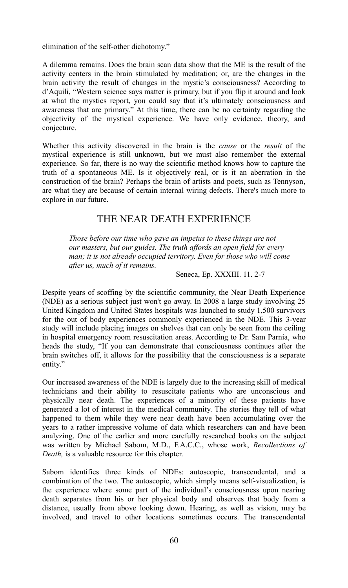elimination of the self-other dichotomy."

A dilemma remains. Does the brain scan data show that the ME is the result of the activity centers in the brain stimulated by meditation; or, are the changes in the brain activity the result of changes in the mystic's consciousness? According to d'Aquili, "Western science says matter is primary, but if you flip it around and look at what the mystics report, you could say that it's ultimately consciousness and awareness that are primary." At this time, there can be no certainty regarding the objectivity of the mystical experience. We have only evidence, theory, and conjecture.

Whether this activity discovered in the brain is the *cause* or the *result* of the mystical experience is still unknown, but we must also remember the external experience. So far, there is no way the scientific method knows how to capture the truth of a spontaneous ME. Is it objectively real, or is it an aberration in the construction of the brain? Perhaps the brain of artists and poets, such as Tennyson, are what they are because of certain internal wiring defects. There's much more to explore in our future.

## THE NEAR DEATH EXPERIENCE

*Those before our time who gave an impetus to these things are not our masters, but our guides. The truth affords an open field for every man; it is not already occupied territory. Even for those who will come after us, much of it remains.* 

#### Seneca, Ep. XXXIII. 11. 2-7

Despite years of scoffing by the scientific community, the Near Death Experience (NDE) as a serious subject just won't go away. In 2008 a large study involving 25 United Kingdom and United States hospitals was launched to study 1,500 survivors for the out of body experiences commonly experienced in the NDE. This 3-year study will include placing images on shelves that can only be seen from the ceiling in hospital emergency room resuscitation areas. According to Dr. Sam Parnia, who heads the study, "If you can demonstrate that consciousness continues after the brain switches off, it allows for the possibility that the consciousness is a separate entity."

Our increased awareness of the NDE is largely due to the increasing skill of medical technicians and their ability to resuscitate patients who are unconscious and physically near death. The experiences of a minority of these patients have generated a lot of interest in the medical community. The stories they tell of what happened to them while they were near death have been accumulating over the years to a rather impressive volume of data which researchers can and have been analyzing. One of the earlier and more carefully researched books on the subject was written by Michael Sabom, M.D., F.A.C.C., whose work, *Recollections of Death,* is a valuable resource for this chapter.

Sabom identifies three kinds of NDEs: autoscopic, transcendental, and a combination of the two. The autoscopic, which simply means self-visualization, is the experience where some part of the individual's consciousness upon nearing death separates from his or her physical body and observes that body from a distance, usually from above looking down. Hearing, as well as vision, may be involved, and travel to other locations sometimes occurs. The transcendental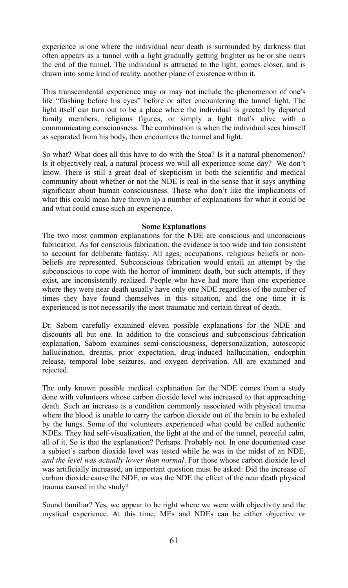experience is one where the individual near death is surrounded by darkness that often appears as a tunnel with a light gradually getting brighter as he or she nears the end of the tunnel. The individual is attracted to the light, comes closer, and is drawn into some kind of reality, another plane of existence within it.

This transcendental experience may or may not include the phenomenon of one's life "flashing before his eyes" before or after encountering the tunnel light. The light itself can turn out to be a place where the individual is greeted by departed family members, religious figures, or simply a light that's alive with a communicating consciousness. The combination is when the individual sees himself as separated from his body, then encounters the tunnel and light.

So what? What does all this have to do with the Stoa? Is it a natural phenomenon? Is it objectively real, a natural process we will all experience some day? We don't know. There is still a great deal of skepticism in both the scientific and medical community about whether or not the NDE is real in the sense that it says anything significant about human consciousness. Those who don't like the implications of what this could mean have thrown up a number of explanations for what it could be and what could cause such an experience.

#### **Some Explanations**

The two most common explanations for the NDE are conscious and unconscious fabrication. As for conscious fabrication, the evidence is too wide and too consistent to account for deliberate fantasy. All ages, occupations, religious beliefs or nonbeliefs are represented. Subconscious fabrication would entail an attempt by the subconscious to cope with the horror of imminent death, but such attempts, if they exist, are inconsistently realized. People who have had more than one experience where they were near death usually have only one NDE regardless of the number of times they have found themselves in this situation, and the one time it is experienced is not necessarily the most traumatic and certain threat of death.

Dr. Sabom carefully examined eleven possible explanations for the NDE and discounts all but one. In addition to the conscious and subconscious fabrication explanation, Sabom examines semi-consciousness, depersonalization, autoscopic hallucination, dreams, prior expectation, drug-induced hallucination, endorphin release, temporal lobe seizures, and oxygen deprivation. All are examined and rejected.

The only known possible medical explanation for the NDE comes from a study done with volunteers whose carbon dioxide level was increased to that approaching death. Such an increase is a condition commonly associated with physical trauma where the blood is unable to carry the carbon dioxide out of the brain to be exhaled by the lungs. Some of the volunteers experienced what could be called authentic NDEs. They had self-visualization, the light at the end of the tunnel, peaceful calm, all of it. So is that the explanation? Perhaps. Probably not. In one documented case a subject's carbon dioxide level was tested while he was in the midst of an NDE, *and the level was actually lower than normal*. For those whose carbon dioxide level was artificially increased, an important question must be asked: Did the increase of carbon dioxide cause the NDE, or was the NDE the effect of the near death physical trauma caused in the study?

Sound familiar? Yes, we appear to be right where we were with objectivity and the mystical experience. At this time, MEs and NDEs can be either objective or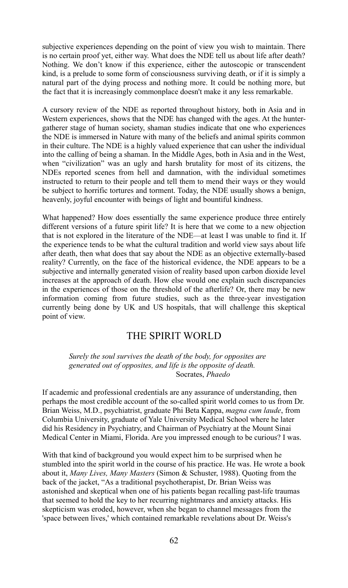subjective experiences depending on the point of view you wish to maintain. There is no certain proof yet, either way. What does the NDE tell us about life after death? Nothing. We don't know if this experience, either the autoscopic or transcendent kind, is a prelude to some form of consciousness surviving death, or if it is simply a natural part of the dying process and nothing more. It could be nothing more, but the fact that it is increasingly commonplace doesn't make it any less remarkable.

A cursory review of the NDE as reported throughout history, both in Asia and in Western experiences, shows that the NDE has changed with the ages. At the huntergatherer stage of human society, shaman studies indicate that one who experiences the NDE is immersed in Nature with many of the beliefs and animal spirits common in their culture. The NDE is a highly valued experience that can usher the individual into the calling of being a shaman. In the Middle Ages, both in Asia and in the West, when "civilization" was an ugly and harsh brutality for most of its citizens, the NDEs reported scenes from hell and damnation, with the individual sometimes instructed to return to their people and tell them to mend their ways or they would be subject to horrific tortures and torment. Today, the NDE usually shows a benign, heavenly, joyful encounter with beings of light and bountiful kindness.

What happened? How does essentially the same experience produce three entirely different versions of a future spirit life? It is here that we come to a new objection that is not explored in the literature of the NDE—at least I was unable to find it. If the experience tends to be what the cultural tradition and world view says about life after death, then what does that say about the NDE as an objective externally-based reality? Currently, on the face of the historical evidence, the NDE appears to be a subjective and internally generated vision of reality based upon carbon dioxide level increases at the approach of death. How else would one explain such discrepancies in the experiences of those on the threshold of the afterlife? Or, there may be new information coming from future studies, such as the three-year investigation currently being done by UK and US hospitals, that will challenge this skeptical point of view.

## THE SPIRIT WORLD

*Surely the soul survives the death of the body, for opposites are generated out of opposites, and life is the opposite of death.*  Socrates, *Phaedo*

If academic and professional credentials are any assurance of understanding, then perhaps the most credible account of the so-called spirit world comes to us from Dr. Brian Weiss, M.D., psychiatrist, graduate Phi Beta Kappa, *magna cum laude*, from Columbia University, graduate of Yale University Medical School where he later did his Residency in Psychiatry, and Chairman of Psychiatry at the Mount Sinai Medical Center in Miami, Florida. Are you impressed enough to be curious? I was.

With that kind of background you would expect him to be surprised when he stumbled into the spirit world in the course of his practice. He was. He wrote a book about it, *Many Lives, Many Masters* (Simon & Schuster, 1988). Quoting from the back of the jacket, "As a traditional psychotherapist, Dr. Brian Weiss was astonished and skeptical when one of his patients began recalling past-life traumas that seemed to hold the key to her recurring nightmares and anxiety attacks. His skepticism was eroded, however, when she began to channel messages from the 'space between lives,' which contained remarkable revelations about Dr. Weiss's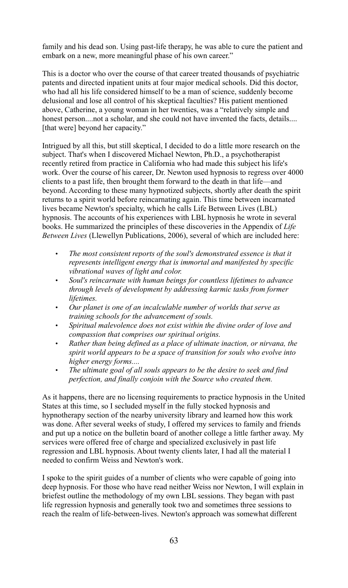family and his dead son. Using past-life therapy, he was able to cure the patient and embark on a new, more meaningful phase of his own career."

This is a doctor who over the course of that career treated thousands of psychiatric patents and directed inpatient units at four major medical schools. Did this doctor, who had all his life considered himself to be a man of science, suddenly become delusional and lose all control of his skeptical faculties? His patient mentioned above, Catherine, a young woman in her twenties, was a "relatively simple and honest person....not a scholar, and she could not have invented the facts, details.... [that were] beyond her capacity."

Intrigued by all this, but still skeptical, I decided to do a little more research on the subject. That's when I discovered Michael Newton, Ph.D., a psychotherapist recently retired from practice in California who had made this subject his life's work. Over the course of his career, Dr. Newton used hypnosis to regress over 4000 clients to a past life, then brought them forward to the death in that life—and beyond. According to these many hypnotized subjects, shortly after death the spirit returns to a spirit world before reincarnating again. This time between incarnated lives became Newton's specialty, which he calls Life Between Lives (LBL) hypnosis. The accounts of his experiences with LBL hypnosis he wrote in several books. He summarized the principles of these discoveries in the Appendix of *Life Between Lives* (Llewellyn Publications, 2006), several of which are included here:

- *The most consistent reports of the soul's demonstrated essence is that it represents intelligent energy that is immortal and manifested by specific vibrational waves of light and color.*
- *Soul's reincarnate with human beings for countless lifetimes to advance through levels of development by addressing karmic tasks from former lifetimes.*
- *Our planet is one of an incalculable number of worlds that serve as training schools for the advancement of souls.*
- *Spiritual malevolence does not exist within the divine order of love and compassion that comprises our spiritual origins.*
- *Rather than being defined as a place of ultimate inaction, or nirvana, the spirit world appears to be a space of transition for souls who evolve into higher energy forms....*
- *The ultimate goal of all souls appears to be the desire to seek and find perfection, and finally conjoin with the Source who created them.*

As it happens, there are no licensing requirements to practice hypnosis in the United States at this time, so I secluded myself in the fully stocked hypnosis and hypnotherapy section of the nearby university library and learned how this work was done. After several weeks of study, I offered my services to family and friends and put up a notice on the bulletin board of another college a little farther away. My services were offered free of charge and specialized exclusively in past life regression and LBL hypnosis. About twenty clients later, I had all the material I needed to confirm Weiss and Newton's work.

I spoke to the spirit guides of a number of clients who were capable of going into deep hypnosis. For those who have read neither Weiss nor Newton, I will explain in briefest outline the methodology of my own LBL sessions. They began with past life regression hypnosis and generally took two and sometimes three sessions to reach the realm of life-between-lives. Newton's approach was somewhat different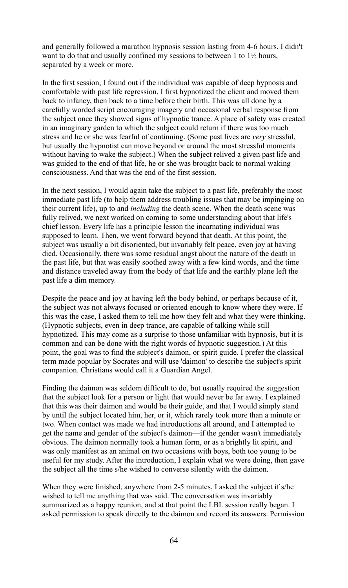and generally followed a marathon hypnosis session lasting from 4-6 hours. I didn't want to do that and usually confined my sessions to between 1 to  $1\frac{1}{2}$  hours, separated by a week or more.

In the first session, I found out if the individual was capable of deep hypnosis and comfortable with past life regression. I first hypnotized the client and moved them back to infancy, then back to a time before their birth. This was all done by a carefully worded script encouraging imagery and occasional verbal response from the subject once they showed signs of hypnotic trance. A place of safety was created in an imaginary garden to which the subject could return if there was too much stress and he or she was fearful of continuing. (Some past lives are *very* stressful, but usually the hypnotist can move beyond or around the most stressful moments without having to wake the subject.) When the subject relived a given past life and was guided to the end of that life, he or she was brought back to normal waking consciousness. And that was the end of the first session.

In the next session, I would again take the subject to a past life, preferably the most immediate past life (to help them address troubling issues that may be impinging on their current life), up to and *including* the death scene. When the death scene was fully relived, we next worked on coming to some understanding about that life's chief lesson. Every life has a principle lesson the incarnating individual was supposed to learn. Then, we went forward beyond that death. At this point, the subject was usually a bit disoriented, but invariably felt peace, even joy at having died. Occasionally, there was some residual angst about the nature of the death in the past life, but that was easily soothed away with a few kind words, and the time and distance traveled away from the body of that life and the earthly plane left the past life a dim memory.

Despite the peace and joy at having left the body behind, or perhaps because of it, the subject was not always focused or oriented enough to know where they were. If this was the case, I asked them to tell me how they felt and what they were thinking. (Hypnotic subjects, even in deep trance, are capable of talking while still hypnotized. This may come as a surprise to those unfamiliar with hypnosis, but it is common and can be done with the right words of hypnotic suggestion.) At this point, the goal was to find the subject's daimon, or spirit guide. I prefer the classical term made popular by Socrates and will use 'daimon' to describe the subject's spirit companion. Christians would call it a Guardian Angel.

Finding the daimon was seldom difficult to do, but usually required the suggestion that the subject look for a person or light that would never be far away. I explained that this was their daimon and would be their guide, and that I would simply stand by until the subject located him, her, or it, which rarely took more than a minute or two. When contact was made we had introductions all around, and I attempted to get the name and gender of the subject's daimon—if the gender wasn't immediately obvious. The daimon normally took a human form, or as a brightly lit spirit, and was only manifest as an animal on two occasions with boys, both too young to be useful for my study. After the introduction, I explain what we were doing, then gave the subject all the time s/he wished to converse silently with the daimon.

When they were finished, anywhere from 2-5 minutes, I asked the subject if s/he wished to tell me anything that was said. The conversation was invariably summarized as a happy reunion, and at that point the LBL session really began. I asked permission to speak directly to the daimon and record its answers. Permission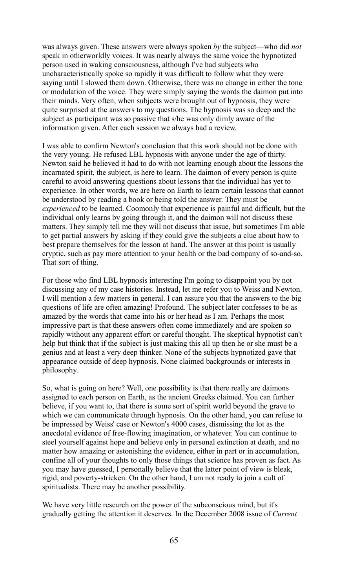was always given. These answers were always spoken *by* the subject—who did *not* speak in otherworldly voices. It was nearly always the same voice the hypnotized person used in waking consciousness, although I've had subjects who uncharacteristically spoke so rapidly it was difficult to follow what they were saying until I slowed them down. Otherwise, there was no change in either the tone or modulation of the voice. They were simply saying the words the daimon put into their minds. Very often, when subjects were brought out of hypnosis, they were quite surprised at the answers to my questions. The hypnosis was so deep and the subject as participant was so passive that s/he was only dimly aware of the information given. After each session we always had a review.

I was able to confirm Newton's conclusion that this work should not be done with the very young. He refused LBL hypnosis with anyone under the age of thirty. Newton said he believed it had to do with not learning enough about the lessons the incarnated spirit, the subject, is here to learn. The daimon of every person is quite careful to avoid answering questions about lessons that the individual has yet to experience. In other words, we are here on Earth to learn certain lessons that cannot be understood by reading a book or being told the answer. They must be *experienced* to be learned. Coomonly that experience is painful and difficult, but the individual only learns by going through it, and the daimon will not discuss these matters. They simply tell me they will not discuss that issue, but sometimes I'm able to get partial answers by asking if they could give the subjects a clue about how to best prepare themselves for the lesson at hand. The answer at this point is usually cryptic, such as pay more attention to your health or the bad company of so-and-so. That sort of thing.

For those who find LBL hypnosis interesting I'm going to disappoint you by not discussing any of my case histories. Instead, let me refer you to Weiss and Newton. I will mention a few matters in general. I can assure you that the answers to the big questions of life are often amazing! Profound. The subject later confesses to be as amazed by the words that came into his or her head as I am. Perhaps the most impressive part is that these answers often come immediately and are spoken so rapidly without any apparent effort or careful thought. The skeptical hypnotist can't help but think that if the subject is just making this all up then he or she must be a genius and at least a very deep thinker. None of the subjects hypnotized gave that appearance outside of deep hypnosis. None claimed backgrounds or interests in philosophy.

So, what is going on here? Well, one possibility is that there really are daimons assigned to each person on Earth, as the ancient Greeks claimed. You can further believe, if you want to, that there is some sort of spirit world beyond the grave to which we can communicate through hypnosis. On the other hand, you can refuse to be impressed by Weiss' case or Newton's 4000 cases, dismissing the lot as the anecdotal evidence of free-flowing imagination, or whatever. You can continue to steel yourself against hope and believe only in personal extinction at death, and no matter how amazing or astonishing the evidence, either in part or in accumulation, confine all of your thoughts to only those things that science has proven as fact. As you may have guessed, I personally believe that the latter point of view is bleak, rigid, and poverty-stricken. On the other hand, I am not ready to join a cult of spiritualists. There may be another possibility.

We have very little research on the power of the subconscious mind, but it's gradually getting the attention it deserves. In the December 2008 issue of *Current*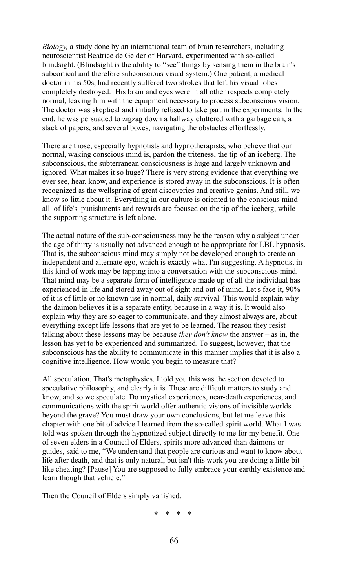*Biology,* a study done by an international team of brain researchers, including neuroscientist Beatrice de Gelder of Harvard, experimented with so-called blindsight. (Blindsight is the ability to "see" things by sensing them in the brain's subcortical and therefore subconscious visual system.) One patient, a medical doctor in his 50s, had recently suffered two strokes that left his visual lobes completely destroyed. His brain and eyes were in all other respects completely normal, leaving him with the equipment necessary to process subconscious vision. The doctor was skeptical and initially refused to take part in the experiments. In the end, he was persuaded to zigzag down a hallway cluttered with a garbage can, a stack of papers, and several boxes, navigating the obstacles effortlessly.

There are those, especially hypnotists and hypnotherapists, who believe that our normal, waking conscious mind is, pardon the triteness, the tip of an iceberg. The subconscious, the subterranean consciousness is huge and largely unknown and ignored. What makes it so huge? There is very strong evidence that everything we ever see, hear, know, and experience is stored away in the subconscious. It is often recognized as the wellspring of great discoveries and creative genius. And still, we know so little about it. Everything in our culture is oriented to the conscious mind – all of life's punishments and rewards are focused on the tip of the iceberg, while the supporting structure is left alone.

The actual nature of the sub-consciousness may be the reason why a subject under the age of thirty is usually not advanced enough to be appropriate for LBL hypnosis. That is, the subconscious mind may simply not be developed enough to create an independent and alternate ego, which is exactly what I'm suggesting. A hypnotist in this kind of work may be tapping into a conversation with the subconscious mind. That mind may be a separate form of intelligence made up of all the individual has experienced in life and stored away out of sight and out of mind. Let's face it, 90% of it is of little or no known use in normal, daily survival. This would explain why the daimon believes it is a separate entity, because in a way it is. It would also explain why they are so eager to communicate, and they almost always are, about everything except life lessons that are yet to be learned. The reason they resist talking about these lessons may be because *they don't know* the answer – as in, the lesson has yet to be experienced and summarized. To suggest, however, that the subconscious has the ability to communicate in this manner implies that it is also a cognitive intelligence. How would you begin to measure that?

All speculation. That's metaphysics. I told you this was the section devoted to speculative philosophy, and clearly it is. These are difficult matters to study and know, and so we speculate. Do mystical experiences, near-death experiences, and communications with the spirit world offer authentic visions of invisible worlds beyond the grave? You must draw your own conclusions, but let me leave this chapter with one bit of advice I learned from the so-called spirit world. What I was told was spoken through the hypnotized subject directly to me for my benefit. One of seven elders in a Council of Elders, spirits more advanced than daimons or guides, said to me, "We understand that people are curious and want to know about life after death, and that is only natural, but isn't this work you are doing a little bit like cheating? [Pause] You are supposed to fully embrace your earthly existence and learn though that vehicle."

Then the Council of Elders simply vanished.

\* \* \* \*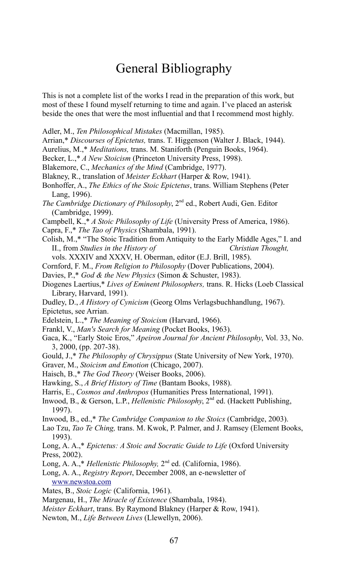# General Bibliography

This is not a complete list of the works I read in the preparation of this work, but most of these I found myself returning to time and again. I've placed an asterisk beside the ones that were the most influential and that I recommend most highly.

- Adler, M., *Ten Philosophical Mistakes* (Macmillan, 1985).
- Arrian,\* *Discourses of Epictetus,* trans. T. Higgenson (Walter J. Black, 1944).
- Aurelius, M.,\* *Meditations,* trans. M. Staniforth (Penguin Books, 1964).
- Becker, L.,\* *A New Stoicism* (Princeton University Press, 1998).
- Blakemore, C., *Mechanics of the Mind* (Cambridge, 1977).
- Blakney, R., translation of *Meister Eckhart* (Harper & Row, 1941).
- Bonhoffer, A., *The Ethics of the Stoic Epictetus*, trans. William Stephens (Peter Lang, 1996).
- *The Cambridge Dictionary of Philosophy*, 2nd ed., Robert Audi, Gen. Editor (Cambridge, 1999).
- Campbell, K.,\* *A Stoic Philosophy of Life* (University Press of America, 1986).
- Capra, F.,\* *The Tao of Physics* (Shambala, 1991).
- Colish, M.,\* "The Stoic Tradition from Antiquity to the Early Middle Ages," I. and II., from *Studies in the History of Christian Thought,*
- vols. XXXIV and XXXV, H. Oberman, editor (E.J. Brill, 1985).
- Cornford, F. M., *From Religion to Philosophy* (Dover Publications, 2004).
- Davies, P.,\* *God & the New Physics* (Simon & Schuster, 1983).
- Diogenes Laertius,\* *Lives of Eminent Philosophers,* trans. R. Hicks (Loeb Classical Library, Harvard, 1991).
- Dudley, D., *A History of Cynicism* (Georg Olms Verlagsbuchhandlung, 1967). Epictetus, see Arrian.
- Edelstein, L.,\* *The Meaning of Stoicism* (Harvard, 1966).
- Frankl, V., *Man's Search for Meaning* (Pocket Books, 1963).
- Gaca, K., "Early Stoic Eros," *Apeiron Journal for Ancient Philosophy*, Vol. 33, No. 3, 2000, (pp. 207-38).
- Gould, J.,\* *The Philosophy of Chrysippus* (State University of New York, 1970).
- Graver, M., *Stoicism and Emotion* (Chicago, 2007).
- Haisch, B.,\* *The God Theory* (Weiser Books, 2006).
- Hawking, S., *A Brief History of Time* (Bantam Books, 1988).
- Harris, E., *Cosmos and Anthropos* (Humanities Press International, 1991).
- Inwood, B., & Gerson, L.P., *Hellenistic Philosophy*, 2nd ed. (Hackett Publishing, 1997).
- Inwood, B., ed.,\* *The Cambridge Companion to the Stoics* (Cambridge, 2003).
- Lao Tzu, *Tao Te Ching,* trans. M. Kwok, P. Palmer, and J. Ramsey (Element Books, 1993).
- Long, A. A.,\* *Epictetus: A Stoic and Socratic Guide to Life* (Oxford University Press, 2002).
- Long, A. A.,\* *Hellenistic Philosophy*, 2<sup>nd</sup> ed. (California, 1986).
- Long, A. A., *Registry Report*, December 2008, an e-newsletter of [www.newstoa.com](http://www.thestoicregistry.org/)
- Mates, B., *Stoic Logic* (California, 1961).
- Margenau, H., *The Miracle of Existence* (Shambala, 1984).
- *Meister Eckhart*, trans. By Raymond Blakney (Harper & Row, 1941).
- Newton, M., *Life Between Lives* (Llewellyn, 2006).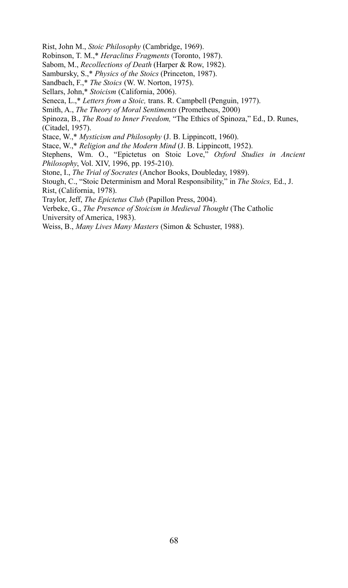Rist, John M., *Stoic Philosophy* (Cambridge, 1969).

Robinson, T. M.,\* *Heraclitus Fragments* (Toronto, 1987).

Sabom, M., *Recollections of Death* (Harper & Row, 1982).

Sambursky, S.,\* *Physics of the Stoics* (Princeton, 1987).

Sandbach, F.,\* *The Stoics* (W. W. Norton, 1975).

Sellars, John,\* *Stoicism* (California, 2006).

Seneca, L.,\* *Letters from a Stoic,* trans. R. Campbell (Penguin, 1977).

Smith, A., *The Theory of Moral Sentiments* (Prometheus, 2000)

Spinoza, B., *The Road to Inner Freedom,* "The Ethics of Spinoza," Ed., D. Runes, (Citadel, 1957).

Stace, W.,\* *Mysticism and Philosophy* (J. B. Lippincott, 1960).

Stace, W.,\* *Religion and the Modern Mind* (J. B. Lippincott, 1952).

Stephens, Wm. O., "Epictetus on Stoic Love," *Oxford Studies in Ancient Philosophy*, Vol. XIV, 1996, pp. 195-210).

Stone, I., *The Trial of Socrates* (Anchor Books, Doubleday, 1989).

Stough, C., "Stoic Determinism and Moral Responsibility," in *The Stoics,* Ed., J. Rist, (California, 1978).

Traylor, Jeff, *The Epictetus Club* (Papillon Press, 2004).

Verbeke, G., *The Presence of Stoicism in Medieval Thought* (The Catholic

University of America, 1983).

Weiss, B., *Many Lives Many Masters* (Simon & Schuster, 1988).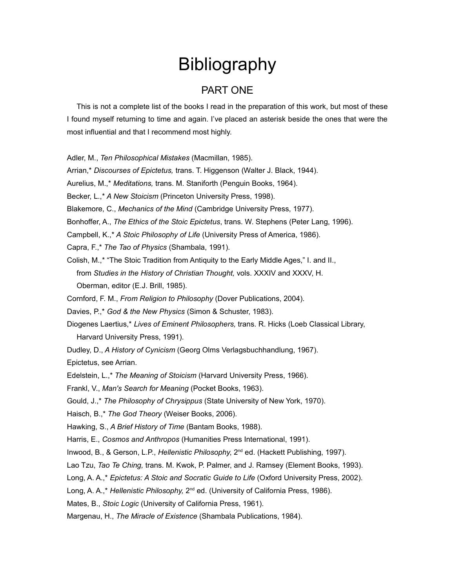# **Bibliography**

## PART ONE

This is not a complete list of the books I read in the preparation of this work, but most of these I found myself returning to time and again. I've placed an asterisk beside the ones that were the most influential and that I recommend most highly.

Adler, M., *Ten Philosophical Mistakes* (Macmillan, 1985).

Arrian,\* *Discourses of Epictetus,* trans. T. Higgenson (Walter J. Black, 1944).

Aurelius, M.,\* *Meditations,* trans. M. Staniforth (Penguin Books, 1964).

Becker, L.,\* *A New Stoicism* (Princeton University Press, 1998).

Blakemore, C., *Mechanics of the Mind* (Cambridge University Press, 1977).

Bonhoffer, A., *The Ethics of the Stoic Epictetus*, trans. W. Stephens (Peter Lang, 1996).

Campbell, K.,\* *A Stoic Philosophy of Life* (University Press of America, 1986).

Capra, F.,\* *The Tao of Physics* (Shambala, 1991).

Colish, M.,\* "The Stoic Tradition from Antiquity to the Early Middle Ages," I. and II., from *Studies in the History of Christian Thought,* vols. XXXIV and XXXV, H. Oberman, editor (E.J. Brill, 1985).

Cornford, F. M., *From Religion to Philosophy* (Dover Publications, 2004).

Davies, P.,\* *God & the New Physics* (Simon & Schuster, 1983).

Diogenes Laertius,\* *Lives of Eminent Philosophers,* trans. R. Hicks (Loeb Classical Library, Harvard University Press, 1991).

Dudley, D., *A History of Cynicism* (Georg Olms Verlagsbuchhandlung, 1967).

Epictetus, see Arrian.

Edelstein, L.,\* *The Meaning of Stoicism* (Harvard University Press, 1966).

Frankl, V., *Man's Search for Meaning* (Pocket Books, 1963).

Gould, J.,\* *The Philosophy of Chrysippus* (State University of New York, 1970).

Haisch, B.,\* *The God Theory* (Weiser Books, 2006).

Hawking, S., *A Brief History of Time* (Bantam Books, 1988).

Harris, E., *Cosmos and Anthropos* (Humanities Press International, 1991).

Inwood, B., & Gerson, L.P., *Hellenistic Philosophy*, 2<sup>nd</sup> ed. (Hackett Publishing, 1997).

Lao Tzu, *Tao Te Ching,* trans. M. Kwok, P. Palmer, and J. Ramsey (Element Books, 1993).

Long, A. A.,\* *Epictetus: A Stoic and Socratic Guide to Life* (Oxford University Press, 2002).

Long, A. A.,<sup>\*</sup> *Hellenistic Philosophy*, 2<sup>nd</sup> ed. (University of California Press, 1986).

Mates, B., *Stoic Logic* (University of California Press, 1961).

Margenau, H., *The Miracle of Existence* (Shambala Publications, 1984).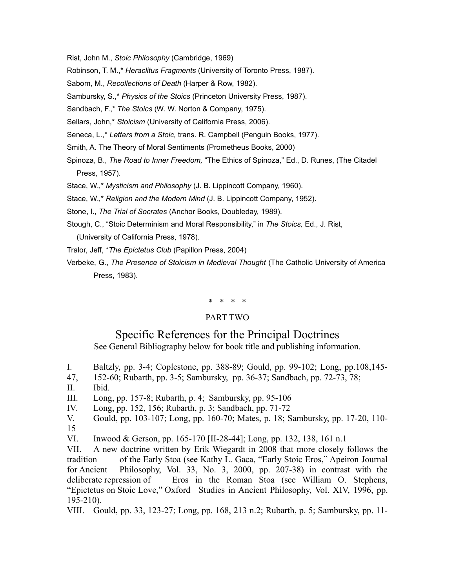Rist, John M., *Stoic Philosophy* (Cambridge, 1969)

Robinson, T. M.,\* *Heraclitus Fragments* (University of Toronto Press, 1987).

Sabom, M., *Recollections of Death* (Harper & Row, 1982).

Sambursky, S.,\* *Physics of the Stoics* (Princeton University Press, 1987).

Sandbach, F.,\* *The Stoics* (W. W. Norton & Company, 1975).

Sellars, John,\* *Stoicism* (University of California Press, 2006).

Seneca, L.,\* *Letters from a Stoic,* trans. R. Campbell (Penguin Books, 1977).

Smith, A. The Theory of Moral Sentiments (Prometheus Books, 2000)

Spinoza, B., *The Road to Inner Freedom,* "The Ethics of Spinoza," Ed., D. Runes, (The Citadel Press, 1957).

Stace, W.,\* *Mysticism and Philosophy* (J. B. Lippincott Company, 1960).

Stace, W.,\* *Religion and the Modern Mind* (J. B. Lippincott Company, 1952).

Stone, I., *The Trial of Socrates* (Anchor Books, Doubleday, 1989).

Stough, C., "Stoic Determinism and Moral Responsibility," in *The Stoics,* Ed., J. Rist, (University of California Press, 1978).

Tralor, Jeff, \**The Epictetus Club* (Papillon Press, 2004)

Verbeke, G., *The Presence of Stoicism in Medieval Thought* (The Catholic University of America Press, 1983).

\* \* \* \*

#### PART TWO

## Specific References for the Principal Doctrines See General Bibliography below for book title and publishing information.

- I. Baltzly, pp. 3-4; Coplestone, pp. 388-89; Gould, pp. 99-102; Long, pp.108,145-
- 47, 152-60; Rubarth, pp. 3-5; Sambursky, pp. 36-37; Sandbach, pp. 72-73, 78;
- II. Ibid.

III. Long, pp. 157-8; Rubarth, p. 4; Sambursky, pp. 95-106

- IV. Long, pp. 152, 156; Rubarth, p. 3; Sandbach, pp. 71-72
- V. Gould, pp. 103-107; Long, pp. 160-70; Mates, p. 18; Sambursky, pp. 17-20, 110- 15

VI. Inwood & Gerson, pp. 165-170 [II-28-44]; Long, pp. 132, 138, 161 n.1

VII. A new doctrine written by Erik Wiegardt in 2008 that more closely follows the tradition of the Early Stoa (see Kathy L. Gaca, "Early Stoic Eros," Apeiron Journal for Ancient Philosophy, Vol. 33, No. 3, 2000, pp. 207-38) in contrast with the deliberate repression of Eros in the Roman Stoa (see William O. Stephens, "Epictetus on Stoic Love," Oxford Studies in Ancient Philosophy, Vol. XIV, 1996, pp. 195-210).

VIII. Gould, pp. 33, 123-27; Long, pp. 168, 213 n.2; Rubarth, p. 5; Sambursky, pp. 11-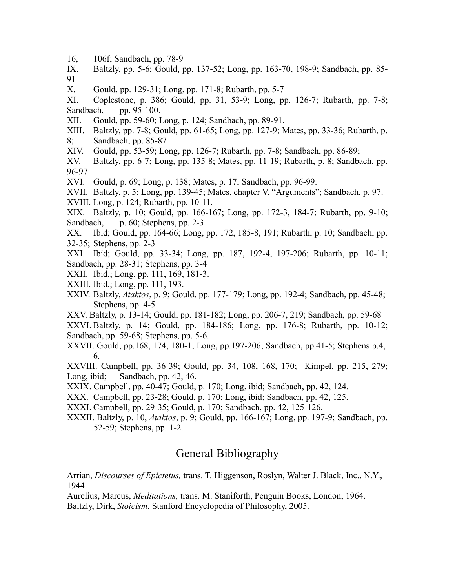- 16, 106f; Sandbach, pp. 78-9
- IX. Baltzly, pp. 5-6; Gould, pp. 137-52; Long, pp. 163-70, 198-9; Sandbach, pp. 85- 91
- X. Gould, pp. 129-31; Long, pp. 171-8; Rubarth, pp. 5-7
- XI. Coplestone, p. 386; Gould, pp. 31, 53-9; Long, pp. 126-7; Rubarth, pp. 7-8; Sandbach, pp. 95-100.
- XII. Gould, pp. 59-60; Long, p. 124; Sandbach, pp. 89-91.
- XIII. Baltzly, pp. 7-8; Gould, pp. 61-65; Long, pp. 127-9; Mates, pp. 33-36; Rubarth, p. 8; Sandbach, pp. 85-87
- XIV. Gould, pp. 53-59; Long, pp. 126-7; Rubarth, pp. 7-8; Sandbach, pp. 86-89;
- XV. Baltzly, pp. 6-7; Long, pp. 135-8; Mates, pp. 11-19; Rubarth, p. 8; Sandbach, pp. 96-97
- XVI. Gould, p. 69; Long, p. 138; Mates, p. 17; Sandbach, pp. 96-99.
- XVII. Baltzly, p. 5; Long, pp. 139-45; Mates, chapter V, "Arguments"; Sandbach, p. 97.
- XVIII. Long, p. 124; Rubarth, pp. 10-11.
- XIX. Baltzly, p. 10; Gould, pp. 166-167; Long, pp. 172-3, 184-7; Rubarth, pp. 9-10; Sandbach, p. 60; Stephens, pp. 2-3
- XX. Ibid; Gould, pp. 164-66; Long, pp. 172, 185-8, 191; Rubarth, p. 10; Sandbach, pp. 32-35; Stephens, pp. 2-3
- XXI. Ibid; Gould, pp. 33-34; Long, pp. 187, 192-4, 197-206; Rubarth, pp. 10-11; Sandbach, pp. 28-31; Stephens, pp. 3-4
- XXII. Ibid.; Long, pp. 111, 169, 181-3.
- XXIII. Ibid.; Long, pp. 111, 193.
- XXIV. Baltzly, *Ataktos*, p. 9; Gould, pp. 177-179; Long, pp. 192-4; Sandbach, pp. 45-48; Stephens, pp. 4-5
- XXV. Baltzly, p. 13-14; Gould, pp. 181-182; Long, pp. 206-7, 219; Sandbach, pp. 59-68
- XXVI. Baltzly, p. 14; Gould, pp. 184-186; Long, pp. 176-8; Rubarth, pp. 10-12; Sandbach, pp. 59-68; Stephens, pp. 5-6.
- XXVII. Gould, pp.168, 174, 180-1; Long, pp.197-206; Sandbach, pp.41-5; Stephens p.4, 6.

XXVIII. Campbell, pp. 36-39; Gould, pp. 34, 108, 168, 170; Kimpel, pp. 215, 279; Long, ibid; Sandbach, pp. 42, 46.

- XXIX. Campbell, pp. 40-47; Gould, p. 170; Long, ibid; Sandbach, pp. 42, 124.
- XXX. Campbell, pp. 23-28; Gould, p. 170; Long, ibid; Sandbach, pp. 42, 125.
- XXXI. Campbell, pp. 29-35; Gould, p. 170; Sandbach, pp. 42, 125-126.
- XXXII. Baltzly, p. 10, *Ataktos*, p. 9; Gould, pp. 166-167; Long, pp. 197-9; Sandbach, pp. 52-59; Stephens, pp. 1-2.

# General Bibliography

Arrian, *Discourses of Epictetus,* trans. T. Higgenson, Roslyn, Walter J. Black, Inc., N.Y., 1944.

Aurelius, Marcus, *Meditations,* trans. M. Staniforth, Penguin Books, London, 1964. Baltzly, Dirk, *Stoicism*, Stanford Encyclopedia of Philosophy, 2005.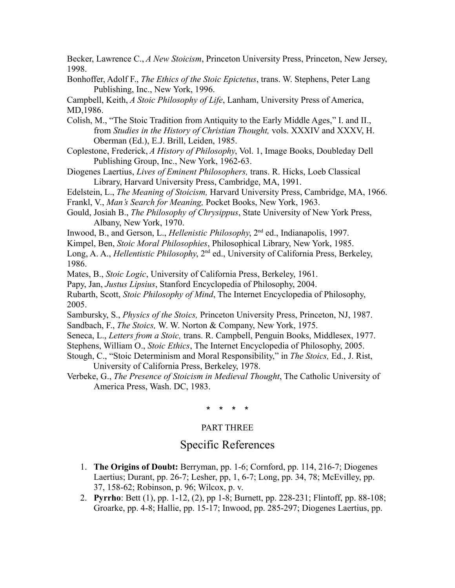Becker, Lawrence C., *A New Stoicism*, Princeton University Press, Princeton, New Jersey, 1998.

Bonhoffer, Adolf F., *The Ethics of the Stoic Epictetus*, trans. W. Stephens, Peter Lang Publishing, Inc., New York, 1996.

Campbell, Keith, *A Stoic Philosophy of Life*, Lanham, University Press of America, MD,1986.

- Colish, M., "The Stoic Tradition from Antiquity to the Early Middle Ages," I. and II., from *Studies in the History of Christian Thought,* vols. XXXIV and XXXV, H. Oberman (Ed.), E.J. Brill, Leiden, 1985.
- Coplestone, Frederick, *A History of Philosophy*, Vol. 1, Image Books, Doubleday Dell Publishing Group, Inc., New York, 1962-63.
- Diogenes Laertius, *Lives of Eminent Philosophers,* trans. R. Hicks, Loeb Classical Library, Harvard University Press, Cambridge, MA, 1991.
- Edelstein, L., *The Meaning of Stoicism,* Harvard University Press, Cambridge, MA, 1966.
- Frankl, V., *Man's Search for Meaning,* Pocket Books, New York, 1963.
- Gould, Josiah B., *The Philosophy of Chrysippus*, State University of New York Press, Albany, New York, 1970.
- Inwood, B., and Gerson, L., *Hellenistic Philosophy*, 2nd ed., Indianapolis, 1997.
- Kimpel, Ben, *Stoic Moral Philosophies*, Philosophical Library, New York, 1985.
- Long, A. A., *Hellentistic Philosophy*, 2<sup>nd</sup> ed., University of California Press, Berkeley, 1986.

Mates, B., *Stoic Logic*, University of California Press, Berkeley, 1961.

- Papy, Jan, *Justus Lipsius*, Stanford Encyclopedia of Philosophy, 2004.
- Rubarth, Scott, *Stoic Philosophy of Mind*, The Internet Encyclopedia of Philosophy, 2005.
- Sambursky, S., *Physics of the Stoics,* Princeton University Press, Princeton, NJ, 1987. Sandbach, F., *The Stoics,* W. W. Norton & Company, New York, 1975.
- Seneca, L., *Letters from a Stoic,* trans. R. Campbell, Penguin Books, Middlesex, 1977. Stephens, William O., *Stoic Ethics*, The Internet Encyclopedia of Philosophy, 2005.
- Stough, C., "Stoic Determinism and Moral Responsibility," in *The Stoics,* Ed., J. Rist, University of California Press, Berkeley, 1978.
- Verbeke, G., *The Presence of Stoicism in Medieval Thought*, The Catholic University of America Press, Wash. DC, 1983.

## \* \* \* \*

## PART THREE

# Specific References

- 1. **The Origins of Doubt:** Berryman, pp. 1-6; Cornford, pp. 114, 216-7; Diogenes Laertius; Durant, pp. 26-7; Lesher, pp, 1, 6-7; Long, pp. 34, 78; McEvilley, pp. 37, 158-62; Robinson, p. 96; Wilcox, p. v.
- 2. **Pyrrho**: Bett (1), pp. 1-12, (2), pp 1-8; Burnett, pp. 228-231; Flintoff, pp. 88-108; Groarke, pp. 4-8; Hallie, pp. 15-17; Inwood, pp. 285-297; Diogenes Laertius, pp.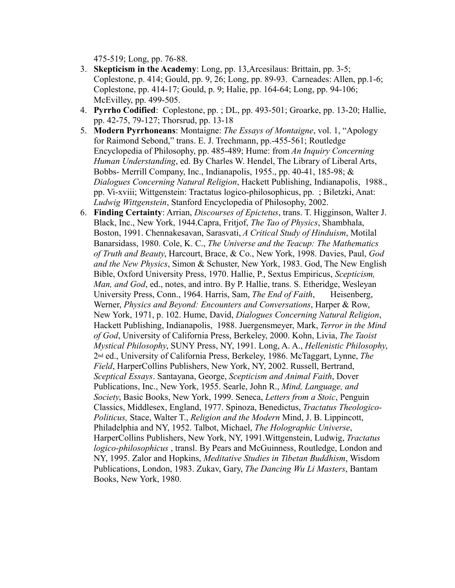475-519; Long, pp. 76-88.

- 3. **Skepticism in the Academy**: Long, pp. 13,Arcesilaus: Brittain, pp. 3-5; Coplestone, p. 414; Gould, pp. 9, 26; Long, pp. 89-93. Carneades: Allen, pp.1-6; Coplestone, pp. 414-17; Gould, p. 9; Halie, pp. 164-64; Long, pp. 94-106; McEvilley, pp. 499-505.
- 4. **Pyrrho Codified**: Coplestone, pp. ; DL, pp. 493-501; Groarke, pp. 13-20; Hallie, pp. 42-75, 79-127; Thorsrud, pp. 13-18
- 5. **Modern Pyrrhoneans**: Montaigne: *The Essays of Montaigne*, vol. 1, "Apology for Raimond Sebond," trans. E. J. Trechmann, pp.-455-561; Routledge Encyclopedia of Philosophy, pp. 485-489; Hume: from *An Inquiry Concerning Human Understanding*, ed. By Charles W. Hendel, The Library of Liberal Arts, Bobbs- Merrill Company, Inc., Indianapolis, 1955., pp. 40-41, 185-98; & *Dialogues Concerning Natural Religion*, Hackett Publishing, Indianapolis, 1988., pp. Vi-xviii; Wittgenstein: Tractatus logico-philosophicus, pp. ; Biletzki, Anat: *Ludwig Wittgenstein*, Stanford Encyclopedia of Philosophy, 2002.
- 6. **Finding Certainty**: Arrian, *Discourses of Epictetus*, trans. T. Higginson, Walter J. Black, Inc., New York, 1944.Capra, Fritjof, *The Tao of Physics*, Shambhala, Boston, 1991. Chennakesavan, Sarasvati, *A Critical Study of Hinduism*, Motilal Banarsidass, 1980. Cole, K. C., *The Universe and the Teacup: The Mathematics of Truth and Beauty*, Harcourt, Brace, & Co., New York, 1998. Davies, Paul, *God and the New Physics*, Simon & Schuster, New York, 1983. God, The New English Bible, Oxford University Press, 1970. Hallie, P., Sextus Empiricus, *Scepticism, Man, and God*, ed., notes, and intro. By P. Hallie, trans. S. Etheridge, Wesleyan University Press, Conn., 1964. Harris, Sam, *The End of Faith*, Heisenberg, Werner, *Physics and Beyond: Encounters and Conversations*, Harper & Row, New York, 1971, p. 102. Hume, David, *Dialogues Concerning Natural Religion*, Hackett Publishing, Indianapolis, 1988. Juergensmeyer, Mark, *Terror in the Mind of God*, University of California Press, Berkeley, 2000. Kohn, Livia, *The Taoist Mystical Philosophy*, SUNY Press, NY, 1991. Long, A. A., *Hellenistic Philosophy*, 2nd ed., University of California Press, Berkeley, 1986. McTaggart, Lynne, *The Field*, HarperCollins Publishers, New York, NY, 2002. Russell, Bertrand, *Sceptical Essays*. Santayana, George, *Scepticism and Animal Faith*, Dover Publications, Inc., New York, 1955. Searle, John R., *Mind, Language, and Society*, Basic Books, New York, 1999. Seneca, *Letters from a Stoic*, Penguin Classics, Middlesex, England, 1977. Spinoza, Benedictus, *Tractatus Theologico-Politicus,* Stace, Walter T., *Religion and the Modern* Mind, J. B. Lippincott, Philadelphia and NY, 1952. Talbot, Michael, *The Holographic Universe*, HarperCollins Publishers, New York, NY, 1991.Wittgenstein, Ludwig, *Tractatus logico-philosophicus* , transl. By Pears and McGuinness, Routledge, London and NY, 1995. Zalor and Hopkins, *Meditative Studies in Tibetan Buddhism*, Wisdom Publications, London, 1983. Zukav, Gary, *The Dancing Wu Li Masters*, Bantam Books, New York, 1980.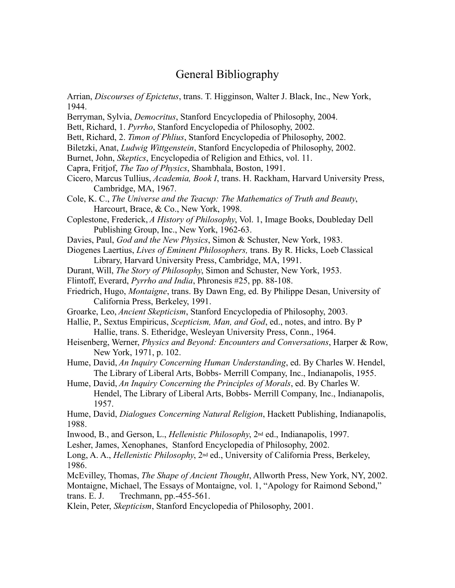## General Bibliography

- Arrian, *Discourses of Epictetus*, trans. T. Higginson, Walter J. Black, Inc., New York, 1944.
- Berryman, Sylvia, *Democritus*, Stanford Encyclopedia of Philosophy, 2004.
- Bett, Richard, 1. *Pyrrho*, Stanford Encyclopedia of Philosophy, 2002.
- Bett, Richard, 2. *Timon of Phlius*, Stanford Encyclopedia of Philosophy, 2002.
- Biletzki, Anat, *Ludwig Wittgenstein*, Stanford Encyclopedia of Philosophy, 2002.
- Burnet, John, *Skeptics*, Encyclopedia of Religion and Ethics, vol. 11.
- Capra, Fritjof, *The Tao of Physics*, Shambhala, Boston, 1991.
- Cicero, Marcus Tullius, *Academia, Book I*, trans. H. Rackham, Harvard University Press, Cambridge, MA, 1967.
- Cole, K. C., *The Universe and the Teacup: The Mathematics of Truth and Beauty*, Harcourt, Brace, & Co., New York, 1998.
- Coplestone, Frederick, *A History of Philosophy*, Vol. 1, Image Books, Doubleday Dell Publishing Group, Inc., New York, 1962-63.
- Davies, Paul, *God and the New Physics*, Simon & Schuster, New York, 1983.
- Diogenes Laertius, *Lives of Eminent Philosophers,* trans. By R. Hicks, Loeb Classical Library, Harvard University Press, Cambridge, MA, 1991.
- Durant, Will, *The Story of Philosophy*, Simon and Schuster, New York, 1953.
- Flintoff, Everard, *Pyrrho and India*, Phronesis #25, pp. 88-108.
- Friedrich, Hugo, *Montaigne*, trans. By Dawn Eng, ed. By Philippe Desan, University of California Press, Berkeley, 1991.
- Groarke, Leo, *Ancient Skepticism*, Stanford Encyclopedia of Philosophy, 2003.
- Hallie, P., Sextus Empiricus, *Scepticism, Man, and God*, ed., notes, and intro. By P Hallie, trans. S. Etheridge, Wesleyan University Press, Conn., 1964.
- Heisenberg, Werner, *Physics and Beyond: Encounters and Conversations*, Harper & Row, New York, 1971, p. 102.
- Hume, David, *An Inquiry Concerning Human Understanding*, ed. By Charles W. Hendel, The Library of Liberal Arts, Bobbs- Merrill Company, Inc., Indianapolis, 1955.
- Hume, David, *An Inquiry Concerning the Principles of Morals*, ed. By Charles W. Hendel, The Library of Liberal Arts, Bobbs- Merrill Company, Inc., Indianapolis, 1957.

Hume, David, *Dialogues Concerning Natural Religion*, Hackett Publishing, Indianapolis, 1988.

- Inwood, B., and Gerson, L., *Hellenistic Philosophy*, 2nd ed., Indianapolis, 1997.
- Lesher, James, Xenophanes, Stanford Encyclopedia of Philosophy, 2002.

Long, A. A., *Hellenistic Philosophy*, 2nd ed., University of California Press, Berkeley, 1986.

McEvilley, Thomas, *The Shape of Ancient Thought*, Allworth Press, New York, NY, 2002. Montaigne, Michael, The Essays of Montaigne, vol. 1, "Apology for Raimond Sebond,"

trans. E. J. Trechmann, pp.-455-561.

Klein, Peter, *Skepticism*, Stanford Encyclopedia of Philosophy, 2001.